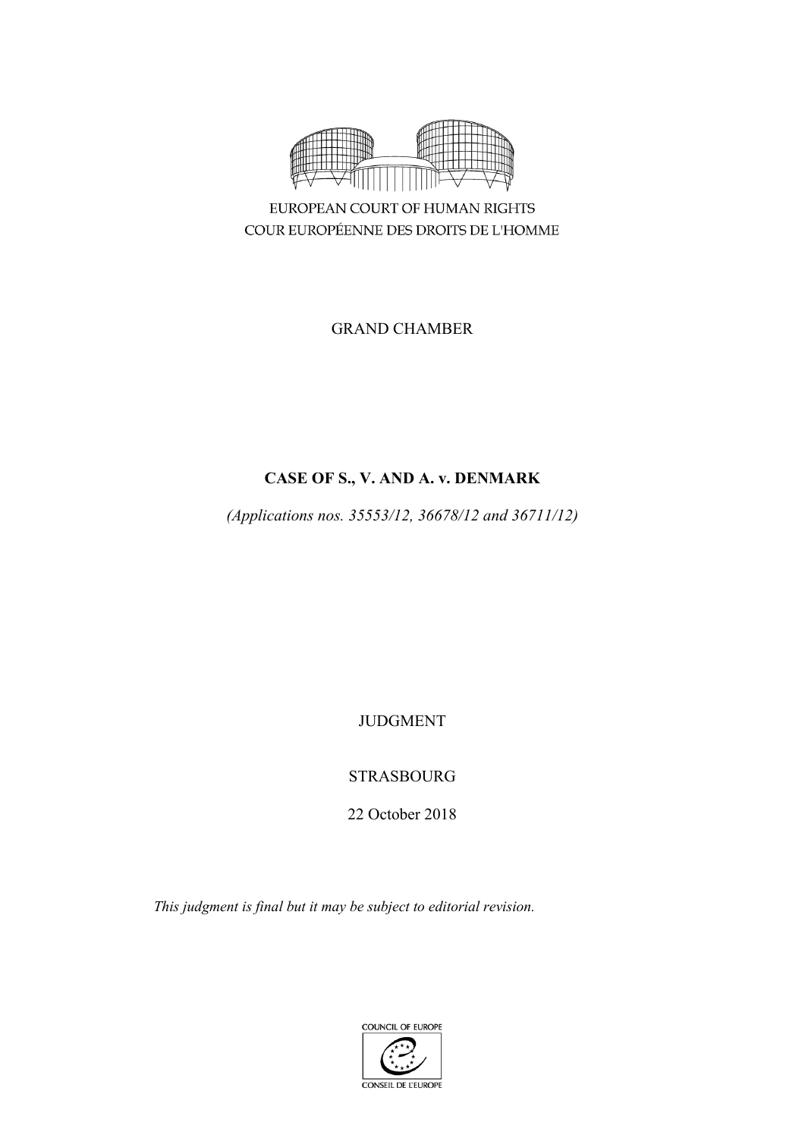

COUR EUROPÉENNE DES DROITS DE L'HOMME

# GRAND CHAMBER

# **CASE OF S., V. AND A. v. DENMARK**

*(Applications nos. 35553/12, 36678/12 and 36711/12)*

JUDGMENT

STRASBOURG

22 October 2018

*This judgment is final but it may be subject to editorial revision.*

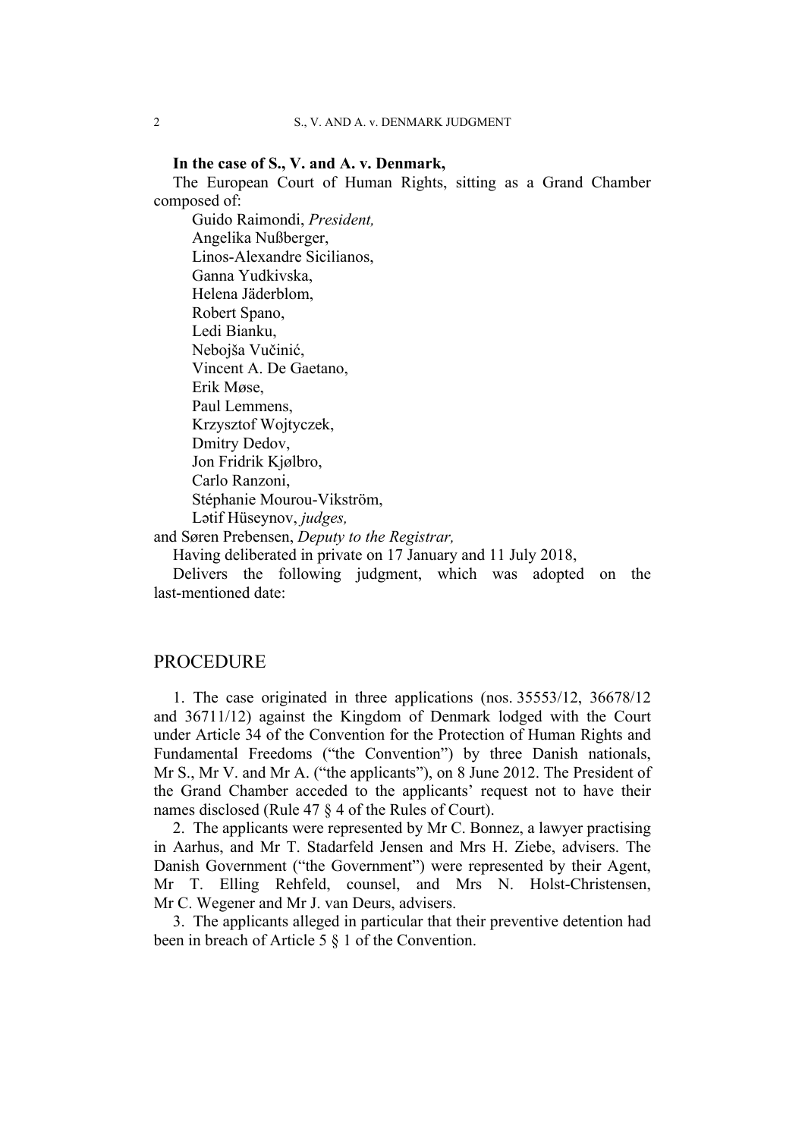# **In the case of S., V. and A. v. Denmark,**

The European Court of Human Rights, sitting as a Grand Chamber composed of:

Guido Raimondi, *President,* Angelika Nußberger, Linos-Alexandre Sicilianos, Ganna Yudkivska, Helena Jäderblom, Robert Spano, Ledi Bianku, Nebojša Vučinić, Vincent A. De Gaetano, Erik Møse, Paul Lemmens, Krzysztof Wojtyczek, Dmitry Dedov, Jon Fridrik Kjølbro, Carlo Ranzoni, Stéphanie Mourou-Vikström, Lәtif Hüseynov, *judges,*

and Søren Prebensen, *Deputy to the Registrar,*

Having deliberated in private on 17 January and 11 July 2018,

Delivers the following judgment, which was adopted on the last-mentioned date:

# PROCEDURE

1. The case originated in three applications (nos. 35553/12, 36678/12 and 36711/12) against the Kingdom of Denmark lodged with the Court under Article 34 of the Convention for the Protection of Human Rights and Fundamental Freedoms ("the Convention") by three Danish nationals, Mr S., Mr V. and Mr A. ("the applicants"), on 8 June 2012. The President of the Grand Chamber acceded to the applicants' request not to have their names disclosed (Rule 47 § 4 of the Rules of Court).

2. The applicants were represented by Mr C. Bonnez, a lawyer practising in Aarhus, and Mr T. Stadarfeld Jensen and Mrs H. Ziebe, advisers. The Danish Government ("the Government") were represented by their Agent, Mr T. Elling Rehfeld, counsel, and Mrs N. Holst-Christensen, Mr C. Wegener and Mr J. van Deurs, advisers.

3. The applicants alleged in particular that their preventive detention had been in breach of Article 5 § 1 of the Convention.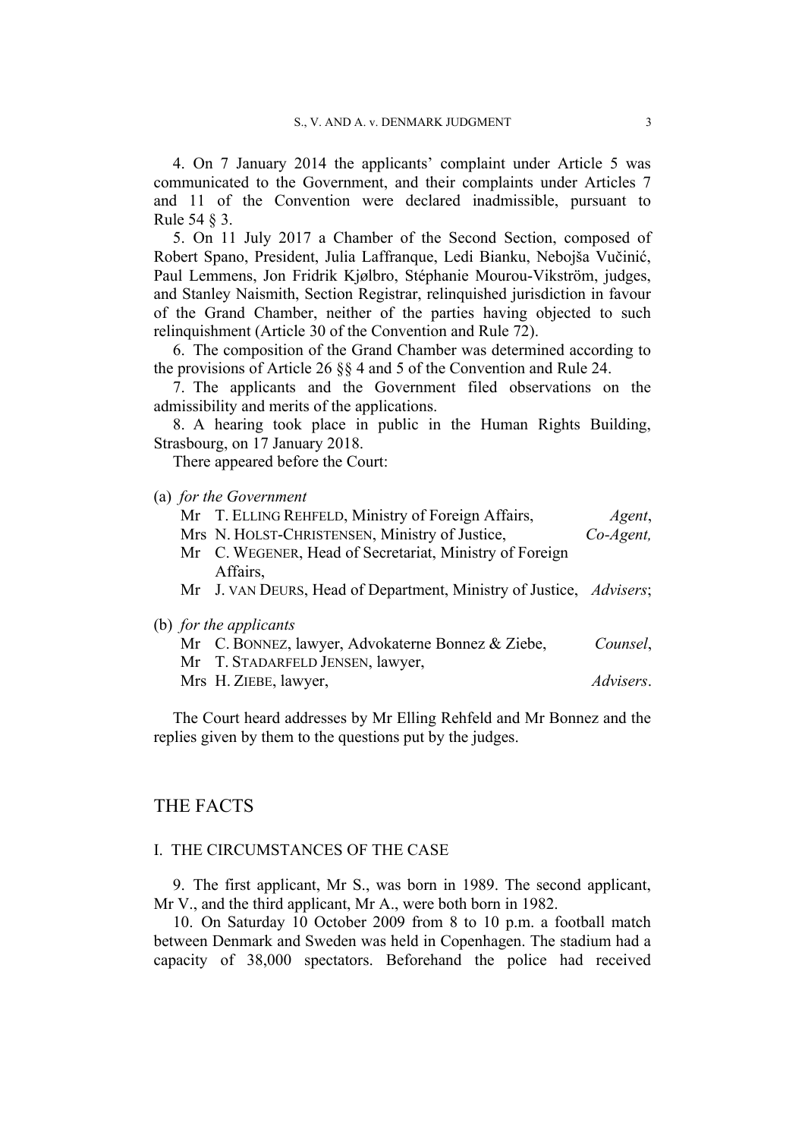4. On 7 January 2014 the applicants' complaint under Article 5 was communicated to the Government, and their complaints under Articles 7 and 11 of the Convention were declared inadmissible, pursuant to Rule 54 § 3.

5. On 11 July 2017 a Chamber of the Second Section, composed of Robert Spano, President, Julia Laffranque, Ledi Bianku, Nebojša Vučinić, Paul Lemmens, Jon Fridrik Kjølbro, Stéphanie Mourou-Vikström, judges, and Stanley Naismith, Section Registrar, relinquished jurisdiction in favour of the Grand Chamber, neither of the parties having objected to such relinquishment (Article 30 of the Convention and Rule 72).

6. The composition of the Grand Chamber was determined according to the provisions of Article 26 §§ 4 and 5 of the Convention and Rule 24.

7. The applicants and the Government filed observations on the admissibility and merits of the applications.

8. A hearing took place in public in the Human Rights Building, Strasbourg, on 17 January 2018.

There appeared before the Court:

# (a) *for the Government*

| Mr T. ELLING REHFELD, Ministry of Foreign Affairs,                  | Agent,       |
|---------------------------------------------------------------------|--------------|
| Mrs N. HOLST-CHRISTENSEN, Ministry of Justice,                      | $Co-Agent$ , |
| Mr C. WEGENER, Head of Secretariat, Ministry of Foreign<br>Affairs, |              |
| Mr J. VAN DEURS, Head of Department, Ministry of Justice, Advisers; |              |
| (b) for the applicants                                              |              |

| Mr C. BONNEZ, lawyer, Advokaterne Bonnez & Ziebe, | Counsel, |
|---------------------------------------------------|----------|
| Mr T. STADARFELD JENSEN, lawyer,                  |          |

Mrs H. ZIEBE, lawyer, *Advisers*.

The Court heard addresses by Mr Elling Rehfeld and Mr Bonnez and the replies given by them to the questions put by the judges.

# THE FACTS

### I. THE CIRCUMSTANCES OF THE CASE

9. The first applicant, Mr S., was born in 1989. The second applicant, Mr V., and the third applicant, Mr A., were both born in 1982.

10. On Saturday 10 October 2009 from 8 to 10 p.m. a football match between Denmark and Sweden was held in Copenhagen. The stadium had a capacity of 38,000 spectators. Beforehand the police had received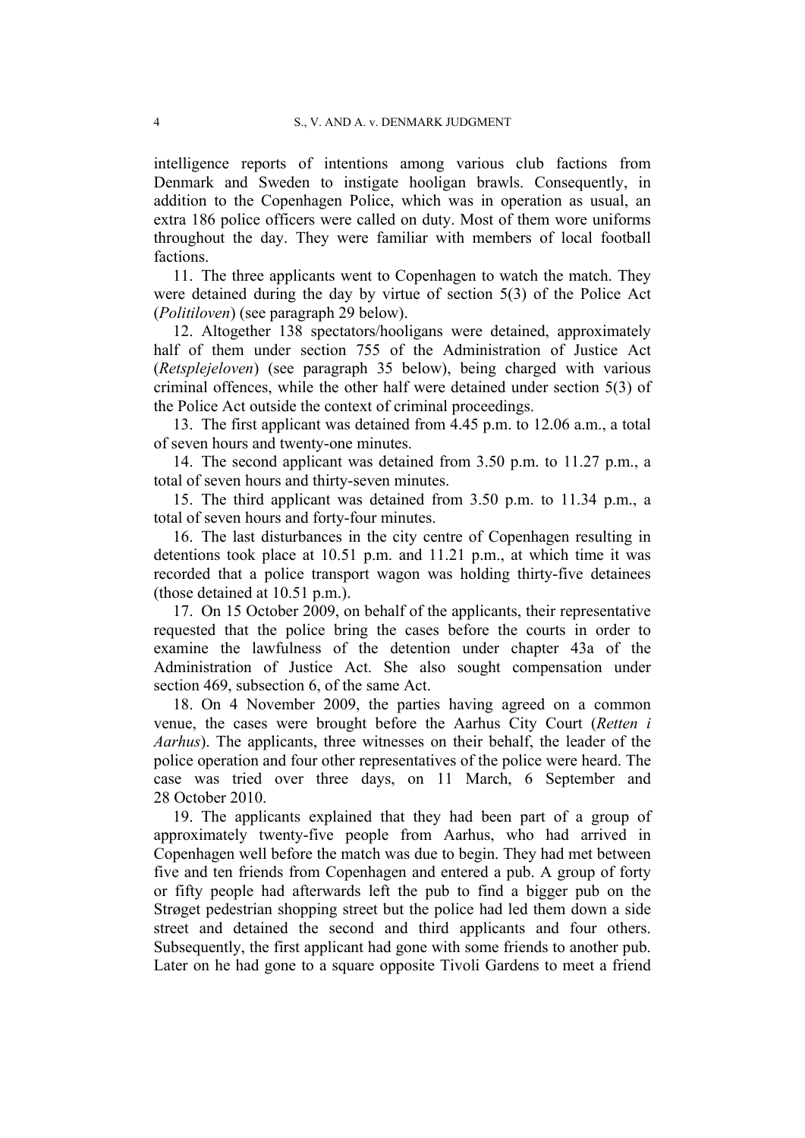intelligence reports of intentions among various club factions from Denmark and Sweden to instigate hooligan brawls. Consequently, in addition to the Copenhagen Police, which was in operation as usual, an extra 186 police officers were called on duty. Most of them wore uniforms throughout the day. They were familiar with members of local football factions.

11. The three applicants went to Copenhagen to watch the match. They were detained during the day by virtue of section 5(3) of the Police Act (*Politiloven*) (see paragraph 29 below).

12. Altogether 138 spectators/hooligans were detained, approximately half of them under section 755 of the Administration of Justice Act (*Retsplejeloven*) (see paragraph 35 below), being charged with various criminal offences, while the other half were detained under section 5(3) of the Police Act outside the context of criminal proceedings.

13. The first applicant was detained from 4.45 p.m. to 12.06 a.m., a total of seven hours and twenty-one minutes.

14. The second applicant was detained from 3.50 p.m. to 11.27 p.m., a total of seven hours and thirty-seven minutes.

15. The third applicant was detained from 3.50 p.m. to 11.34 p.m., a total of seven hours and forty-four minutes.

16. The last disturbances in the city centre of Copenhagen resulting in detentions took place at 10.51 p.m. and 11.21 p.m., at which time it was recorded that a police transport wagon was holding thirty-five detainees (those detained at 10.51 p.m.).

17. On 15 October 2009, on behalf of the applicants, their representative requested that the police bring the cases before the courts in order to examine the lawfulness of the detention under chapter 43a of the Administration of Justice Act. She also sought compensation under section 469, subsection 6, of the same Act.

18. On 4 November 2009, the parties having agreed on a common venue, the cases were brought before the Aarhus City Court (*Retten i Aarhus*). The applicants, three witnesses on their behalf, the leader of the police operation and four other representatives of the police were heard. The case was tried over three days, on 11 March, 6 September and 28 October 2010.

19. The applicants explained that they had been part of a group of approximately twenty-five people from Aarhus, who had arrived in Copenhagen well before the match was due to begin. They had met between five and ten friends from Copenhagen and entered a pub. A group of forty or fifty people had afterwards left the pub to find a bigger pub on the Strøget pedestrian shopping street but the police had led them down a side street and detained the second and third applicants and four others. Subsequently, the first applicant had gone with some friends to another pub. Later on he had gone to a square opposite Tivoli Gardens to meet a friend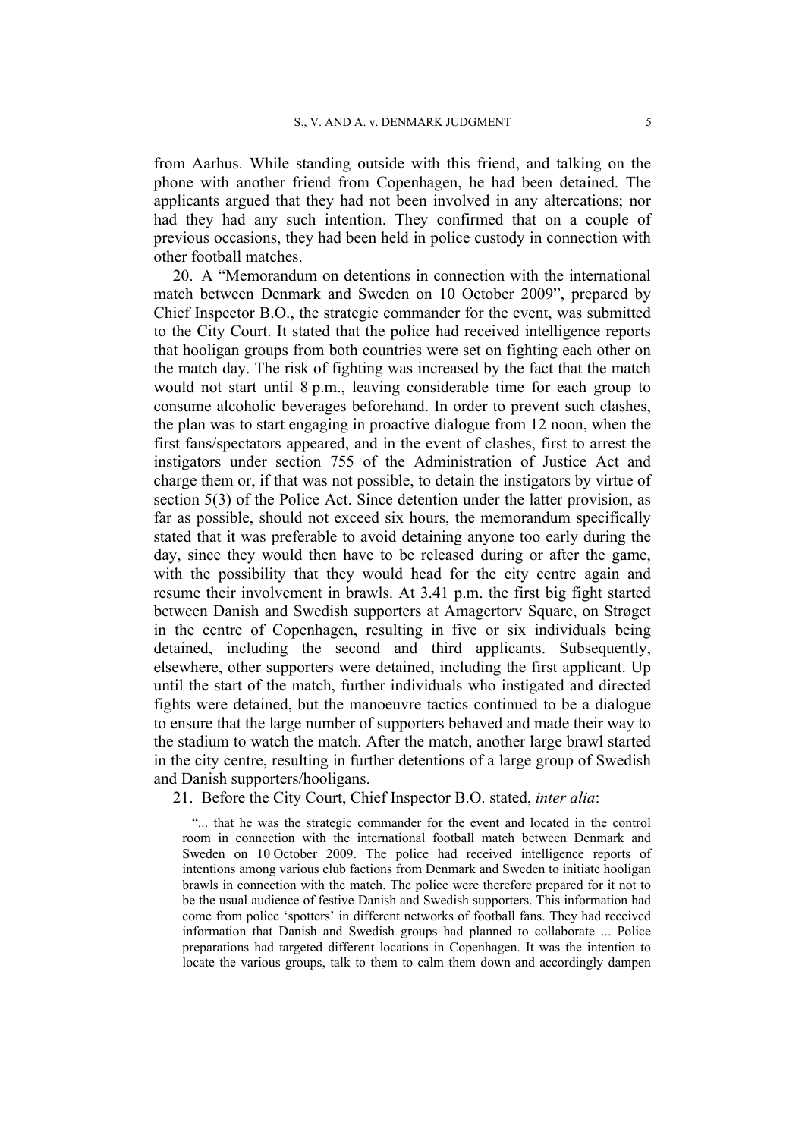from Aarhus. While standing outside with this friend, and talking on the phone with another friend from Copenhagen, he had been detained. The applicants argued that they had not been involved in any altercations; nor had they had any such intention. They confirmed that on a couple of previous occasions, they had been held in police custody in connection with other football matches.

20. A "Memorandum on detentions in connection with the international match between Denmark and Sweden on 10 October 2009", prepared by Chief Inspector B.O., the strategic commander for the event, was submitted to the City Court. It stated that the police had received intelligence reports that hooligan groups from both countries were set on fighting each other on the match day. The risk of fighting was increased by the fact that the match would not start until 8 p.m., leaving considerable time for each group to consume alcoholic beverages beforehand. In order to prevent such clashes, the plan was to start engaging in proactive dialogue from 12 noon, when the first fans/spectators appeared, and in the event of clashes, first to arrest the instigators under section 755 of the Administration of Justice Act and charge them or, if that was not possible, to detain the instigators by virtue of section 5(3) of the Police Act. Since detention under the latter provision, as far as possible, should not exceed six hours, the memorandum specifically stated that it was preferable to avoid detaining anyone too early during the day, since they would then have to be released during or after the game, with the possibility that they would head for the city centre again and resume their involvement in brawls. At 3.41 p.m. the first big fight started between Danish and Swedish supporters at Amagertorv Square, on Strøget in the centre of Copenhagen, resulting in five or six individuals being detained, including the second and third applicants. Subsequently, elsewhere, other supporters were detained, including the first applicant. Up until the start of the match, further individuals who instigated and directed fights were detained, but the manoeuvre tactics continued to be a dialogue to ensure that the large number of supporters behaved and made their way to the stadium to watch the match. After the match, another large brawl started in the city centre, resulting in further detentions of a large group of Swedish and Danish supporters/hooligans.

21. Before the City Court, Chief Inspector B.O. stated, *inter alia*:

"... that he was the strategic commander for the event and located in the control room in connection with the international football match between Denmark and Sweden on 10 October 2009. The police had received intelligence reports of intentions among various club factions from Denmark and Sweden to initiate hooligan brawls in connection with the match. The police were therefore prepared for it not to be the usual audience of festive Danish and Swedish supporters. This information had come from police 'spotters' in different networks of football fans. They had received information that Danish and Swedish groups had planned to collaborate ... Police preparations had targeted different locations in Copenhagen. It was the intention to locate the various groups, talk to them to calm them down and accordingly dampen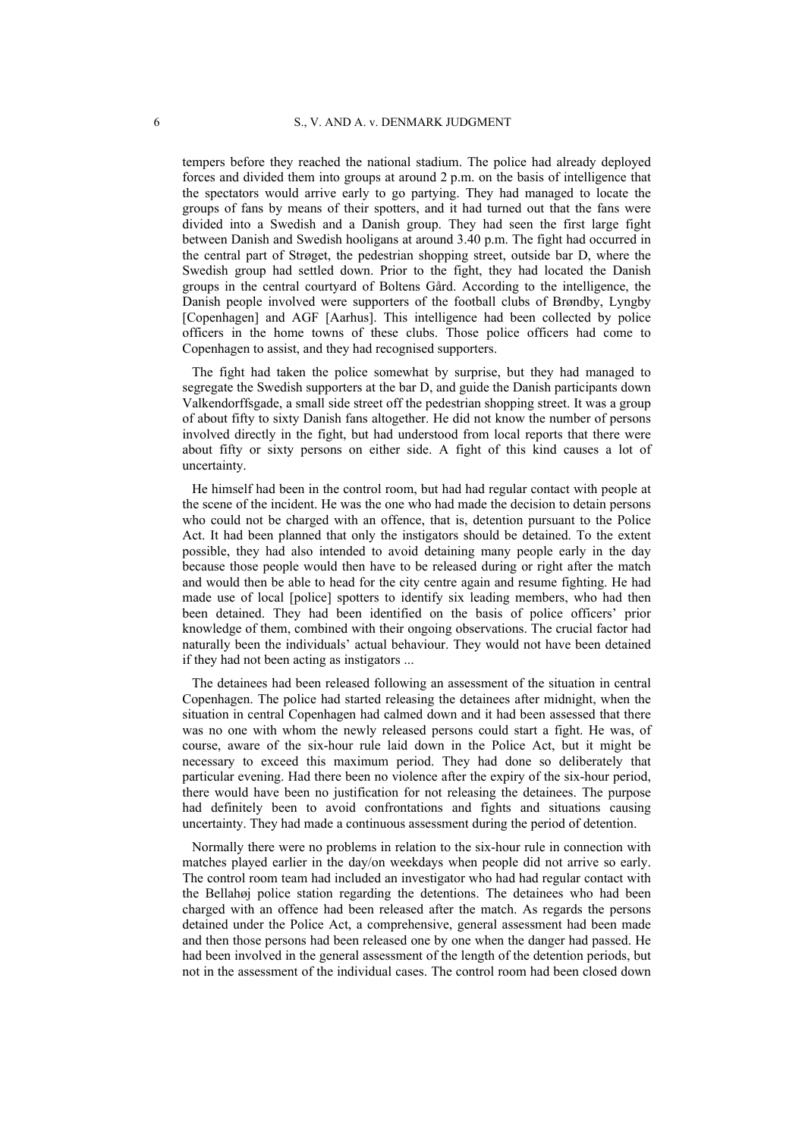tempers before they reached the national stadium. The police had already deployed forces and divided them into groups at around 2 p.m. on the basis of intelligence that the spectators would arrive early to go partying. They had managed to locate the groups of fans by means of their spotters, and it had turned out that the fans were divided into a Swedish and a Danish group. They had seen the first large fight between Danish and Swedish hooligans at around 3.40 p.m. The fight had occurred in the central part of Strøget, the pedestrian shopping street, outside bar D, where the Swedish group had settled down. Prior to the fight, they had located the Danish groups in the central courtyard of Boltens Gård. According to the intelligence, the Danish people involved were supporters of the football clubs of Brøndby, Lyngby [Copenhagen] and AGF [Aarhus]. This intelligence had been collected by police officers in the home towns of these clubs. Those police officers had come to Copenhagen to assist, and they had recognised supporters.

The fight had taken the police somewhat by surprise, but they had managed to segregate the Swedish supporters at the bar D, and guide the Danish participants down Valkendorffsgade, a small side street off the pedestrian shopping street. It was a group of about fifty to sixty Danish fans altogether. He did not know the number of persons involved directly in the fight, but had understood from local reports that there were about fifty or sixty persons on either side. A fight of this kind causes a lot of uncertainty.

He himself had been in the control room, but had had regular contact with people at the scene of the incident. He was the one who had made the decision to detain persons who could not be charged with an offence, that is, detention pursuant to the Police Act. It had been planned that only the instigators should be detained. To the extent possible, they had also intended to avoid detaining many people early in the day because those people would then have to be released during or right after the match and would then be able to head for the city centre again and resume fighting. He had made use of local [police] spotters to identify six leading members, who had then been detained. They had been identified on the basis of police officers' prior knowledge of them, combined with their ongoing observations. The crucial factor had naturally been the individuals' actual behaviour. They would not have been detained if they had not been acting as instigators ...

The detainees had been released following an assessment of the situation in central Copenhagen. The police had started releasing the detainees after midnight, when the situation in central Copenhagen had calmed down and it had been assessed that there was no one with whom the newly released persons could start a fight. He was, of course, aware of the six-hour rule laid down in the Police Act, but it might be necessary to exceed this maximum period. They had done so deliberately that particular evening. Had there been no violence after the expiry of the six-hour period, there would have been no justification for not releasing the detainees. The purpose had definitely been to avoid confrontations and fights and situations causing uncertainty. They had made a continuous assessment during the period of detention.

Normally there were no problems in relation to the six-hour rule in connection with matches played earlier in the day/on weekdays when people did not arrive so early. The control room team had included an investigator who had had regular contact with the Bellahøj police station regarding the detentions. The detainees who had been charged with an offence had been released after the match. As regards the persons detained under the Police Act, a comprehensive, general assessment had been made and then those persons had been released one by one when the danger had passed. He had been involved in the general assessment of the length of the detention periods, but not in the assessment of the individual cases. The control room had been closed down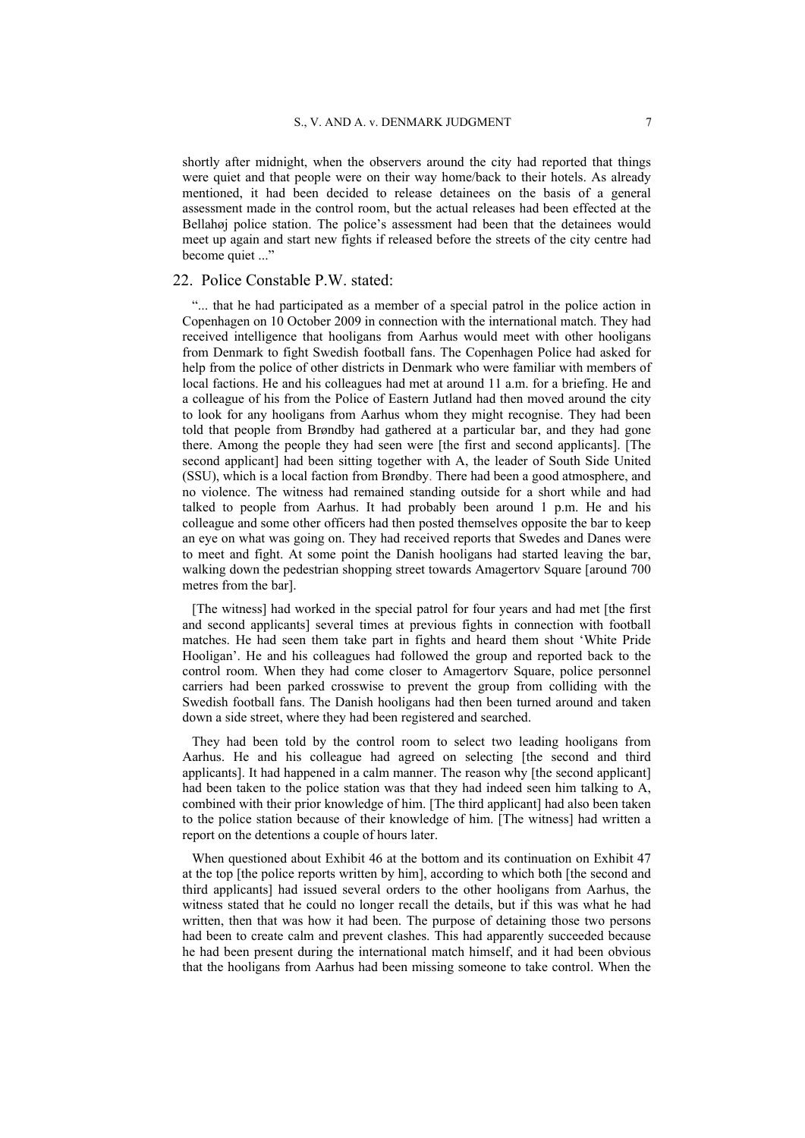shortly after midnight, when the observers around the city had reported that things were quiet and that people were on their way home/back to their hotels. As already mentioned, it had been decided to release detainees on the basis of a general assessment made in the control room, but the actual releases had been effected at the Bellahøj police station. The police's assessment had been that the detainees would meet up again and start new fights if released before the streets of the city centre had become quiet ..."

### 22. Police Constable P.W. stated:

"... that he had participated as a member of a special patrol in the police action in Copenhagen on 10 October 2009 in connection with the international match. They had received intelligence that hooligans from Aarhus would meet with other hooligans from Denmark to fight Swedish football fans. The Copenhagen Police had asked for help from the police of other districts in Denmark who were familiar with members of local factions. He and his colleagues had met at around 11 a.m. for a briefing. He and a colleague of his from the Police of Eastern Jutland had then moved around the city to look for any hooligans from Aarhus whom they might recognise. They had been told that people from Brøndby had gathered at a particular bar, and they had gone there. Among the people they had seen were [the first and second applicants]. [The second applicant] had been sitting together with A, the leader of South Side United (SSU), which is a local faction from Brøndby. There had been a good atmosphere, and no violence. The witness had remained standing outside for a short while and had talked to people from Aarhus. It had probably been around 1 p.m. He and his colleague and some other officers had then posted themselves opposite the bar to keep an eye on what was going on. They had received reports that Swedes and Danes were to meet and fight. At some point the Danish hooligans had started leaving the bar, walking down the pedestrian shopping street towards Amagertorv Square [around 700 metres from the bar].

[The witness] had worked in the special patrol for four years and had met [the first and second applicants] several times at previous fights in connection with football matches. He had seen them take part in fights and heard them shout 'White Pride Hooligan'. He and his colleagues had followed the group and reported back to the control room. When they had come closer to Amagertorv Square, police personnel carriers had been parked crosswise to prevent the group from colliding with the Swedish football fans. The Danish hooligans had then been turned around and taken down a side street, where they had been registered and searched.

They had been told by the control room to select two leading hooligans from Aarhus. He and his colleague had agreed on selecting [the second and third applicants]. It had happened in a calm manner. The reason why [the second applicant] had been taken to the police station was that they had indeed seen him talking to A, combined with their prior knowledge of him. [The third applicant] had also been taken to the police station because of their knowledge of him. [The witness] had written a report on the detentions a couple of hours later.

When questioned about Exhibit 46 at the bottom and its continuation on Exhibit 47 at the top [the police reports written by him], according to which both [the second and third applicants] had issued several orders to the other hooligans from Aarhus, the witness stated that he could no longer recall the details, but if this was what he had written, then that was how it had been. The purpose of detaining those two persons had been to create calm and prevent clashes. This had apparently succeeded because he had been present during the international match himself, and it had been obvious that the hooligans from Aarhus had been missing someone to take control. When the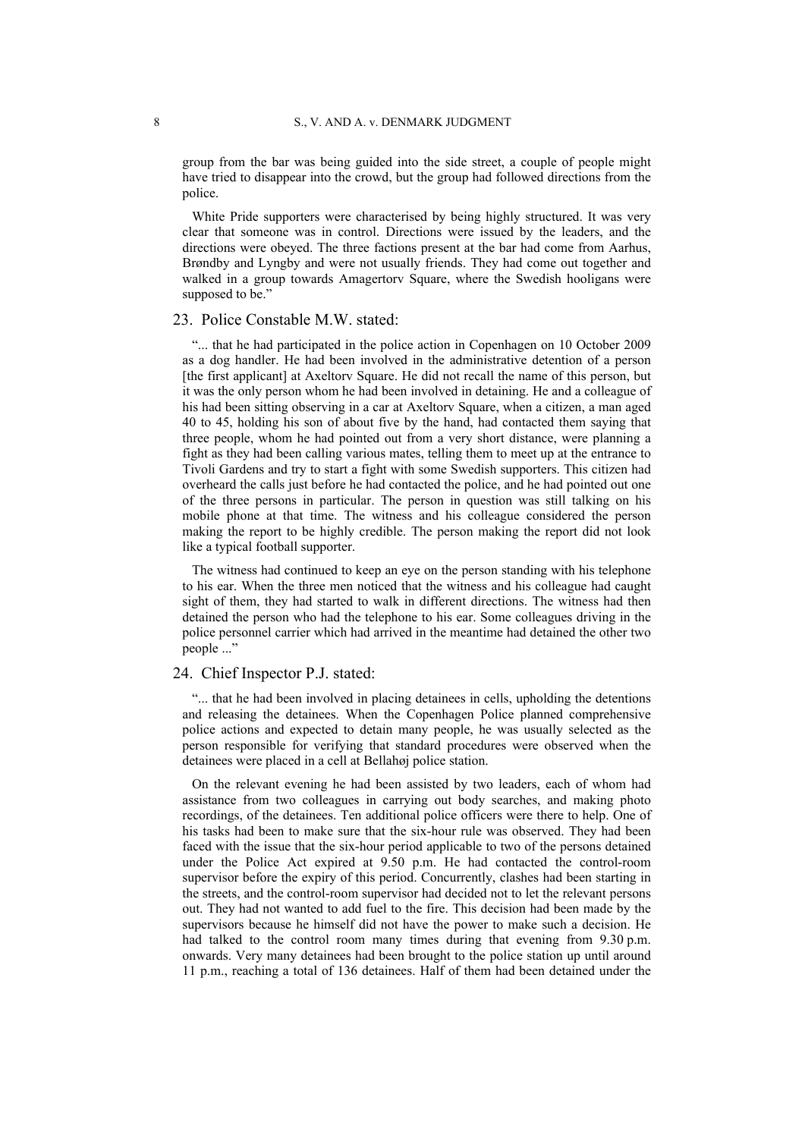group from the bar was being guided into the side street, a couple of people might have tried to disappear into the crowd, but the group had followed directions from the police.

White Pride supporters were characterised by being highly structured. It was very clear that someone was in control. Directions were issued by the leaders, and the directions were obeyed. The three factions present at the bar had come from Aarhus, Brøndby and Lyngby and were not usually friends. They had come out together and walked in a group towards Amagertorv Square, where the Swedish hooligans were supposed to be."

#### 23. Police Constable M.W. stated:

"... that he had participated in the police action in Copenhagen on 10 October 2009 as a dog handler. He had been involved in the administrative detention of a person [the first applicant] at Axeltory Square. He did not recall the name of this person, but it was the only person whom he had been involved in detaining. He and a colleague of his had been sitting observing in a car at Axeltorv Square, when a citizen, a man aged 40 to 45, holding his son of about five by the hand, had contacted them saying that three people, whom he had pointed out from a very short distance, were planning a fight as they had been calling various mates, telling them to meet up at the entrance to Tivoli Gardens and try to start a fight with some Swedish supporters. This citizen had overheard the calls just before he had contacted the police, and he had pointed out one of the three persons in particular. The person in question was still talking on his mobile phone at that time. The witness and his colleague considered the person making the report to be highly credible. The person making the report did not look like a typical football supporter.

The witness had continued to keep an eye on the person standing with his telephone to his ear. When the three men noticed that the witness and his colleague had caught sight of them, they had started to walk in different directions. The witness had then detained the person who had the telephone to his ear. Some colleagues driving in the police personnel carrier which had arrived in the meantime had detained the other two people ..."

### 24. Chief Inspector P.J. stated:

"... that he had been involved in placing detainees in cells, upholding the detentions and releasing the detainees. When the Copenhagen Police planned comprehensive police actions and expected to detain many people, he was usually selected as the person responsible for verifying that standard procedures were observed when the detainees were placed in a cell at Bellahøj police station.

On the relevant evening he had been assisted by two leaders, each of whom had assistance from two colleagues in carrying out body searches, and making photo recordings, of the detainees. Ten additional police officers were there to help. One of his tasks had been to make sure that the six-hour rule was observed. They had been faced with the issue that the six-hour period applicable to two of the persons detained under the Police Act expired at 9.50 p.m. He had contacted the control-room supervisor before the expiry of this period. Concurrently, clashes had been starting in the streets, and the control-room supervisor had decided not to let the relevant persons out. They had not wanted to add fuel to the fire. This decision had been made by the supervisors because he himself did not have the power to make such a decision. He had talked to the control room many times during that evening from 9.30 p.m. onwards. Very many detainees had been brought to the police station up until around 11 p.m., reaching a total of 136 detainees. Half of them had been detained under the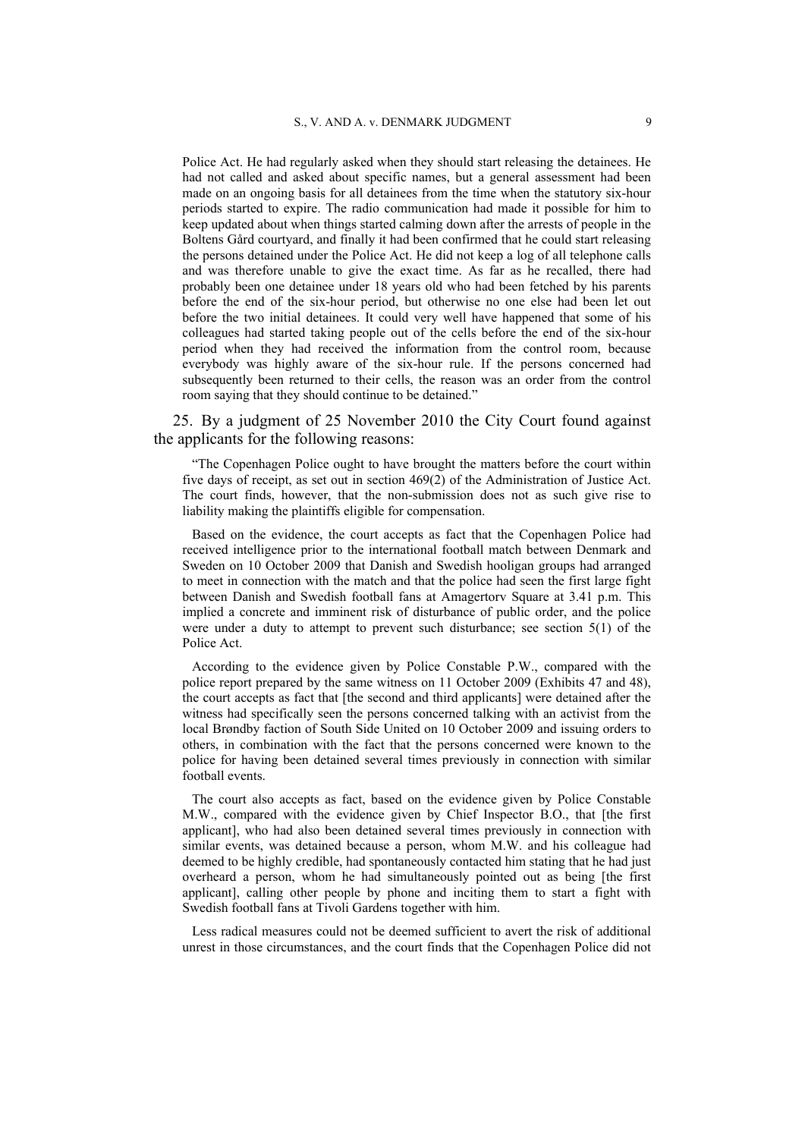Police Act. He had regularly asked when they should start releasing the detainees. He had not called and asked about specific names, but a general assessment had been made on an ongoing basis for all detainees from the time when the statutory six-hour periods started to expire. The radio communication had made it possible for him to keep updated about when things started calming down after the arrests of people in the Boltens Gård courtyard, and finally it had been confirmed that he could start releasing the persons detained under the Police Act. He did not keep a log of all telephone calls and was therefore unable to give the exact time. As far as he recalled, there had probably been one detainee under 18 years old who had been fetched by his parents before the end of the six-hour period, but otherwise no one else had been let out before the two initial detainees. It could very well have happened that some of his colleagues had started taking people out of the cells before the end of the six-hour period when they had received the information from the control room, because everybody was highly aware of the six-hour rule. If the persons concerned had subsequently been returned to their cells, the reason was an order from the control room saying that they should continue to be detained."

25. By a judgment of 25 November 2010 the City Court found against the applicants for the following reasons:

"The Copenhagen Police ought to have brought the matters before the court within five days of receipt, as set out in section 469(2) of the Administration of Justice Act. The court finds, however, that the non-submission does not as such give rise to liability making the plaintiffs eligible for compensation.

Based on the evidence, the court accepts as fact that the Copenhagen Police had received intelligence prior to the international football match between Denmark and Sweden on 10 October 2009 that Danish and Swedish hooligan groups had arranged to meet in connection with the match and that the police had seen the first large fight between Danish and Swedish football fans at Amagertorv Square at 3.41 p.m. This implied a concrete and imminent risk of disturbance of public order, and the police were under a duty to attempt to prevent such disturbance; see section 5(1) of the Police Act.

According to the evidence given by Police Constable P.W., compared with the police report prepared by the same witness on 11 October 2009 (Exhibits 47 and 48), the court accepts as fact that [the second and third applicants] were detained after the witness had specifically seen the persons concerned talking with an activist from the local Brøndby faction of South Side United on 10 October 2009 and issuing orders to others, in combination with the fact that the persons concerned were known to the police for having been detained several times previously in connection with similar football events.

The court also accepts as fact, based on the evidence given by Police Constable M.W., compared with the evidence given by Chief Inspector B.O., that [the first applicant], who had also been detained several times previously in connection with similar events, was detained because a person, whom M.W. and his colleague had deemed to be highly credible, had spontaneously contacted him stating that he had just overheard a person, whom he had simultaneously pointed out as being [the first applicant], calling other people by phone and inciting them to start a fight with Swedish football fans at Tivoli Gardens together with him.

Less radical measures could not be deemed sufficient to avert the risk of additional unrest in those circumstances, and the court finds that the Copenhagen Police did not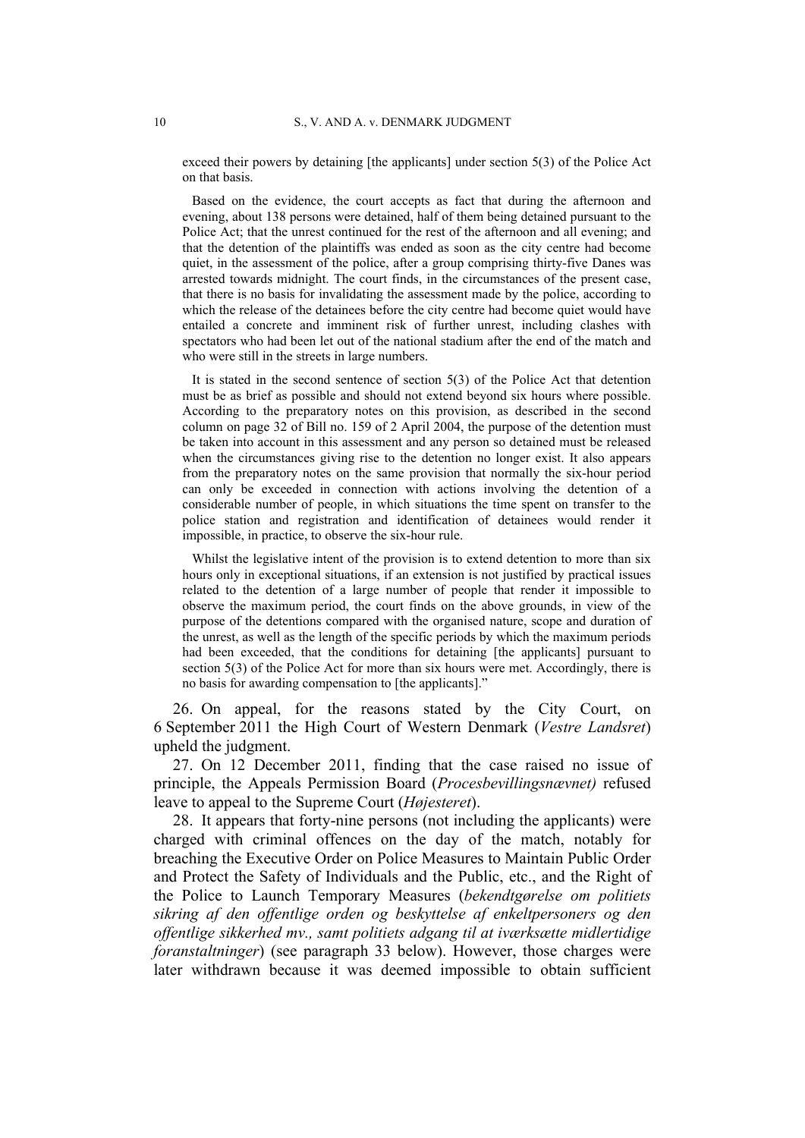exceed their powers by detaining [the applicants] under section 5(3) of the Police Act on that basis.

Based on the evidence, the court accepts as fact that during the afternoon and evening, about 138 persons were detained, half of them being detained pursuant to the Police Act; that the unrest continued for the rest of the afternoon and all evening; and that the detention of the plaintiffs was ended as soon as the city centre had become quiet, in the assessment of the police, after a group comprising thirty-five Danes was arrested towards midnight. The court finds, in the circumstances of the present case, that there is no basis for invalidating the assessment made by the police, according to which the release of the detainees before the city centre had become quiet would have entailed a concrete and imminent risk of further unrest, including clashes with spectators who had been let out of the national stadium after the end of the match and who were still in the streets in large numbers.

It is stated in the second sentence of section 5(3) of the Police Act that detention must be as brief as possible and should not extend beyond six hours where possible. According to the preparatory notes on this provision, as described in the second column on page 32 of Bill no. 159 of 2 April 2004, the purpose of the detention must be taken into account in this assessment and any person so detained must be released when the circumstances giving rise to the detention no longer exist. It also appears from the preparatory notes on the same provision that normally the six-hour period can only be exceeded in connection with actions involving the detention of a considerable number of people, in which situations the time spent on transfer to the police station and registration and identification of detainees would render it impossible, in practice, to observe the six-hour rule.

Whilst the legislative intent of the provision is to extend detention to more than six hours only in exceptional situations, if an extension is not justified by practical issues related to the detention of a large number of people that render it impossible to observe the maximum period, the court finds on the above grounds, in view of the purpose of the detentions compared with the organised nature, scope and duration of the unrest, as well as the length of the specific periods by which the maximum periods had been exceeded, that the conditions for detaining [the applicants] pursuant to section 5(3) of the Police Act for more than six hours were met. Accordingly, there is no basis for awarding compensation to [the applicants]."

26. On appeal, for the reasons stated by the City Court, on 6 September 2011 the High Court of Western Denmark (*Vestre Landsret*) upheld the judgment.

27. On 12 December 2011, finding that the case raised no issue of principle, the Appeals Permission Board (*Procesbevillingsnævnet)* refused leave to appeal to the Supreme Court (*Højesteret*).

28. It appears that forty-nine persons (not including the applicants) were charged with criminal offences on the day of the match, notably for breaching the Executive Order on Police Measures to Maintain Public Order and Protect the Safety of Individuals and the Public, etc., and the Right of the Police to Launch Temporary Measures (*bekendtgørelse om politiets sikring af den offentlige orden og beskyttelse af enkeltpersoners og den offentlige sikkerhed mv., samt politiets adgang til at iværksætte midlertidige foranstaltninger*) (see paragraph 33 below). However, those charges were later withdrawn because it was deemed impossible to obtain sufficient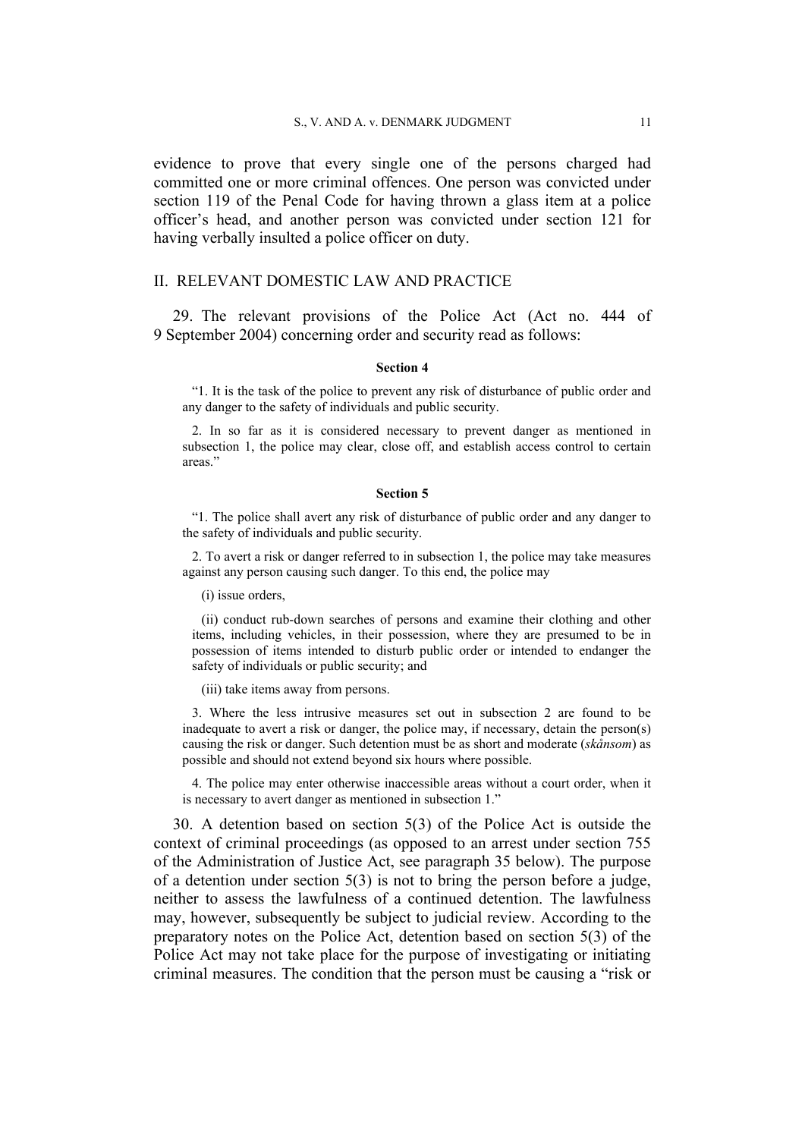evidence to prove that every single one of the persons charged had committed one or more criminal offences. One person was convicted under section 119 of the Penal Code for having thrown a glass item at a police officer's head, and another person was convicted under section 121 for having verbally insulted a police officer on duty.

## II. RELEVANT DOMESTIC LAW AND PRACTICE

29. The relevant provisions of the Police Act (Act no. 444 of 9 September 2004) concerning order and security read as follows:

#### **Section 4**

"1. It is the task of the police to prevent any risk of disturbance of public order and any danger to the safety of individuals and public security.

2. In so far as it is considered necessary to prevent danger as mentioned in subsection 1, the police may clear, close off, and establish access control to certain areas."

#### **Section 5**

"1. The police shall avert any risk of disturbance of public order and any danger to the safety of individuals and public security.

2. To avert a risk or danger referred to in subsection 1, the police may take measures against any person causing such danger. To this end, the police may

(i) issue orders,

(ii) conduct rub-down searches of persons and examine their clothing and other items, including vehicles, in their possession, where they are presumed to be in possession of items intended to disturb public order or intended to endanger the safety of individuals or public security; and

(iii) take items away from persons.

3. Where the less intrusive measures set out in subsection 2 are found to be inadequate to avert a risk or danger, the police may, if necessary, detain the person(s) causing the risk or danger. Such detention must be as short and moderate (*skånsom*) as possible and should not extend beyond six hours where possible.

4. The police may enter otherwise inaccessible areas without a court order, when it is necessary to avert danger as mentioned in subsection 1."

30. A detention based on section 5(3) of the Police Act is outside the context of criminal proceedings (as opposed to an arrest under section 755 of the Administration of Justice Act, see paragraph 35 below). The purpose of a detention under section 5(3) is not to bring the person before a judge, neither to assess the lawfulness of a continued detention. The lawfulness may, however, subsequently be subject to judicial review. According to the preparatory notes on the Police Act, detention based on section 5(3) of the Police Act may not take place for the purpose of investigating or initiating criminal measures. The condition that the person must be causing a "risk or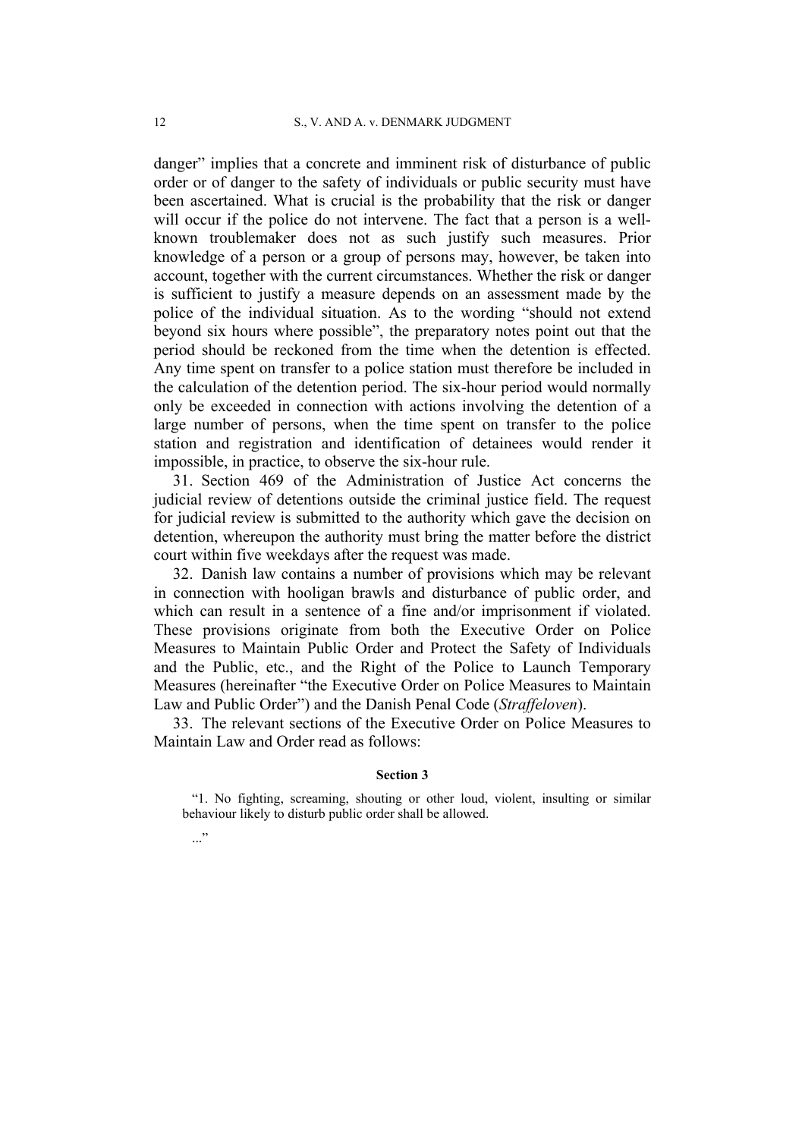danger" implies that a concrete and imminent risk of disturbance of public order or of danger to the safety of individuals or public security must have been ascertained. What is crucial is the probability that the risk or danger will occur if the police do not intervene. The fact that a person is a wellknown troublemaker does not as such justify such measures. Prior knowledge of a person or a group of persons may, however, be taken into account, together with the current circumstances. Whether the risk or danger is sufficient to justify a measure depends on an assessment made by the police of the individual situation. As to the wording "should not extend beyond six hours where possible", the preparatory notes point out that the period should be reckoned from the time when the detention is effected. Any time spent on transfer to a police station must therefore be included in the calculation of the detention period. The six-hour period would normally only be exceeded in connection with actions involving the detention of a large number of persons, when the time spent on transfer to the police station and registration and identification of detainees would render it impossible, in practice, to observe the six-hour rule.

31. Section 469 of the Administration of Justice Act concerns the judicial review of detentions outside the criminal justice field. The request for judicial review is submitted to the authority which gave the decision on detention, whereupon the authority must bring the matter before the district court within five weekdays after the request was made.

32. Danish law contains a number of provisions which may be relevant in connection with hooligan brawls and disturbance of public order, and which can result in a sentence of a fine and/or imprisonment if violated. These provisions originate from both the Executive Order on Police Measures to Maintain Public Order and Protect the Safety of Individuals and the Public, etc., and the Right of the Police to Launch Temporary Measures (hereinafter "the Executive Order on Police Measures to Maintain Law and Public Order") and the Danish Penal Code (*Straffeloven*).

33. The relevant sections of the Executive Order on Police Measures to Maintain Law and Order read as follows:

### **Section 3**

"1. No fighting, screaming, shouting or other loud, violent, insulting or similar behaviour likely to disturb public order shall be allowed.

 $\cdot$ ..."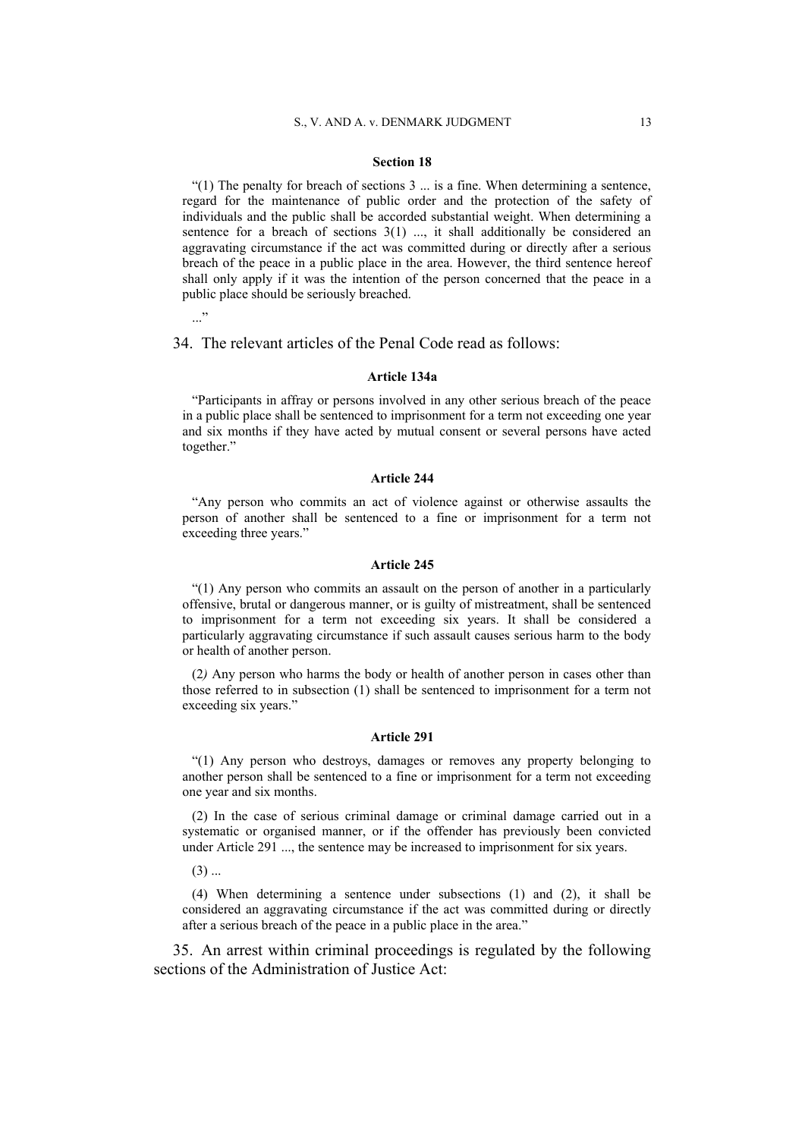#### **Section 18**

"(1) The penalty for breach of sections  $3 \dots$  is a fine. When determining a sentence, regard for the maintenance of public order and the protection of the safety of individuals and the public shall be accorded substantial weight. When determining a sentence for a breach of sections  $3(1)$  ..., it shall additionally be considered an aggravating circumstance if the act was committed during or directly after a serious breach of the peace in a public place in the area. However, the third sentence hereof shall only apply if it was the intention of the person concerned that the peace in a public place should be seriously breached.

 $\cdot$ ..."

## 34. The relevant articles of the Penal Code read as follows:

#### **Article 134a**

"Participants in affray or persons involved in any other serious breach of the peace in a public place shall be sentenced to imprisonment for a term not exceeding one year and six months if they have acted by mutual consent or several persons have acted together."

#### **Article 244**

"Any person who commits an act of violence against or otherwise assaults the person of another shall be sentenced to a fine or imprisonment for a term not exceeding three years."

#### **Article 245**

"(1) Any person who commits an assault on the person of another in a particularly offensive, brutal or dangerous manner, or is guilty of mistreatment, shall be sentenced to imprisonment for a term not exceeding six years. It shall be considered a particularly aggravating circumstance if such assault causes serious harm to the body or health of another person.

(2*)* Any person who harms the body or health of another person in cases other than those referred to in subsection (1) shall be sentenced to imprisonment for a term not exceeding six years."

#### **Article 291**

"(1) Any person who destroys, damages or removes any property belonging to another person shall be sentenced to a fine or imprisonment for a term not exceeding one year and six months.

(2) In the case of serious criminal damage or criminal damage carried out in a systematic or organised manner, or if the offender has previously been convicted under Article 291 ..., the sentence may be increased to imprisonment for six years.

 $(3)$  ...

(4) When determining a sentence under subsections (1) and (2), it shall be considered an aggravating circumstance if the act was committed during or directly after a serious breach of the peace in a public place in the area."

35. An arrest within criminal proceedings is regulated by the following sections of the Administration of Justice Act: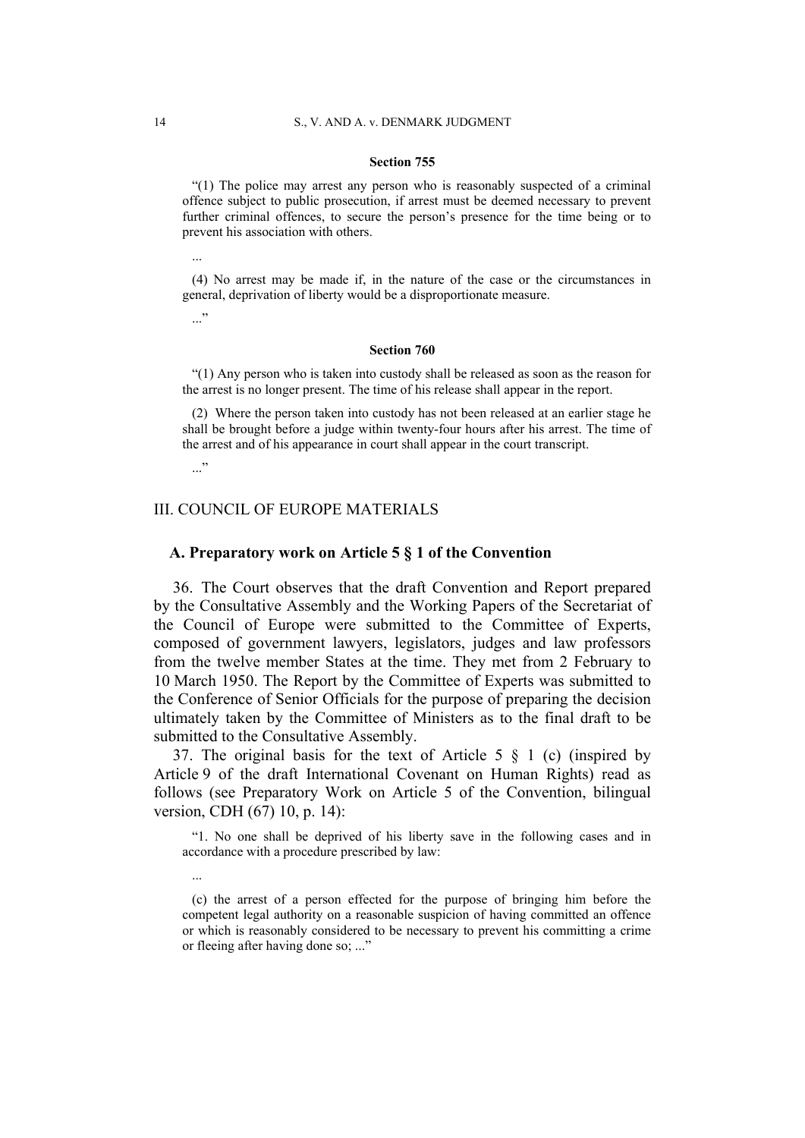#### **Section 755**

"(1) The police may arrest any person who is reasonably suspected of a criminal offence subject to public prosecution, if arrest must be deemed necessary to prevent further criminal offences, to secure the person's presence for the time being or to prevent his association with others.

(4) No arrest may be made if, in the nature of the case or the circumstances in general, deprivation of liberty would be a disproportionate measure.

..."

...

#### **Section 760**

"(1) Any person who is taken into custody shall be released as soon as the reason for the arrest is no longer present. The time of his release shall appear in the report.

(2) Where the person taken into custody has not been released at an earlier stage he shall be brought before a judge within twenty-four hours after his arrest. The time of the arrest and of his appearance in court shall appear in the court transcript.

 $\cdot$ ..."

...

### III. COUNCIL OF EUROPE MATERIALS

### **A. Preparatory work on Article 5 § 1 of the Convention**

36. The Court observes that the draft Convention and Report prepared by the Consultative Assembly and the Working Papers of the Secretariat of the Council of Europe were submitted to the Committee of Experts, composed of government lawyers, legislators, judges and law professors from the twelve member States at the time. They met from 2 February to 10 March 1950. The Report by the Committee of Experts was submitted to the Conference of Senior Officials for the purpose of preparing the decision ultimately taken by the Committee of Ministers as to the final draft to be submitted to the Consultative Assembly.

37. The original basis for the text of Article 5 § 1 (c) (inspired by Article 9 of the draft International Covenant on Human Rights) read as follows (see Preparatory Work on Article 5 of the Convention, bilingual version, CDH (67) 10, p. 14):

"1. No one shall be deprived of his liberty save in the following cases and in accordance with a procedure prescribed by law:

(c) the arrest of a person effected for the purpose of bringing him before the competent legal authority on a reasonable suspicion of having committed an offence or which is reasonably considered to be necessary to prevent his committing a crime or fleeing after having done so; ..."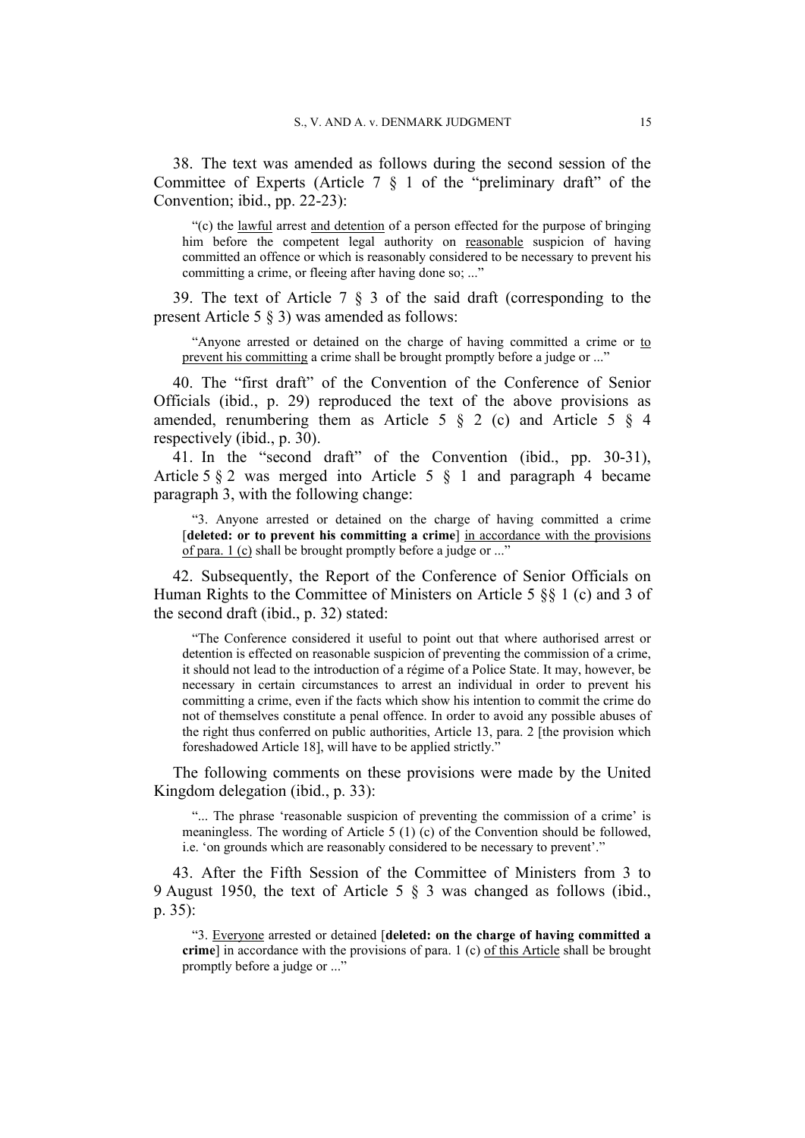38. The text was amended as follows during the second session of the Committee of Experts (Article  $7 \S 1$  of the "preliminary draft" of the Convention; ibid., pp. 22-23):

"(c) the lawful arrest and detention of a person effected for the purpose of bringing him before the competent legal authority on reasonable suspicion of having committed an offence or which is reasonably considered to be necessary to prevent his committing a crime, or fleeing after having done so; ..."

39. The text of Article 7 § 3 of the said draft (corresponding to the present Article 5 § 3) was amended as follows:

"Anyone arrested or detained on the charge of having committed a crime or to prevent his committing a crime shall be brought promptly before a judge or ..."

40. The "first draft" of the Convention of the Conference of Senior Officials (ibid., p. 29) reproduced the text of the above provisions as amended, renumbering them as Article 5  $\S$  2 (c) and Article 5  $\S$  4 respectively (ibid., p. 30).

41. In the "second draft" of the Convention (ibid., pp. 30-31), Article 5 § 2 was merged into Article 5 § 1 and paragraph 4 became paragraph 3, with the following change:

"3. Anyone arrested or detained on the charge of having committed a crime [**deleted: or to prevent his committing a crime**] in accordance with the provisions of para. 1 (c) shall be brought promptly before a judge or ..."

42. Subsequently, the Report of the Conference of Senior Officials on Human Rights to the Committee of Ministers on Article 5 §§ 1 (c) and 3 of the second draft (ibid., p. 32) stated:

"The Conference considered it useful to point out that where authorised arrest or detention is effected on reasonable suspicion of preventing the commission of a crime, it should not lead to the introduction of a régime of a Police State. It may, however, be necessary in certain circumstances to arrest an individual in order to prevent his committing a crime, even if the facts which show his intention to commit the crime do not of themselves constitute a penal offence. In order to avoid any possible abuses of the right thus conferred on public authorities, Article 13, para. 2 [the provision which foreshadowed Article 18], will have to be applied strictly."

The following comments on these provisions were made by the United Kingdom delegation (ibid., p. 33):

"... The phrase 'reasonable suspicion of preventing the commission of a crime' is meaningless. The wording of Article 5 (1) (c) of the Convention should be followed, i.e. 'on grounds which are reasonably considered to be necessary to prevent'."

43. After the Fifth Session of the Committee of Ministers from 3 to 9 August 1950, the text of Article 5 § 3 was changed as follows (ibid., p. 35):

"3. Everyone arrested or detained [**deleted: on the charge of having committed a crime**] in accordance with the provisions of para. 1 (c) of this Article shall be brought promptly before a judge or ..."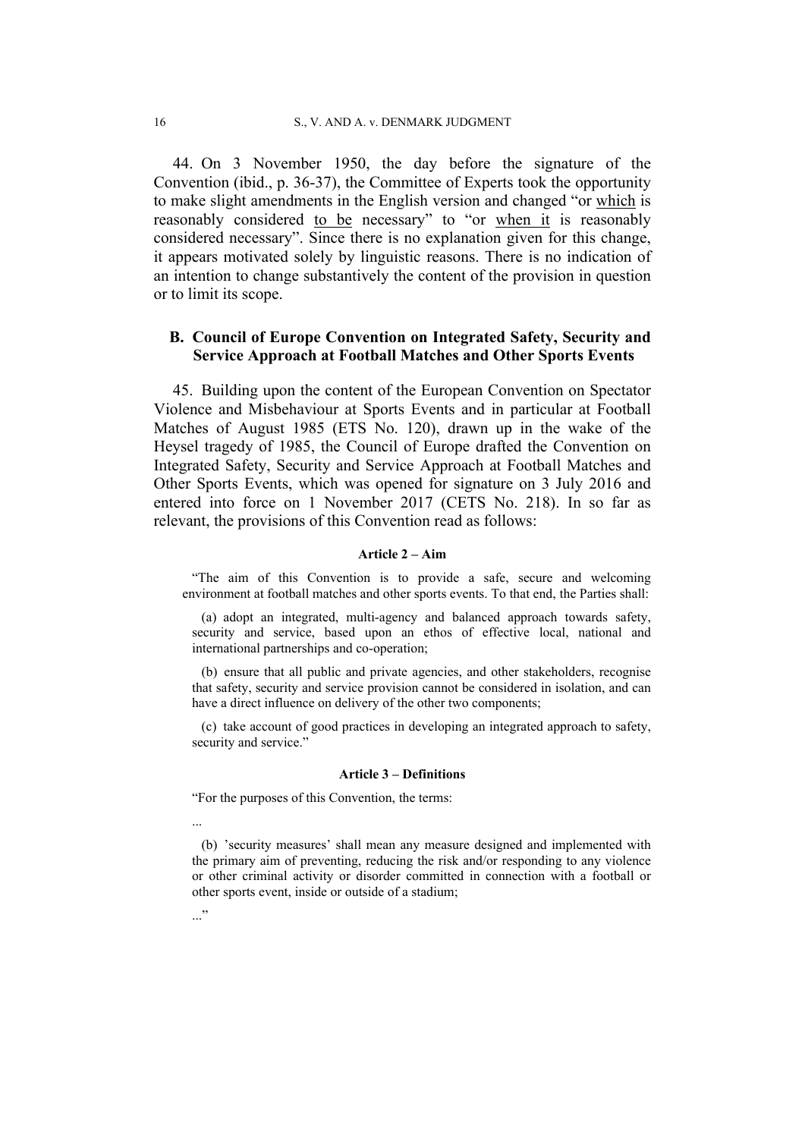44. On 3 November 1950, the day before the signature of the Convention (ibid., p. 36-37), the Committee of Experts took the opportunity to make slight amendments in the English version and changed "or which is reasonably considered to be necessary" to "or when it is reasonably considered necessary". Since there is no explanation given for this change, it appears motivated solely by linguistic reasons. There is no indication of an intention to change substantively the content of the provision in question or to limit its scope.

# **B. Council of Europe Convention on Integrated Safety, Security and Service Approach at Football Matches and Other Sports Events**

45. Building upon the content of the European Convention on Spectator Violence and Misbehaviour at Sports Events and in particular at Football Matches of August 1985 (ETS No. 120), drawn up in the wake of the Heysel tragedy of 1985, the Council of Europe drafted the Convention on Integrated Safety, Security and Service Approach at Football Matches and Other Sports Events, which was opened for signature on 3 July 2016 and entered into force on 1 November 2017 (CETS No. 218). In so far as relevant, the provisions of this Convention read as follows:

#### **Article 2 – Aim**

"The aim of this Convention is to provide a safe, secure and welcoming environment at football matches and other sports events. To that end, the Parties shall:

(a) adopt an integrated, multi-agency and balanced approach towards safety, security and service, based upon an ethos of effective local, national and international partnerships and co-operation;

(b) ensure that all public and private agencies, and other stakeholders, recognise that safety, security and service provision cannot be considered in isolation, and can have a direct influence on delivery of the other two components;

(c) take account of good practices in developing an integrated approach to safety, security and service."

#### **Article 3 – Definitions**

"For the purposes of this Convention, the terms:

(b) 'security measures' shall mean any measure designed and implemented with the primary aim of preventing, reducing the risk and/or responding to any violence or other criminal activity or disorder committed in connection with a football or other sports event, inside or outside of a stadium;

..."

...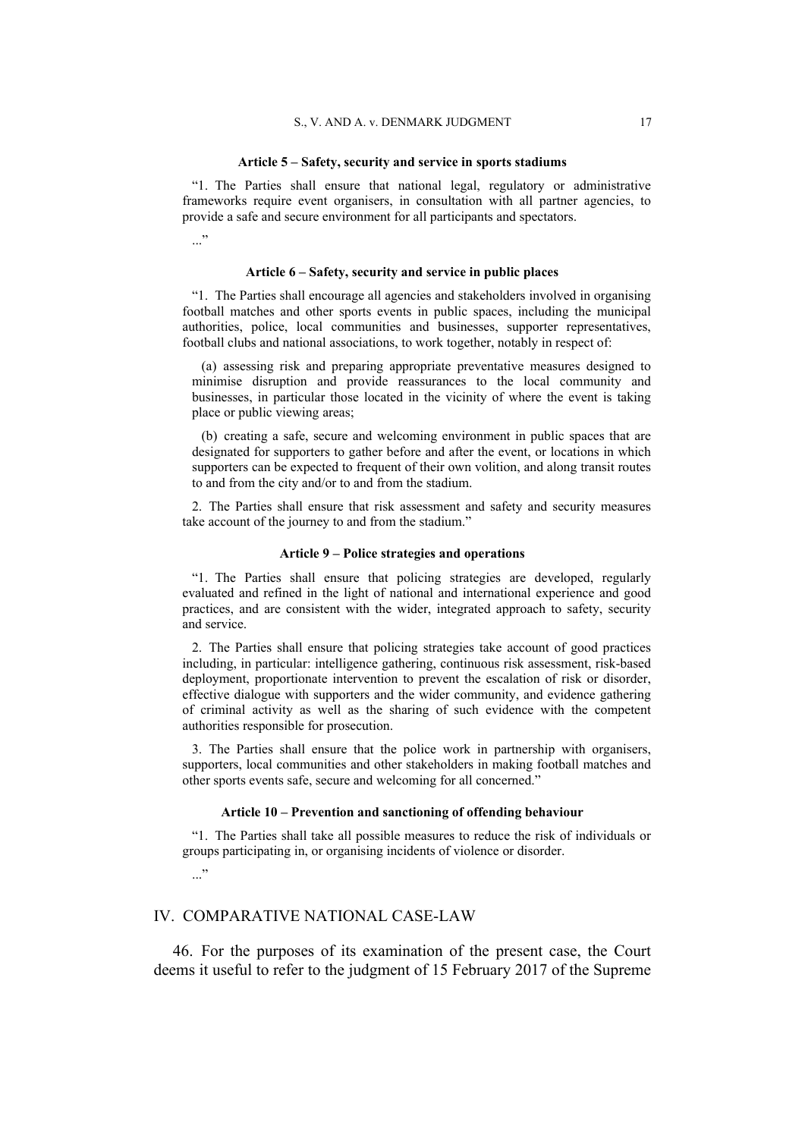#### **Article 5 – Safety, security and service in sports stadiums**

"1. The Parties shall ensure that national legal, regulatory or administrative frameworks require event organisers, in consultation with all partner agencies, to provide a safe and secure environment for all participants and spectators.

 $\cdot$   $\cdot$ 

#### **Article 6 – Safety, security and service in public places**

"1. The Parties shall encourage all agencies and stakeholders involved in organising football matches and other sports events in public spaces, including the municipal authorities, police, local communities and businesses, supporter representatives, football clubs and national associations, to work together, notably in respect of:

(a) assessing risk and preparing appropriate preventative measures designed to minimise disruption and provide reassurances to the local community and businesses, in particular those located in the vicinity of where the event is taking place or public viewing areas;

(b) creating a safe, secure and welcoming environment in public spaces that are designated for supporters to gather before and after the event, or locations in which supporters can be expected to frequent of their own volition, and along transit routes to and from the city and/or to and from the stadium.

2. The Parties shall ensure that risk assessment and safety and security measures take account of the journey to and from the stadium."

#### **Article 9 – Police strategies and operations**

"1. The Parties shall ensure that policing strategies are developed, regularly evaluated and refined in the light of national and international experience and good practices, and are consistent with the wider, integrated approach to safety, security and service.

2. The Parties shall ensure that policing strategies take account of good practices including, in particular: intelligence gathering, continuous risk assessment, risk-based deployment, proportionate intervention to prevent the escalation of risk or disorder, effective dialogue with supporters and the wider community, and evidence gathering of criminal activity as well as the sharing of such evidence with the competent authorities responsible for prosecution.

3. The Parties shall ensure that the police work in partnership with organisers, supporters, local communities and other stakeholders in making football matches and other sports events safe, secure and welcoming for all concerned."

#### **Article 10 – Prevention and sanctioning of offending behaviour**

"1. The Parties shall take all possible measures to reduce the risk of individuals or groups participating in, or organising incidents of violence or disorder.

 $\ddots$ "

# IV. COMPARATIVE NATIONAL CASE-LAW

46. For the purposes of its examination of the present case, the Court deems it useful to refer to the judgment of 15 February 2017 of the Supreme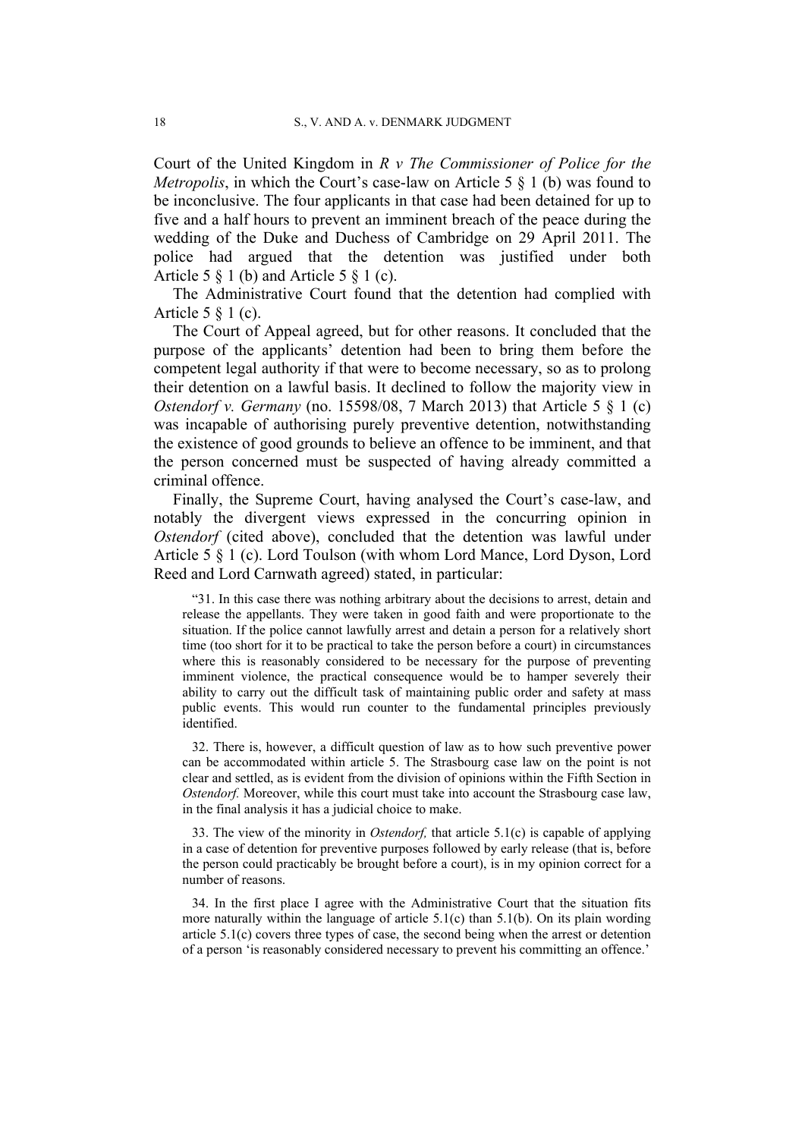Court of the United Kingdom in *R v The Commissioner of Police for the Metropolis*, in which the Court's case-law on Article 5 § 1 (b) was found to be inconclusive. The four applicants in that case had been detained for up to five and a half hours to prevent an imminent breach of the peace during the wedding of the Duke and Duchess of Cambridge on 29 April 2011. The police had argued that the detention was justified under both Article 5  $\S$  1 (b) and Article 5  $\S$  1 (c).

The Administrative Court found that the detention had complied with Article 5 § 1 (c).

The Court of Appeal agreed, but for other reasons. It concluded that the purpose of the applicants' detention had been to bring them before the competent legal authority if that were to become necessary, so as to prolong their detention on a lawful basis. It declined to follow the majority view in *Ostendorf v. Germany* (no. 15598/08, 7 March 2013) that Article 5 § 1 (c) was incapable of authorising purely preventive detention, notwithstanding the existence of good grounds to believe an offence to be imminent, and that the person concerned must be suspected of having already committed a criminal offence.

Finally, the Supreme Court, having analysed the Court's case-law, and notably the divergent views expressed in the concurring opinion in *Ostendorf* (cited above), concluded that the detention was lawful under Article 5 § 1 (c). Lord Toulson (with whom Lord Mance, Lord Dyson, Lord Reed and Lord Carnwath agreed) stated, in particular:

"31. In this case there was nothing arbitrary about the decisions to arrest, detain and release the appellants. They were taken in good faith and were proportionate to the situation. If the police cannot lawfully arrest and detain a person for a relatively short time (too short for it to be practical to take the person before a court) in circumstances where this is reasonably considered to be necessary for the purpose of preventing imminent violence, the practical consequence would be to hamper severely their ability to carry out the difficult task of maintaining public order and safety at mass public events. This would run counter to the fundamental principles previously identified.

32. There is, however, a difficult question of law as to how such preventive power can be accommodated within article 5. The Strasbourg case law on the point is not clear and settled, as is evident from the division of opinions within the Fifth Section in *Ostendorf.* Moreover, while this court must take into account the Strasbourg case law, in the final analysis it has a judicial choice to make.

33. The view of the minority in *Ostendorf,* that article 5.1(c) is capable of applying in a case of detention for preventive purposes followed by early release (that is, before the person could practicably be brought before a court), is in my opinion correct for a number of reasons.

34. In the first place I agree with the Administrative Court that the situation fits more naturally within the language of article 5.1(c) than 5.1(b). On its plain wording article 5.1(c) covers three types of case, the second being when the arrest or detention of a person 'is reasonably considered necessary to prevent his committing an offence.'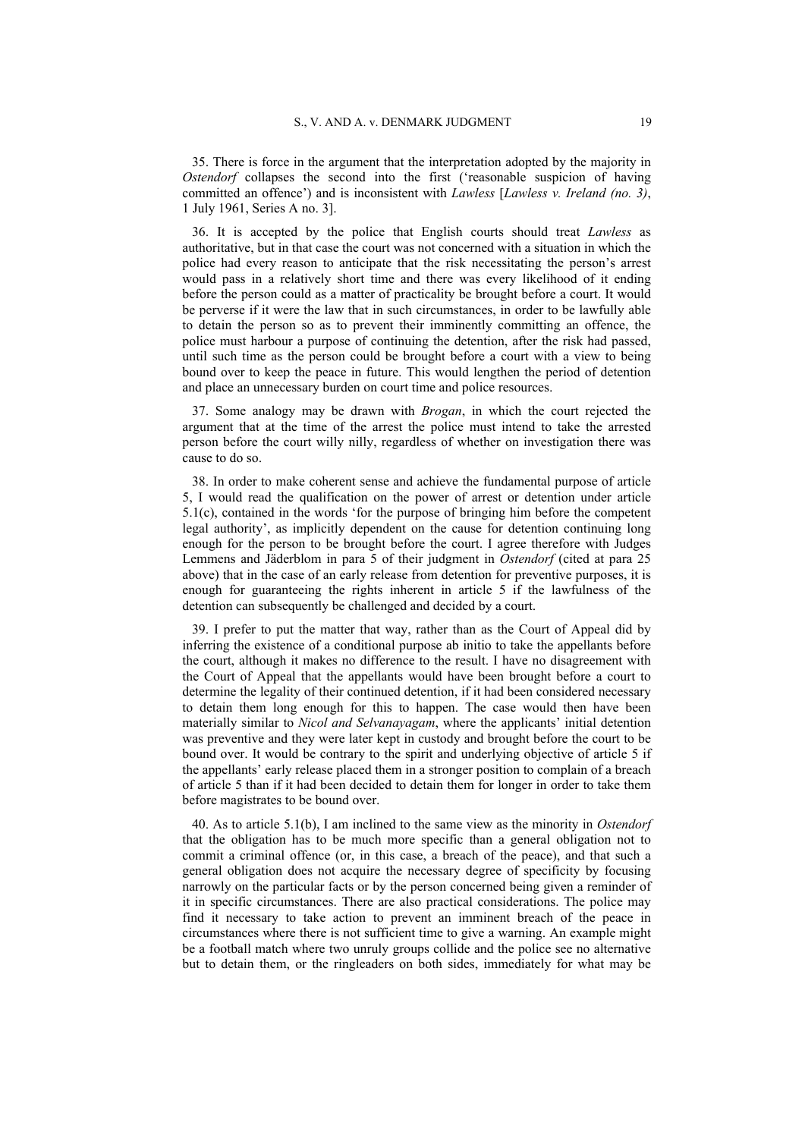35. There is force in the argument that the interpretation adopted by the majority in *Ostendorf* collapses the second into the first ('reasonable suspicion of having committed an offence') and is inconsistent with *Lawless* [*Lawless v. Ireland (no. 3)*, 1 July 1961, Series A no. 3].

36. It is accepted by the police that English courts should treat *Lawless* as authoritative, but in that case the court was not concerned with a situation in which the police had every reason to anticipate that the risk necessitating the person's arrest would pass in a relatively short time and there was every likelihood of it ending before the person could as a matter of practicality be brought before a court. It would be perverse if it were the law that in such circumstances, in order to be lawfully able to detain the person so as to prevent their imminently committing an offence, the police must harbour a purpose of continuing the detention, after the risk had passed, until such time as the person could be brought before a court with a view to being bound over to keep the peace in future. This would lengthen the period of detention and place an unnecessary burden on court time and police resources.

37. Some analogy may be drawn with *Brogan*, in which the court rejected the argument that at the time of the arrest the police must intend to take the arrested person before the court willy nilly, regardless of whether on investigation there was cause to do so.

38. In order to make coherent sense and achieve the fundamental purpose of article 5, I would read the qualification on the power of arrest or detention under article 5.1(c), contained in the words 'for the purpose of bringing him before the competent legal authority', as implicitly dependent on the cause for detention continuing long enough for the person to be brought before the court. I agree therefore with Judges Lemmens and Jäderblom in para 5 of their judgment in *Ostendorf* (cited at para 25 above) that in the case of an early release from detention for preventive purposes, it is enough for guaranteeing the rights inherent in article 5 if the lawfulness of the detention can subsequently be challenged and decided by a court.

39. I prefer to put the matter that way, rather than as the Court of Appeal did by inferring the existence of a conditional purpose ab initio to take the appellants before the court, although it makes no difference to the result. I have no disagreement with the Court of Appeal that the appellants would have been brought before a court to determine the legality of their continued detention, if it had been considered necessary to detain them long enough for this to happen. The case would then have been materially similar to *Nicol and Selvanayagam*, where the applicants' initial detention was preventive and they were later kept in custody and brought before the court to be bound over. It would be contrary to the spirit and underlying objective of article 5 if the appellants' early release placed them in a stronger position to complain of a breach of article 5 than if it had been decided to detain them for longer in order to take them before magistrates to be bound over.

40. As to article 5.1(b), I am inclined to the same view as the minority in *Ostendorf* that the obligation has to be much more specific than a general obligation not to commit a criminal offence (or, in this case, a breach of the peace), and that such a general obligation does not acquire the necessary degree of specificity by focusing narrowly on the particular facts or by the person concerned being given a reminder of it in specific circumstances. There are also practical considerations. The police may find it necessary to take action to prevent an imminent breach of the peace in circumstances where there is not sufficient time to give a warning. An example might be a football match where two unruly groups collide and the police see no alternative but to detain them, or the ringleaders on both sides, immediately for what may be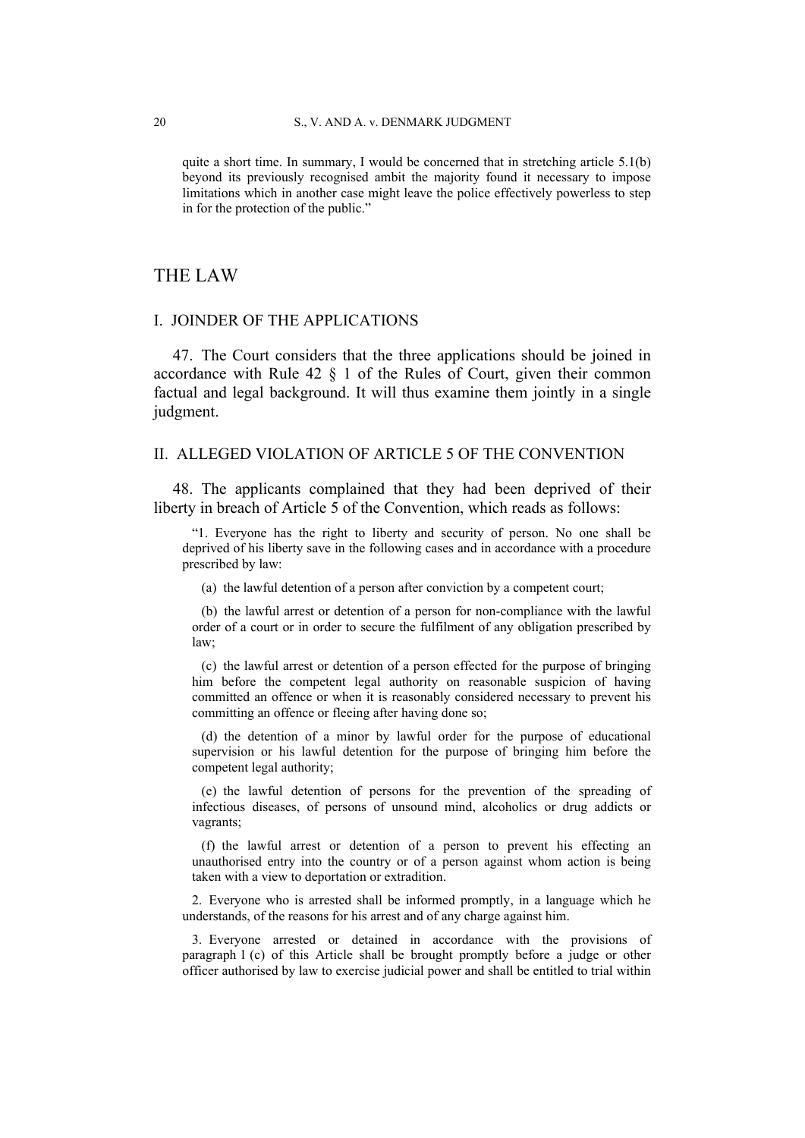quite a short time. In summary, I would be concerned that in stretching article  $5.1(b)$ beyond its previously recognised ambit the majority found it necessary to impose limitations which in another case might leave the police effectively powerless to step in for the protection of the public."

# THE LAW

# I. JOINDER OF THE APPLICATIONS

47. The Court considers that the three applications should be joined in accordance with Rule 42 § 1 of the Rules of Court, given their common factual and legal background. It will thus examine them jointly in a single judgment.

# II. ALLEGED VIOLATION OF ARTICLE 5 OF THE CONVENTION

48. The applicants complained that they had been deprived of their liberty in breach of Article 5 of the Convention, which reads as follows:

"1. Everyone has the right to liberty and security of person. No one shall be deprived of his liberty save in the following cases and in accordance with a procedure prescribed by law:

(a) the lawful detention of a person after conviction by a competent court;

(b) the lawful arrest or detention of a person for non-compliance with the lawful order of a court or in order to secure the fulfilment of any obligation prescribed by law;

(c) the lawful arrest or detention of a person effected for the purpose of bringing him before the competent legal authority on reasonable suspicion of having committed an offence or when it is reasonably considered necessary to prevent his committing an offence or fleeing after having done so;

(d) the detention of a minor by lawful order for the purpose of educational supervision or his lawful detention for the purpose of bringing him before the competent legal authority;

(e) the lawful detention of persons for the prevention of the spreading of infectious diseases, of persons of unsound mind, alcoholics or drug addicts or vagrants;

(f) the lawful arrest or detention of a person to prevent his effecting an unauthorised entry into the country or of a person against whom action is being taken with a view to deportation or extradition.

2. Everyone who is arrested shall be informed promptly, in a language which he understands, of the reasons for his arrest and of any charge against him.

3. Everyone arrested or detained in accordance with the provisions of paragraph 1 (c) of this Article shall be brought promptly before a judge or other officer authorised by law to exercise judicial power and shall be entitled to trial within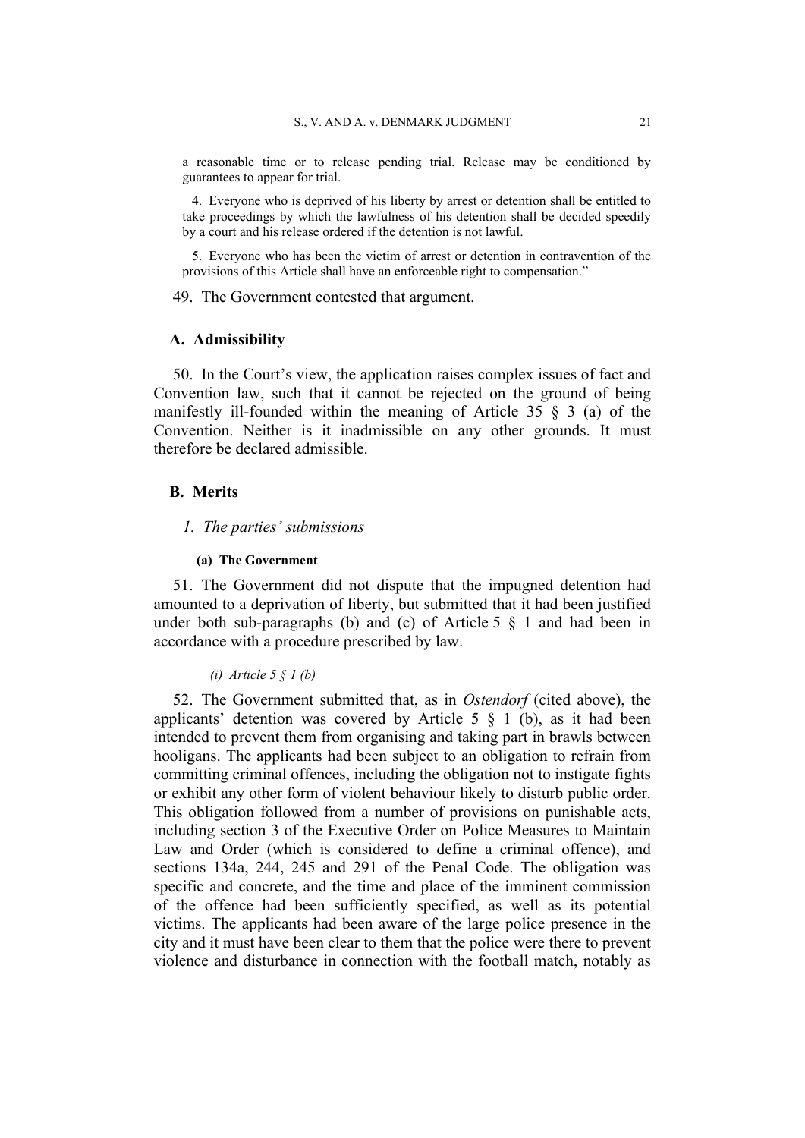a reasonable time or to release pending trial. Release may be conditioned by guarantees to appear for trial.

4. Everyone who is deprived of his liberty by arrest or detention shall be entitled to take proceedings by which the lawfulness of his detention shall be decided speedily by a court and his release ordered if the detention is not lawful.

5. Everyone who has been the victim of arrest or detention in contravention of the provisions of this Article shall have an enforceable right to compensation."

49. The Government contested that argument.

# **A. Admissibility**

50. In the Court's view, the application raises complex issues of fact and Convention law, such that it cannot be rejected on the ground of being manifestly ill-founded within the meaning of Article 35 § 3 (a) of the Convention. Neither is it inadmissible on any other grounds. It must therefore be declared admissible.

### **B. Merits**

#### *1. The parties' submissions*

#### **(a) The Government**

51. The Government did not dispute that the impugned detention had amounted to a deprivation of liberty, but submitted that it had been justified under both sub-paragraphs (b) and (c) of Article  $5 \S 1$  and had been in accordance with a procedure prescribed by law.

#### *(i) Article 5 § 1 (b)*

52. The Government submitted that, as in *Ostendorf* (cited above), the applicants' detention was covered by Article 5  $\S$  1 (b), as it had been intended to prevent them from organising and taking part in brawls between hooligans. The applicants had been subject to an obligation to refrain from committing criminal offences, including the obligation not to instigate fights or exhibit any other form of violent behaviour likely to disturb public order. This obligation followed from a number of provisions on punishable acts, including section 3 of the Executive Order on Police Measures to Maintain Law and Order (which is considered to define a criminal offence), and sections 134a, 244, 245 and 291 of the Penal Code. The obligation was specific and concrete, and the time and place of the imminent commission of the offence had been sufficiently specified, as well as its potential victims. The applicants had been aware of the large police presence in the city and it must have been clear to them that the police were there to prevent violence and disturbance in connection with the football match, notably as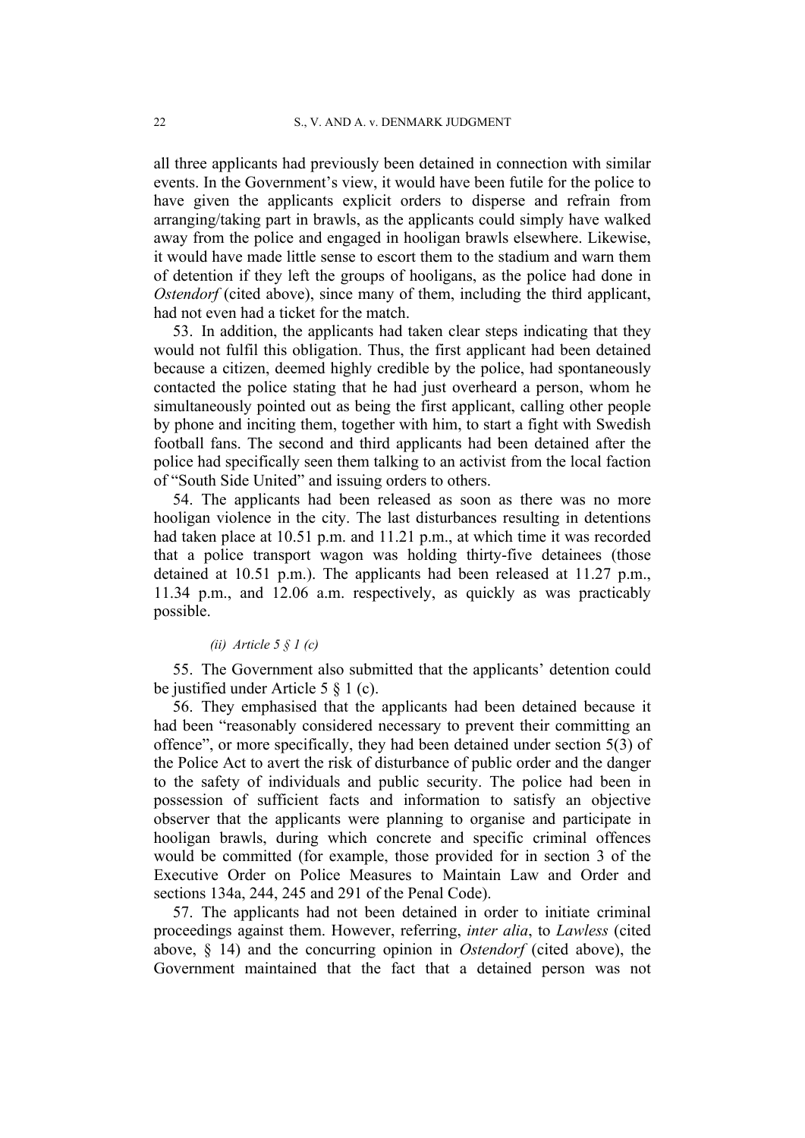all three applicants had previously been detained in connection with similar events. In the Government's view, it would have been futile for the police to have given the applicants explicit orders to disperse and refrain from arranging/taking part in brawls, as the applicants could simply have walked away from the police and engaged in hooligan brawls elsewhere. Likewise, it would have made little sense to escort them to the stadium and warn them of detention if they left the groups of hooligans, as the police had done in *Ostendorf* (cited above), since many of them, including the third applicant, had not even had a ticket for the match.

53. In addition, the applicants had taken clear steps indicating that they would not fulfil this obligation. Thus, the first applicant had been detained because a citizen, deemed highly credible by the police, had spontaneously contacted the police stating that he had just overheard a person, whom he simultaneously pointed out as being the first applicant, calling other people by phone and inciting them, together with him, to start a fight with Swedish football fans. The second and third applicants had been detained after the police had specifically seen them talking to an activist from the local faction of "South Side United" and issuing orders to others.

54. The applicants had been released as soon as there was no more hooligan violence in the city. The last disturbances resulting in detentions had taken place at 10.51 p.m. and 11.21 p.m., at which time it was recorded that a police transport wagon was holding thirty-five detainees (those detained at 10.51 p.m.). The applicants had been released at 11.27 p.m., 11.34 p.m., and 12.06 a.m. respectively, as quickly as was practicably possible.

### *(ii) Article 5 § 1 (c)*

55. The Government also submitted that the applicants' detention could be justified under Article 5 § 1 (c).

56. They emphasised that the applicants had been detained because it had been "reasonably considered necessary to prevent their committing an offence", or more specifically, they had been detained under section 5(3) of the Police Act to avert the risk of disturbance of public order and the danger to the safety of individuals and public security. The police had been in possession of sufficient facts and information to satisfy an objective observer that the applicants were planning to organise and participate in hooligan brawls, during which concrete and specific criminal offences would be committed (for example, those provided for in section 3 of the Executive Order on Police Measures to Maintain Law and Order and sections 134a, 244, 245 and 291 of the Penal Code).

57. The applicants had not been detained in order to initiate criminal proceedings against them. However, referring, *inter alia*, to *Lawless* (cited above, § 14) and the concurring opinion in *Ostendorf* (cited above), the Government maintained that the fact that a detained person was not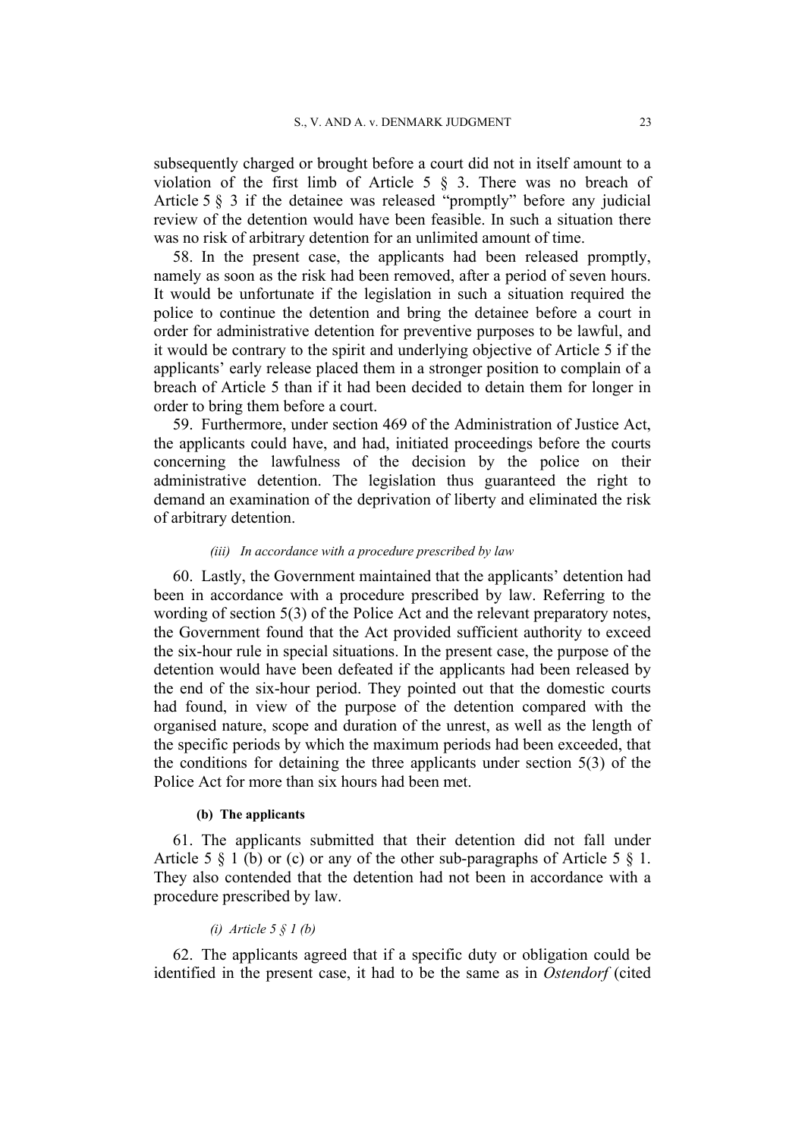subsequently charged or brought before a court did not in itself amount to a violation of the first limb of Article 5 § 3. There was no breach of Article 5 § 3 if the detainee was released "promptly" before any judicial review of the detention would have been feasible. In such a situation there was no risk of arbitrary detention for an unlimited amount of time.

58. In the present case, the applicants had been released promptly, namely as soon as the risk had been removed, after a period of seven hours. It would be unfortunate if the legislation in such a situation required the police to continue the detention and bring the detainee before a court in order for administrative detention for preventive purposes to be lawful, and it would be contrary to the spirit and underlying objective of Article 5 if the applicants' early release placed them in a stronger position to complain of a breach of Article 5 than if it had been decided to detain them for longer in order to bring them before a court.

59. Furthermore, under section 469 of the Administration of Justice Act, the applicants could have, and had, initiated proceedings before the courts concerning the lawfulness of the decision by the police on their administrative detention. The legislation thus guaranteed the right to demand an examination of the deprivation of liberty and eliminated the risk of arbitrary detention.

### *(iii) In accordance with a procedure prescribed by law*

60. Lastly, the Government maintained that the applicants' detention had been in accordance with a procedure prescribed by law. Referring to the wording of section 5(3) of the Police Act and the relevant preparatory notes, the Government found that the Act provided sufficient authority to exceed the six-hour rule in special situations. In the present case, the purpose of the detention would have been defeated if the applicants had been released by the end of the six-hour period. They pointed out that the domestic courts had found, in view of the purpose of the detention compared with the organised nature, scope and duration of the unrest, as well as the length of the specific periods by which the maximum periods had been exceeded, that the conditions for detaining the three applicants under section 5(3) of the Police Act for more than six hours had been met.

## **(b) The applicants**

61. The applicants submitted that their detention did not fall under Article 5  $\S$  1 (b) or (c) or any of the other sub-paragraphs of Article 5  $\S$  1. They also contended that the detention had not been in accordance with a procedure prescribed by law.

# *(i) Article 5 § 1 (b)*

62. The applicants agreed that if a specific duty or obligation could be identified in the present case, it had to be the same as in *Ostendorf* (cited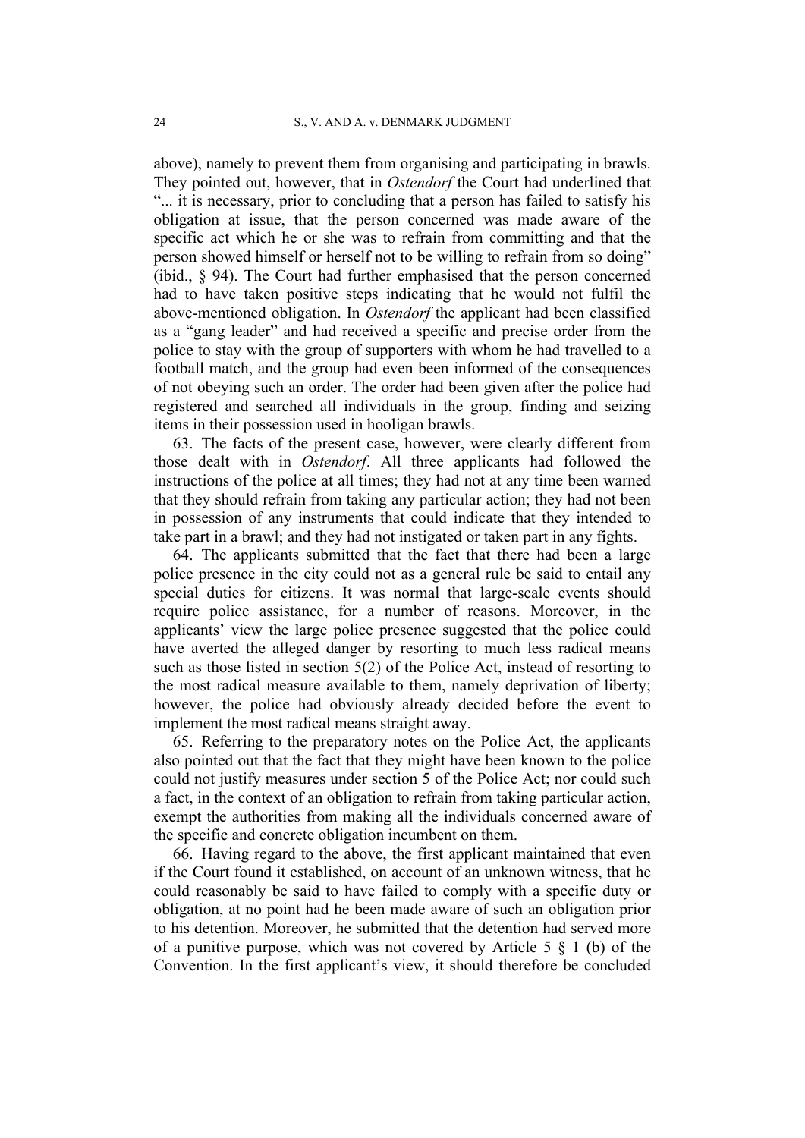above), namely to prevent them from organising and participating in brawls. They pointed out, however, that in *Ostendorf* the Court had underlined that "... it is necessary, prior to concluding that a person has failed to satisfy his obligation at issue, that the person concerned was made aware of the specific act which he or she was to refrain from committing and that the person showed himself or herself not to be willing to refrain from so doing" (ibid., § 94). The Court had further emphasised that the person concerned had to have taken positive steps indicating that he would not fulfil the above-mentioned obligation. In *Ostendorf* the applicant had been classified as a "gang leader" and had received a specific and precise order from the police to stay with the group of supporters with whom he had travelled to a football match, and the group had even been informed of the consequences of not obeying such an order. The order had been given after the police had registered and searched all individuals in the group, finding and seizing items in their possession used in hooligan brawls.

63. The facts of the present case, however, were clearly different from those dealt with in *Ostendorf*. All three applicants had followed the instructions of the police at all times; they had not at any time been warned that they should refrain from taking any particular action; they had not been in possession of any instruments that could indicate that they intended to take part in a brawl; and they had not instigated or taken part in any fights.

64. The applicants submitted that the fact that there had been a large police presence in the city could not as a general rule be said to entail any special duties for citizens. It was normal that large-scale events should require police assistance, for a number of reasons. Moreover, in the applicants' view the large police presence suggested that the police could have averted the alleged danger by resorting to much less radical means such as those listed in section 5(2) of the Police Act, instead of resorting to the most radical measure available to them, namely deprivation of liberty; however, the police had obviously already decided before the event to implement the most radical means straight away.

65. Referring to the preparatory notes on the Police Act, the applicants also pointed out that the fact that they might have been known to the police could not justify measures under section 5 of the Police Act; nor could such a fact, in the context of an obligation to refrain from taking particular action, exempt the authorities from making all the individuals concerned aware of the specific and concrete obligation incumbent on them.

66. Having regard to the above, the first applicant maintained that even if the Court found it established, on account of an unknown witness, that he could reasonably be said to have failed to comply with a specific duty or obligation, at no point had he been made aware of such an obligation prior to his detention. Moreover, he submitted that the detention had served more of a punitive purpose, which was not covered by Article 5  $\S$  1 (b) of the Convention. In the first applicant's view, it should therefore be concluded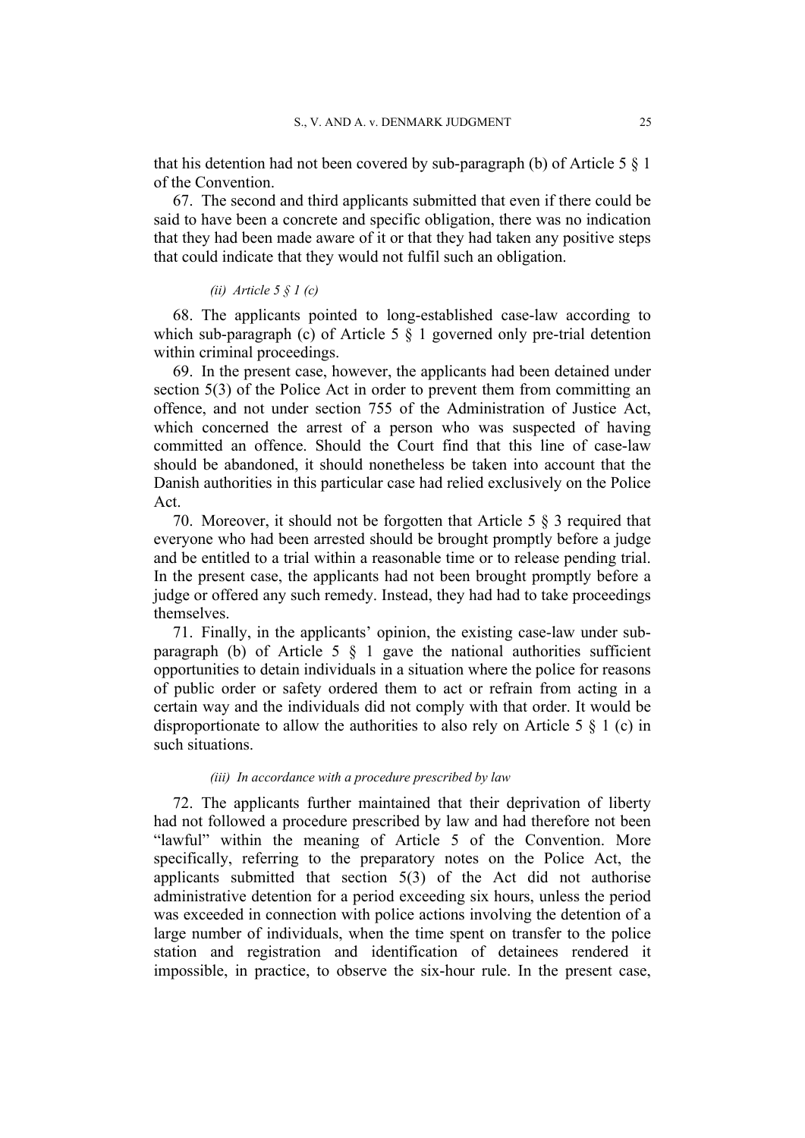that his detention had not been covered by sub-paragraph (b) of Article 5 § 1 of the Convention.

67. The second and third applicants submitted that even if there could be said to have been a concrete and specific obligation, there was no indication that they had been made aware of it or that they had taken any positive steps that could indicate that they would not fulfil such an obligation.

# *(ii) Article 5 § 1 (c)*

68. The applicants pointed to long-established case-law according to which sub-paragraph (c) of Article 5  $\overline{\S}$  1 governed only pre-trial detention within criminal proceedings.

69. In the present case, however, the applicants had been detained under section 5(3) of the Police Act in order to prevent them from committing an offence, and not under section 755 of the Administration of Justice Act, which concerned the arrest of a person who was suspected of having committed an offence. Should the Court find that this line of case-law should be abandoned, it should nonetheless be taken into account that the Danish authorities in this particular case had relied exclusively on the Police Act.

70. Moreover, it should not be forgotten that Article 5 § 3 required that everyone who had been arrested should be brought promptly before a judge and be entitled to a trial within a reasonable time or to release pending trial. In the present case, the applicants had not been brought promptly before a judge or offered any such remedy. Instead, they had had to take proceedings themselves.

71. Finally, in the applicants' opinion, the existing case-law under subparagraph (b) of Article 5  $\S$  1 gave the national authorities sufficient opportunities to detain individuals in a situation where the police for reasons of public order or safety ordered them to act or refrain from acting in a certain way and the individuals did not comply with that order. It would be disproportionate to allow the authorities to also rely on Article 5 § 1 (c) in such situations.

### *(iii) In accordance with a procedure prescribed by law*

72. The applicants further maintained that their deprivation of liberty had not followed a procedure prescribed by law and had therefore not been "lawful" within the meaning of Article 5 of the Convention. More specifically, referring to the preparatory notes on the Police Act, the applicants submitted that section 5(3) of the Act did not authorise administrative detention for a period exceeding six hours, unless the period was exceeded in connection with police actions involving the detention of a large number of individuals, when the time spent on transfer to the police station and registration and identification of detainees rendered it impossible, in practice, to observe the six-hour rule. In the present case,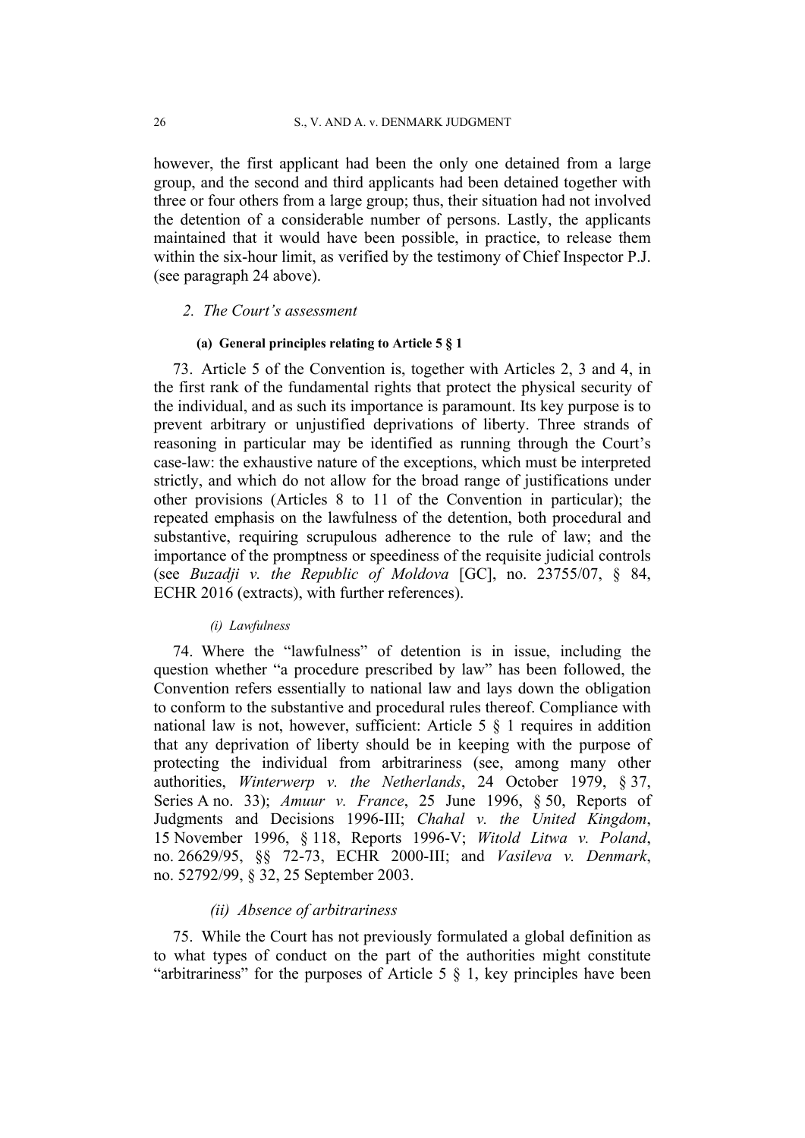however, the first applicant had been the only one detained from a large group, and the second and third applicants had been detained together with three or four others from a large group; thus, their situation had not involved the detention of a considerable number of persons. Lastly, the applicants maintained that it would have been possible, in practice, to release them within the six-hour limit, as verified by the testimony of Chief Inspector P.J. (see paragraph 24 above).

### *2. The Court's assessment*

### **(a) General principles relating to Article 5 § 1**

73. Article 5 of the Convention is, together with Articles 2, 3 and 4, in the first rank of the fundamental rights that protect the physical security of the individual, and as such its importance is paramount. Its key purpose is to prevent arbitrary or unjustified deprivations of liberty. Three strands of reasoning in particular may be identified as running through the Court's case-law: the exhaustive nature of the exceptions, which must be interpreted strictly, and which do not allow for the broad range of justifications under other provisions (Articles 8 to 11 of the Convention in particular); the repeated emphasis on the lawfulness of the detention, both procedural and substantive, requiring scrupulous adherence to the rule of law; and the importance of the promptness or speediness of the requisite judicial controls (see *Buzadji v. the Republic of Moldova* [GC], no. 23755/07, § 84, ECHR 2016 (extracts), with further references).

#### *(i) Lawfulness*

74. Where the "lawfulness" of detention is in issue, including the question whether "a procedure prescribed by law" has been followed, the Convention refers essentially to national law and lays down the obligation to conform to the substantive and procedural rules thereof. Compliance with national law is not, however, sufficient: Article 5 § 1 requires in addition that any deprivation of liberty should be in keeping with the purpose of protecting the individual from arbitrariness (see, among many other authorities, *Winterwerp v. the Netherlands*, 24 October 1979, § 37, Series A no. 33); *Amuur v. France*, 25 June 1996, § 50, Reports of Judgments and Decisions 1996-III; *Chahal v. the United Kingdom*, 15 November 1996, § 118, Reports 1996-V; *Witold Litwa v. Poland*, no. 26629/95, §§ 72-73, ECHR 2000-III; and *Vasileva v. Denmark*, no. 52792/99, § 32, 25 September 2003.

# *(ii) Absence of arbitrariness*

75. While the Court has not previously formulated a global definition as to what types of conduct on the part of the authorities might constitute "arbitrariness" for the purposes of Article 5  $\S$  1, key principles have been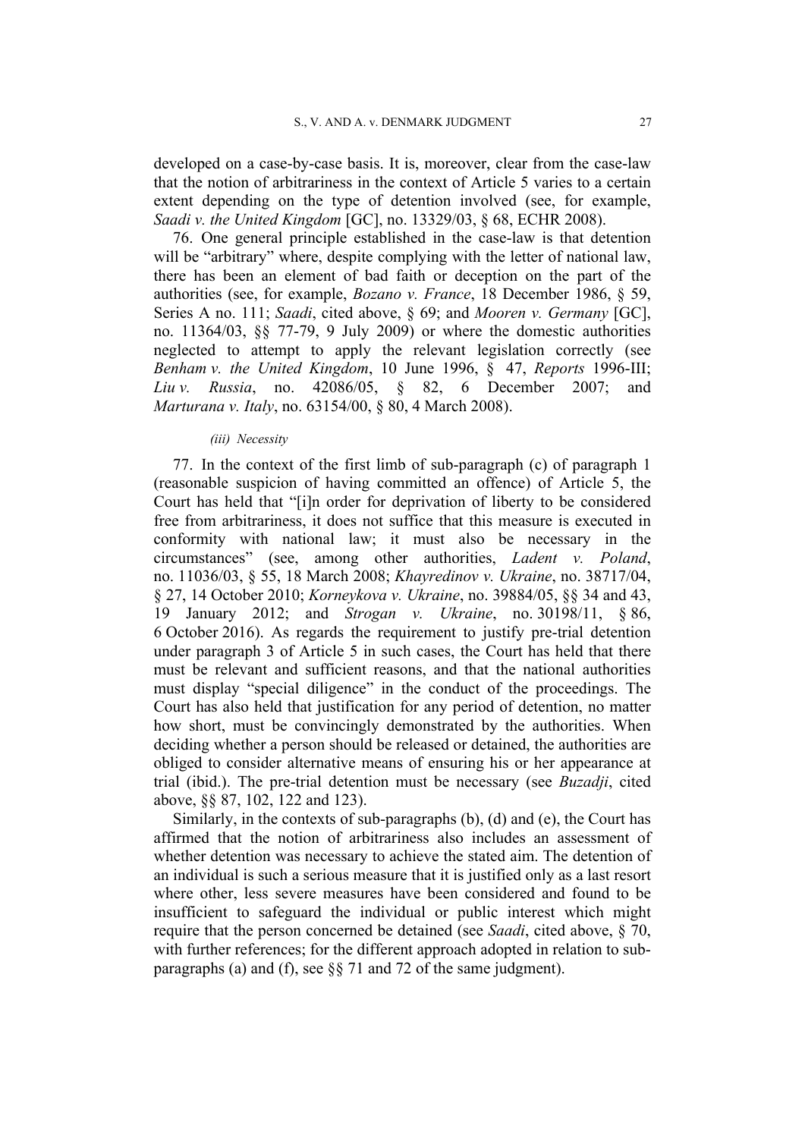developed on a case-by-case basis. It is, moreover, clear from the case-law that the notion of arbitrariness in the context of Article 5 varies to a certain extent depending on the type of detention involved (see, for example, *Saadi v. the United Kingdom* [GC], no. 13329/03, § 68, ECHR 2008).

76. One general principle established in the case-law is that detention will be "arbitrary" where, despite complying with the letter of national law, there has been an element of bad faith or deception on the part of the authorities (see, for example, *Bozano v. France*, 18 December 1986, § 59, Series A no. 111; *Saadi*, cited above, § 69; and *Mooren v. Germany* [GC], no. 11364/03, §§ 77-79, 9 July 2009) or where the domestic authorities neglected to attempt to apply the relevant legislation correctly (see *Benham v. the United Kingdom*, 10 June 1996, § 47, *Reports* 1996-III; *Liu v. Russia*, no. 42086/05, § 82, 6 December 2007; and *Marturana v. Italy*, no. 63154/00, § 80, 4 March 2008).

### *(iii) Necessity*

77. In the context of the first limb of sub-paragraph (c) of paragraph 1 (reasonable suspicion of having committed an offence) of Article 5, the Court has held that "[i]n order for deprivation of liberty to be considered free from arbitrariness, it does not suffice that this measure is executed in conformity with national law; it must also be necessary in the circumstances" (see, among other authorities, *Ladent v. Poland*, no. 11036/03, § 55, 18 March 2008; *Khayredinov v. Ukraine*, no. [38717/04,](https://hudoc.echr.coe.int/eng#%7B) § 27, 14 October 2010; *Korneykova v. Ukraine*, no. 39884/05, §§ 34 and 43, 19 January 2012; and *Strogan v. Ukraine*, no. 30198/11, § 86, 6 October 2016). As regards the requirement to justify pre-trial detention under paragraph 3 of Article 5 in such cases, the Court has held that there must be relevant and sufficient reasons, and that the national authorities must display "special diligence" in the conduct of the proceedings. The Court has also held that justification for any period of detention, no matter how short, must be convincingly demonstrated by the authorities. When deciding whether a person should be released or detained, the authorities are obliged to consider alternative means of ensuring his or her appearance at trial (ibid.). The pre-trial detention must be necessary (see *Buzadji*, cited above, §§ 87, 102, 122 and 123).

Similarly, in the contexts of sub-paragraphs (b), (d) and (e), the Court has affirmed that the notion of arbitrariness also includes an assessment of whether detention was necessary to achieve the stated aim. The detention of an individual is such a serious measure that it is justified only as a last resort where other, less severe measures have been considered and found to be insufficient to safeguard the individual or public interest which might require that the person concerned be detained (see *Saadi*, cited above, § 70, with further references; for the different approach adopted in relation to subparagraphs (a) and (f), see §§ 71 and 72 of the same judgment).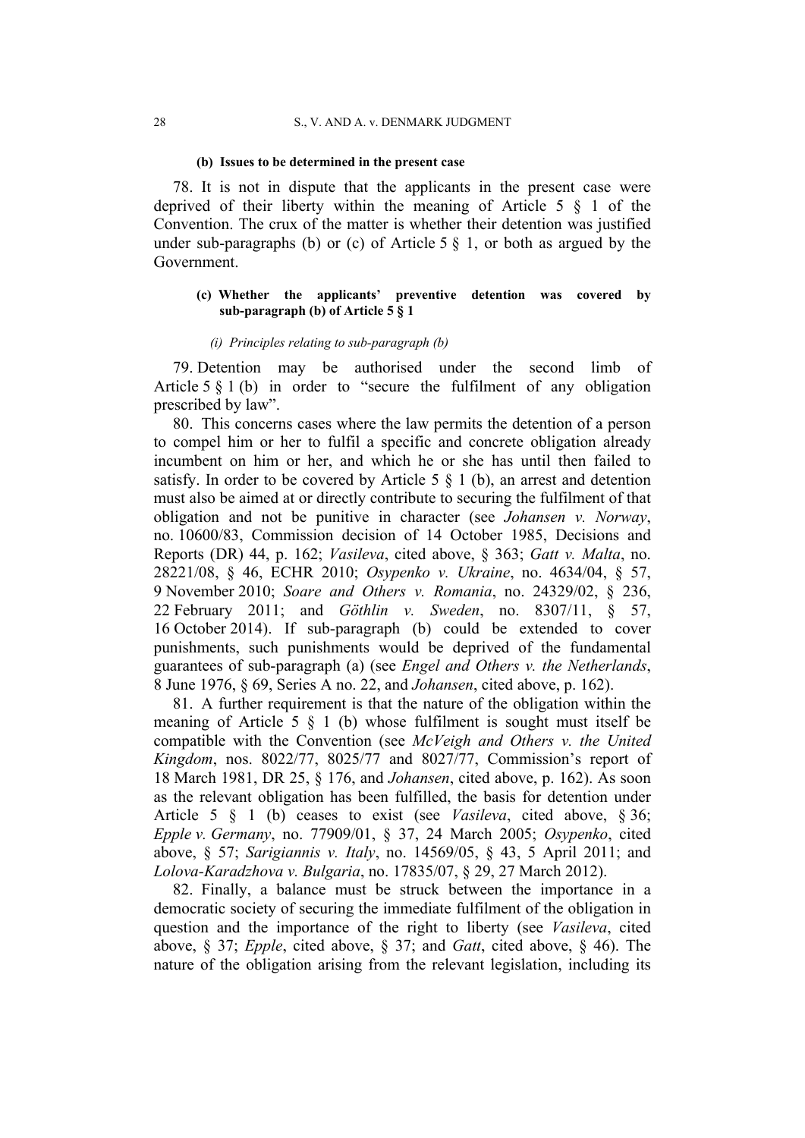#### **(b) Issues to be determined in the present case**

78. It is not in dispute that the applicants in the present case were deprived of their liberty within the meaning of Article 5 § 1 of the Convention. The crux of the matter is whether their detention was justified under sub-paragraphs (b) or (c) of Article  $5 \S 1$ , or both as argued by the Government.

### **(c) Whether the applicants' preventive detention was covered by sub-paragraph (b) of Article 5 § 1**

#### *(i) Principles relating to sub-paragraph (b)*

79. Detention may be authorised under the second limb of Article 5 § 1 (b) in order to "secure the fulfilment of any obligation prescribed by law".

80. This concerns cases where the law permits the detention of a person to compel him or her to fulfil a specific and concrete obligation already incumbent on him or her, and which he or she has until then failed to satisfy. In order to be covered by Article 5  $\S$  1 (b), an arrest and detention must also be aimed at or directly contribute to securing the fulfilment of that obligation and not be punitive in character (see *Johansen v. Norway*, no. [10600/83](https://hudoc.echr.coe.int/eng#%7B), Commission decision of 14 October 1985, Decisions and Reports (DR) 44, p. 162; *Vasileva*, cited above, § 363; *Gatt v. Malta*, no. [28221/08](https://hudoc.echr.coe.int/eng#%7B), § 46, ECHR 2010; *Osypenko v. Ukraine*, no. [4634/04](https://hudoc.echr.coe.int/eng#%7B), § 57, 9 November 2010; *Soare and Others v. Romania*, no. [24329/02,](https://hudoc.echr.coe.int/eng#%7B) § 236, 22 February 2011; and *Göthlin v. Sweden*, no. 8307/11, § 57, 16 October 2014). If sub-paragraph (b) could be extended to cover punishments, such punishments would be deprived of the fundamental guarantees of sub-paragraph (a) (see *Engel and Others v. the Netherlands*, 8 June 1976, § 69, Series A no. 22, and *Johansen*, cited above, p. 162).

81. A further requirement is that the nature of the obligation within the meaning of Article 5  $\S$  1 (b) whose fulfilment is sought must itself be compatible with the Convention (see *McVeigh and Others v. the United Kingdom*, nos. [8022/77,](https://hudoc.echr.coe.int/eng#%7B) [8025/77](https://hudoc.echr.coe.int/eng#%7B) and [8027/77](https://hudoc.echr.coe.int/eng#%7B), Commission's report of 18 March 1981, DR 25, § 176, and *Johansen*, cited above, p. 162). As soon as the relevant obligation has been fulfilled, the basis for detention under Article 5 § 1 (b) ceases to exist (see *Vasileva*, cited above, § 36; *Epple v. Germany*, no. 77909/01, § 37, 24 March 2005; *Osypenko*, cited above, § 57; *Sarigiannis v. Italy*, no. [14569/05](https://hudoc.echr.coe.int/eng#%7B), § 43, 5 April 2011; and *Lolova-Karadzhova v. Bulgaria*, no. 17835/07, § 29, 27 March 2012).

82. Finally, a balance must be struck between the importance in a democratic society of securing the immediate fulfilment of the obligation in question and the importance of the right to liberty (see *Vasileva*, cited above, § 37; *Epple*, cited above, § 37; and *Gatt*, cited above, § 46). The nature of the obligation arising from the relevant legislation, including its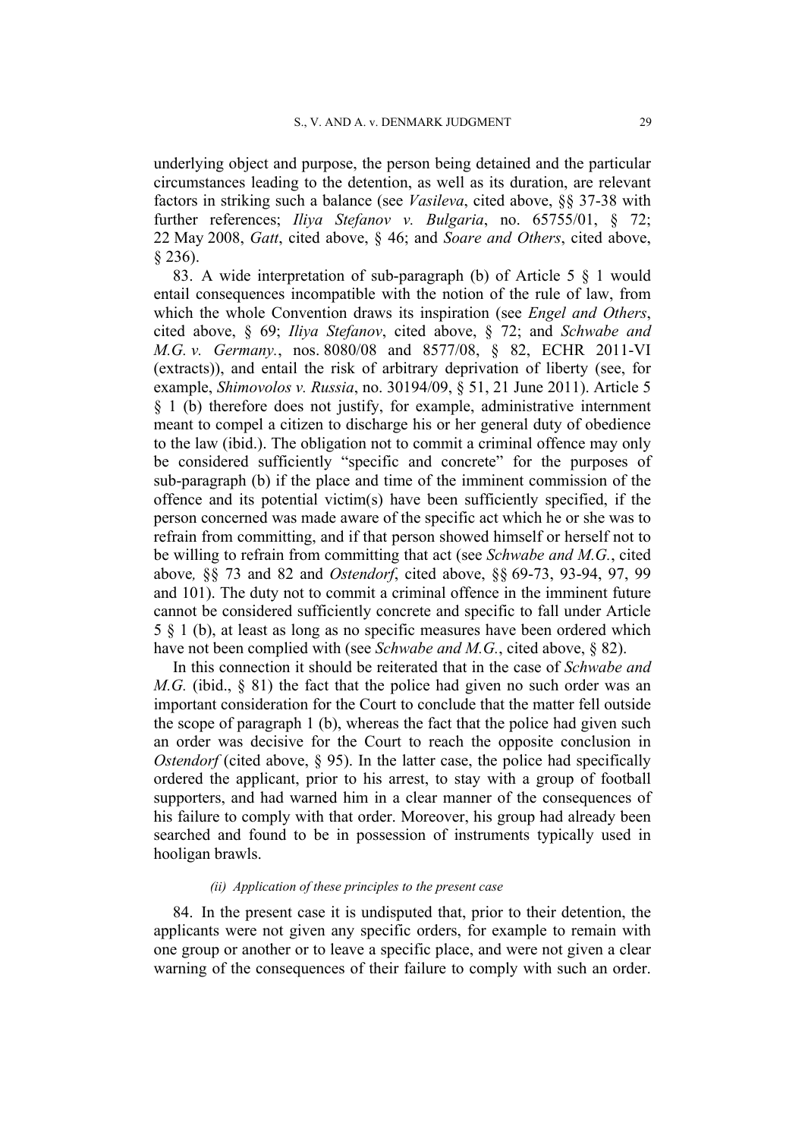underlying object and purpose, the person being detained and the particular circumstances leading to the detention, as well as its duration, are relevant factors in striking such a balance (see *Vasileva*, cited above, §§ 37-38 with further references; *Iliya Stefanov v. Bulgaria*, no. 65755/01, § 72; 22 May 2008, *Gatt*, cited above, § 46; and *Soare and Others*, cited above, § 236).

83. A wide interpretation of sub-paragraph (b) of Article 5 § 1 would entail consequences incompatible with the notion of the rule of law, from which the whole Convention draws its inspiration (see *Engel and Others*, cited above, § 69; *Iliya Stefanov*, cited above, § 72; and *Schwabe and M.G. v. Germany.*, nos. 8080/08 and 8577/08, § 82, ECHR 2011-VI (extracts)), and entail the risk of arbitrary deprivation of liberty (see, for example, *Shimovolos v. Russia*, no. 30194/09, § 51, 21 June 2011). Article 5 § 1 (b) therefore does not justify, for example, administrative internment meant to compel a citizen to discharge his or her general duty of obedience to the law (ibid.). The obligation not to commit a criminal offence may only be considered sufficiently "specific and concrete" for the purposes of sub-paragraph (b) if the place and time of the imminent commission of the offence and its potential victim(s) have been sufficiently specified, if the person concerned was made aware of the specific act which he or she was to refrain from committing, and if that person showed himself or herself not to be willing to refrain from committing that act (see *Schwabe and M.G.*, cited above*,* §§ 73 and 82 and *Ostendorf*, cited above, §§ 69-73, 93-94, 97, 99 and 101). The duty not to commit a criminal offence in the imminent future cannot be considered sufficiently concrete and specific to fall under Article 5 § 1 (b), at least as long as no specific measures have been ordered which have not been complied with (see *Schwabe and M.G.*, cited above, § 82).

In this connection it should be reiterated that in the case of *Schwabe and M.G.* (ibid., § 81) the fact that the police had given no such order was an important consideration for the Court to conclude that the matter fell outside the scope of paragraph 1 (b), whereas the fact that the police had given such an order was decisive for the Court to reach the opposite conclusion in *Ostendorf* (cited above, § 95). In the latter case, the police had specifically ordered the applicant, prior to his arrest, to stay with a group of football supporters, and had warned him in a clear manner of the consequences of his failure to comply with that order. Moreover, his group had already been searched and found to be in possession of instruments typically used in hooligan brawls.

### *(ii) Application of these principles to the present case*

84. In the present case it is undisputed that, prior to their detention, the applicants were not given any specific orders, for example to remain with one group or another or to leave a specific place, and were not given a clear warning of the consequences of their failure to comply with such an order.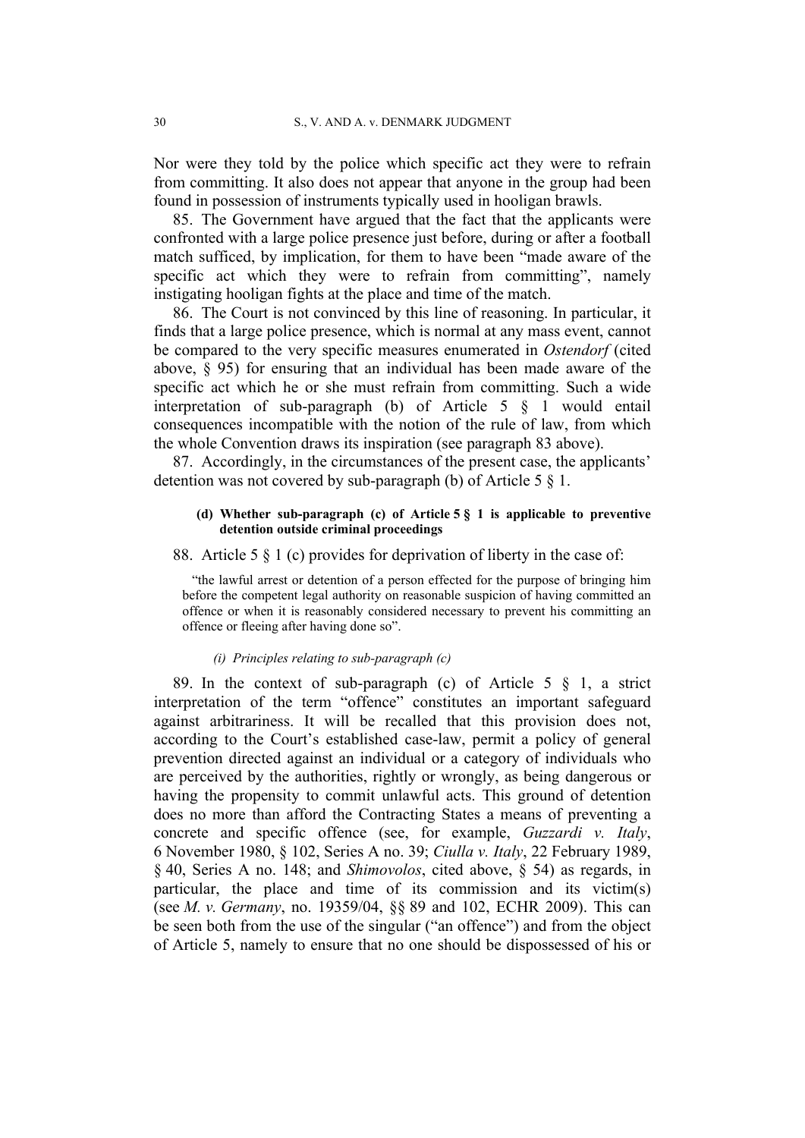Nor were they told by the police which specific act they were to refrain from committing. It also does not appear that anyone in the group had been found in possession of instruments typically used in hooligan brawls.

85. The Government have argued that the fact that the applicants were confronted with a large police presence just before, during or after a football match sufficed, by implication, for them to have been "made aware of the specific act which they were to refrain from committing", namely instigating hooligan fights at the place and time of the match.

86. The Court is not convinced by this line of reasoning. In particular, it finds that a large police presence, which is normal at any mass event, cannot be compared to the very specific measures enumerated in *Ostendorf* (cited above, § 95) for ensuring that an individual has been made aware of the specific act which he or she must refrain from committing. Such a wide interpretation of sub-paragraph (b) of Article 5 § 1 would entail consequences incompatible with the notion of the rule of law, from which the whole Convention draws its inspiration (see paragraph 83 above).

87. Accordingly, in the circumstances of the present case, the applicants' detention was not covered by sub-paragraph (b) of Article 5 § 1.

# **(d) Whether sub-paragraph (c) of Article 5 § 1 is applicable to preventive detention outside criminal proceedings**

88. Article 5 § 1 (c) provides for deprivation of liberty in the case of:

"the lawful arrest or detention of a person effected for the purpose of bringing him before the competent legal authority on reasonable suspicion of having committed an offence or when it is reasonably considered necessary to prevent his committing an offence or fleeing after having done so".

#### *(i) Principles relating to sub-paragraph (c)*

89. In the context of sub-paragraph (c) of Article 5 § 1, a strict interpretation of the term "offence" constitutes an important safeguard against arbitrariness. It will be recalled that this provision does not, according to the Court's established case-law, permit a policy of general prevention directed against an individual or a category of individuals who are perceived by the authorities, rightly or wrongly, as being dangerous or having the propensity to commit unlawful acts. This ground of detention does no more than afford the Contracting States a means of preventing a concrete and specific offence (see, for example, *Guzzardi v. Italy*, 6 November 1980, § 102, Series A no. 39; *Ciulla v. Italy*, 22 February 1989, § 40, Series A no. 148; and *Shimovolos*, cited above, § 54) as regards, in particular, the place and time of its commission and its victim(s) (see *M. v. Germany*, no. [19359/04](http://hudoc.echr.coe.int/eng#%7B), §§ 89 and 102, ECHR 2009). This can be seen both from the use of the singular ("an offence") and from the object of Article 5, namely to ensure that no one should be dispossessed of his or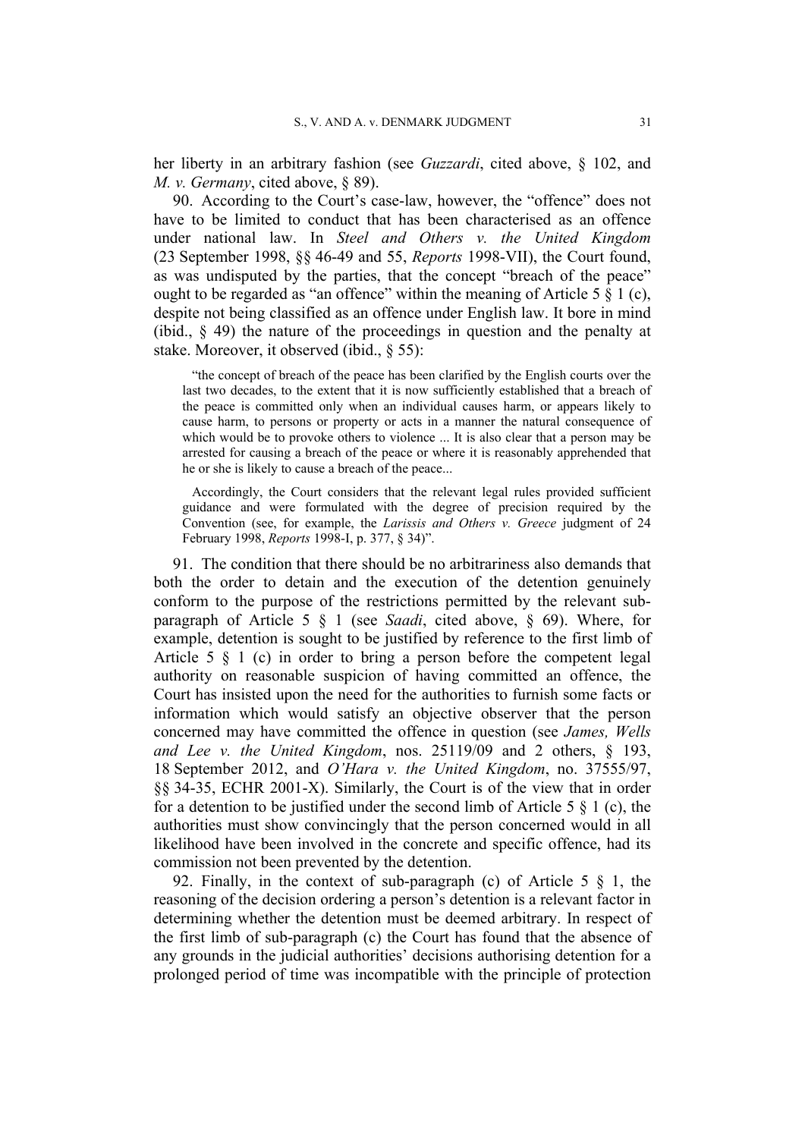her liberty in an arbitrary fashion (see *Guzzardi*, cited above, § 102, and *M. v. Germany*, cited above, § 89).

90. According to the Court's case-law, however, the "offence" does not have to be limited to conduct that has been characterised as an offence under national law. In *Steel and Others v. the United Kingdom* (23 September 1998, §§ 46-49 and 55, *Reports* 1998-VII), the Court found, as was undisputed by the parties, that the concept "breach of the peace" ought to be regarded as "an offence" within the meaning of Article 5  $\S$  1 (c), despite not being classified as an offence under English law. It bore in mind (ibid., § 49) the nature of the proceedings in question and the penalty at stake. Moreover, it observed (ibid., § 55):

"the concept of breach of the peace has been clarified by the English courts over the last two decades, to the extent that it is now sufficiently established that a breach of the peace is committed only when an individual causes harm, or appears likely to cause harm, to persons or property or acts in a manner the natural consequence of which would be to provoke others to violence ... It is also clear that a person may be arrested for causing a breach of the peace or where it is reasonably apprehended that he or she is likely to cause a breach of the peace...

Accordingly, the Court considers that the relevant legal rules provided sufficient guidance and were formulated with the degree of precision required by the Convention (see, for example, the *Larissis and Others v. Greece* judgment of 24 February 1998, *Reports* 1998-I, p. 377, § 34)".

91. The condition that there should be no arbitrariness also demands that both the order to detain and the execution of the detention genuinely conform to the purpose of the restrictions permitted by the relevant subparagraph of Article 5 § 1 (see *Saadi*, cited above, § 69). Where, for example, detention is sought to be justified by reference to the first limb of Article 5 § 1 (c) in order to bring a person before the competent legal authority on reasonable suspicion of having committed an offence, the Court has insisted upon the need for the authorities to furnish some facts or information which would satisfy an objective observer that the person concerned may have committed the offence in question (see *James, Wells and Lee v. the United Kingdom*, nos. 25119/09 and 2 others, § 193, 18 September 2012, and *O'Hara v. the United Kingdom*, no. 37555/97, §§ 34-35, ECHR 2001-X). Similarly, the Court is of the view that in order for a detention to be justified under the second limb of Article 5  $\S$  1 (c), the authorities must show convincingly that the person concerned would in all likelihood have been involved in the concrete and specific offence, had its commission not been prevented by the detention.

92. Finally, in the context of sub-paragraph (c) of Article 5 § 1, the reasoning of the decision ordering a person's detention is a relevant factor in determining whether the detention must be deemed arbitrary. In respect of the first limb of sub-paragraph (c) the Court has found that the absence of any grounds in the judicial authorities' decisions authorising detention for a prolonged period of time was incompatible with the principle of protection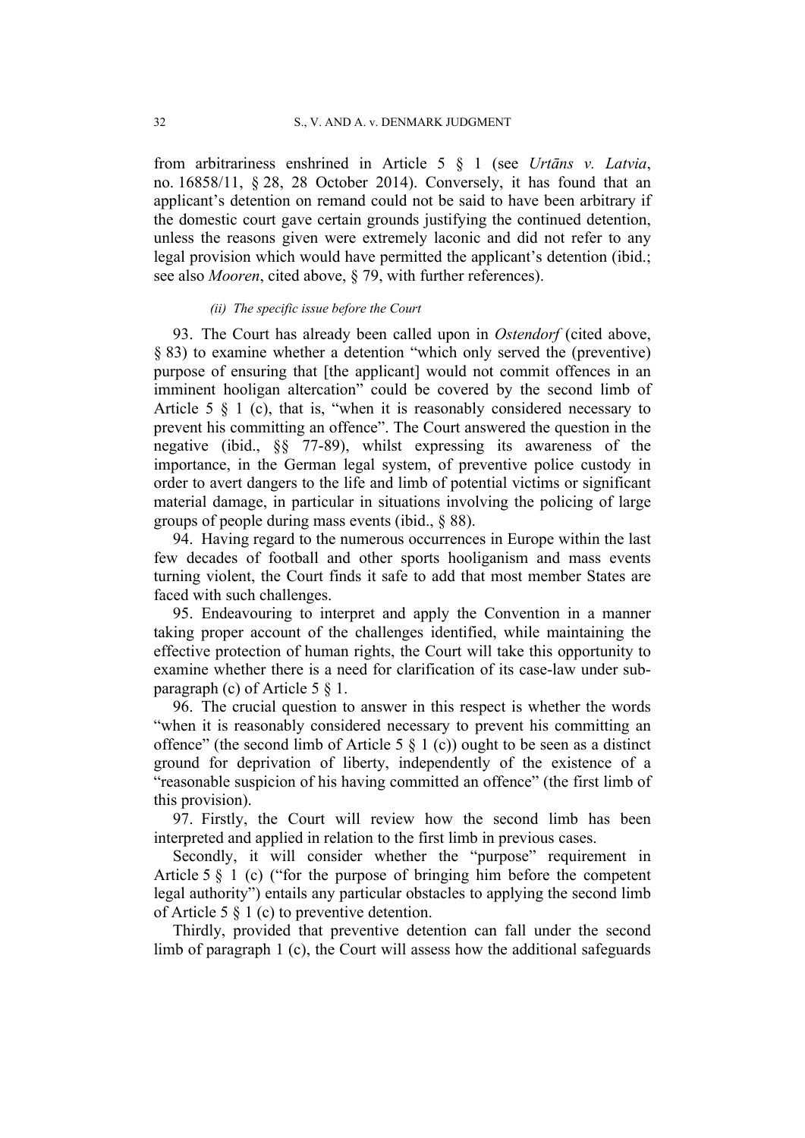from arbitrariness enshrined in Article 5 § 1 (see *Urtāns v. Latvia*, no. 16858/11, § 28, 28 October 2014). Conversely, it has found that an applicant's detention on remand could not be said to have been arbitrary if the domestic court gave certain grounds justifying the continued detention, unless the reasons given were extremely laconic and did not refer to any legal provision which would have permitted the applicant's detention (ibid.; see also *Mooren*, cited above, § 79, with further references).

# *(ii) The specific issue before the Court*

93. The Court has already been called upon in *Ostendorf* (cited above, § 83) to examine whether a detention "which only served the (preventive) purpose of ensuring that [the applicant] would not commit offences in an imminent hooligan altercation" could be covered by the second limb of Article 5 § 1 (c), that is, "when it is reasonably considered necessary to prevent his committing an offence". The Court answered the question in the negative (ibid., §§ 77-89), whilst expressing its awareness of the importance, in the German legal system, of preventive police custody in order to avert dangers to the life and limb of potential victims or significant material damage, in particular in situations involving the policing of large groups of people during mass events (ibid., § 88).

94. Having regard to the numerous occurrences in Europe within the last few decades of football and other sports hooliganism and mass events turning violent, the Court finds it safe to add that most member States are faced with such challenges.

95. Endeavouring to interpret and apply the Convention in a manner taking proper account of the challenges identified, while maintaining the effective protection of human rights, the Court will take this opportunity to examine whether there is a need for clarification of its case-law under subparagraph (c) of Article 5 § 1.

96. The crucial question to answer in this respect is whether the words "when it is reasonably considered necessary to prevent his committing an offence" (the second limb of Article 5  $\S$  1 (c)) ought to be seen as a distinct ground for deprivation of liberty, independently of the existence of a "reasonable suspicion of his having committed an offence" (the first limb of this provision).

97. Firstly, the Court will review how the second limb has been interpreted and applied in relation to the first limb in previous cases.

Secondly, it will consider whether the "purpose" requirement in Article 5 § 1 (c) ("for the purpose of bringing him before the competent legal authority") entails any particular obstacles to applying the second limb of Article 5 § 1 (c) to preventive detention.

Thirdly, provided that preventive detention can fall under the second limb of paragraph 1 (c), the Court will assess how the additional safeguards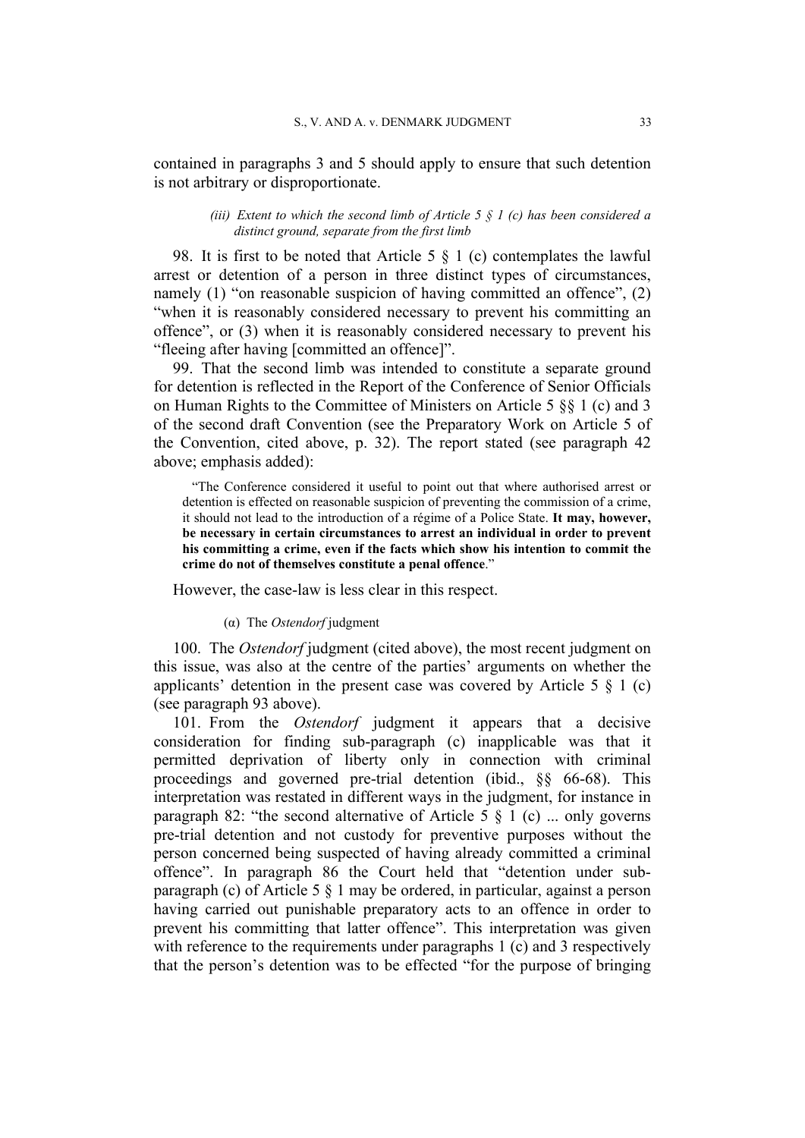contained in paragraphs 3 and 5 should apply to ensure that such detention is not arbitrary or disproportionate.

### *(iii) Extent to which the second limb of Article 5 § 1 (c) has been considered a distinct ground, separate from the first limb*

98. It is first to be noted that Article 5  $\S$  1 (c) contemplates the lawful arrest or detention of a person in three distinct types of circumstances, namely (1) "on reasonable suspicion of having committed an offence", (2) "when it is reasonably considered necessary to prevent his committing an offence", or (3) when it is reasonably considered necessary to prevent his "fleeing after having [committed an offence]".

99. That the second limb was intended to constitute a separate ground for detention is reflected in the Report of the Conference of Senior Officials on Human Rights to the Committee of Ministers on Article 5 §§ 1 (c) and 3 of the second draft Convention (see the Preparatory Work on Article 5 of the Convention, cited above, p. 32). The report stated (see paragraph 42 above; emphasis added):

"The Conference considered it useful to point out that where authorised arrest or detention is effected on reasonable suspicion of preventing the commission of a crime, it should not lead to the introduction of a régime of a Police State. **It may, however, be necessary in certain circumstances to arrest an individual in order to prevent his committing a crime, even if the facts which show his intention to commit the crime do not of themselves constitute a penal offence**."

However, the case-law is less clear in this respect.

#### (α) The *Ostendorf* judgment

100. The *Ostendorf* judgment (cited above), the most recent judgment on this issue, was also at the centre of the parties' arguments on whether the applicants' detention in the present case was covered by Article 5  $\S$  1 (c) (see paragraph 93 above).

101. From the *Ostendorf* judgment it appears that a decisive consideration for finding sub-paragraph (c) inapplicable was that it permitted deprivation of liberty only in connection with criminal proceedings and governed pre-trial detention (ibid., §§ 66-68). This interpretation was restated in different ways in the judgment, for instance in paragraph 82: "the second alternative of Article 5  $\S$  1 (c) ... only governs pre-trial detention and not custody for preventive purposes without the person concerned being suspected of having already committed a criminal offence". In paragraph 86 the Court held that "detention under subparagraph (c) of Article 5 § 1 may be ordered, in particular, against a person having carried out punishable preparatory acts to an offence in order to prevent his committing that latter offence". This interpretation was given with reference to the requirements under paragraphs 1 (c) and 3 respectively that the person's detention was to be effected "for the purpose of bringing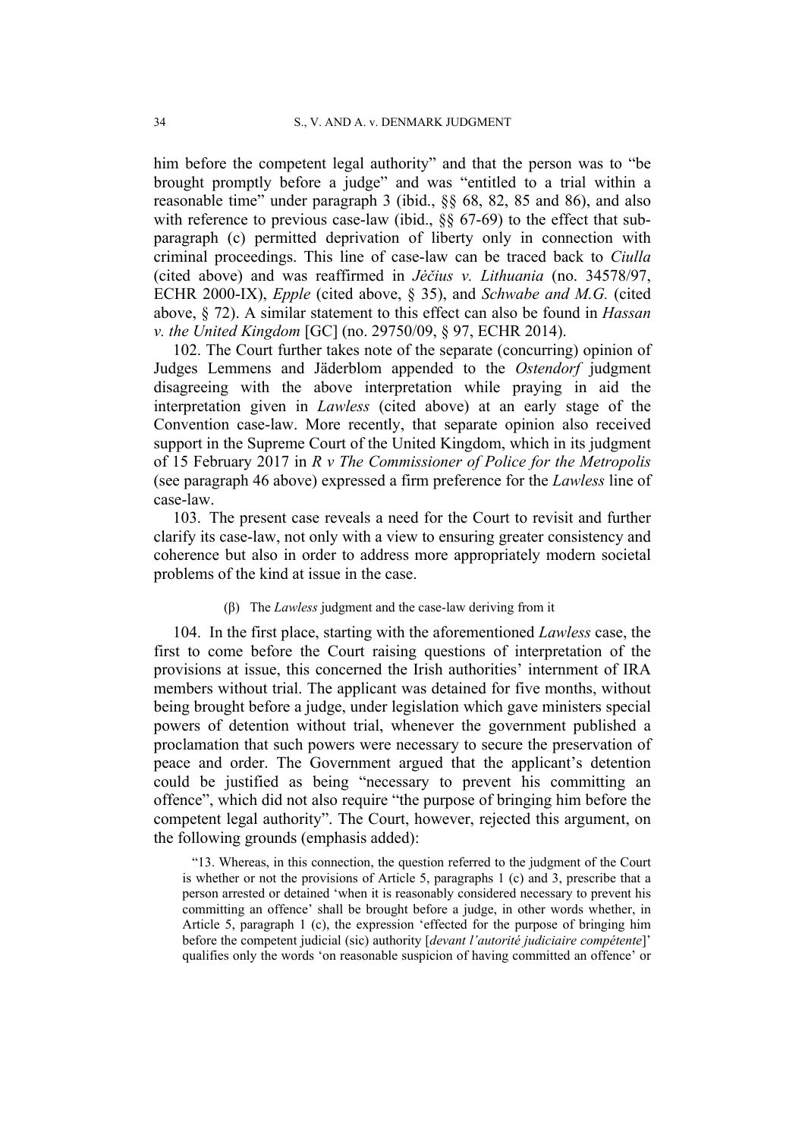him before the competent legal authority" and that the person was to "be brought promptly before a judge" and was "entitled to a trial within a reasonable time" under paragraph 3 (ibid., §§ 68, 82, 85 and 86), and also with reference to previous case-law (ibid., §§ 67-69) to the effect that subparagraph (c) permitted deprivation of liberty only in connection with criminal proceedings. This line of case-law can be traced back to *Ciulla* (cited above) and was reaffirmed in *Jėčius v. Lithuania* (no. 34578/97, ECHR 2000-IX), *Epple* (cited above, § 35), and *Schwabe and M.G.* (cited above, § 72). A similar statement to this effect can also be found in *Hassan v. the United Kingdom* [GC] (no. 29750/09, § 97, ECHR 2014).

102. The Court further takes note of the separate (concurring) opinion of Judges Lemmens and Jäderblom appended to the *Ostendorf* judgment disagreeing with the above interpretation while praying in aid the interpretation given in *Lawless* (cited above) at an early stage of the Convention case-law. More recently, that separate opinion also received support in the Supreme Court of the United Kingdom, which in its judgment of 15 February 2017 in *R v The Commissioner of Police for the Metropolis* (see paragraph 46 above) expressed a firm preference for the *Lawless* line of case-law.

103. The present case reveals a need for the Court to revisit and further clarify its case-law, not only with a view to ensuring greater consistency and coherence but also in order to address more appropriately modern societal problems of the kind at issue in the case.

### (β) The *Lawless* judgment and the case-law deriving from it

104. In the first place, starting with the aforementioned *Lawless* case, the first to come before the Court raising questions of interpretation of the provisions at issue, this concerned the Irish authorities' internment of IRA members without trial. The applicant was detained for five months, without being brought before a judge, under legislation which gave ministers special powers of detention without trial, whenever the government published a proclamation that such powers were necessary to secure the preservation of peace and order. The Government argued that the applicant's detention could be justified as being "necessary to prevent his committing an offence", which did not also require "the purpose of bringing him before the competent legal authority". The Court, however, rejected this argument, on the following grounds (emphasis added):

"13. Whereas, in this connection, the question referred to the judgment of the Court is whether or not the provisions of Article 5, paragraphs 1 (c) and 3, prescribe that a person arrested or detained 'when it is reasonably considered necessary to prevent his committing an offence' shall be brought before a judge, in other words whether, in Article 5, paragraph 1 (c), the expression 'effected for the purpose of bringing him before the competent judicial (sic) authority [*devant l'autorité judiciaire compétente*]' qualifies only the words 'on reasonable suspicion of having committed an offence' or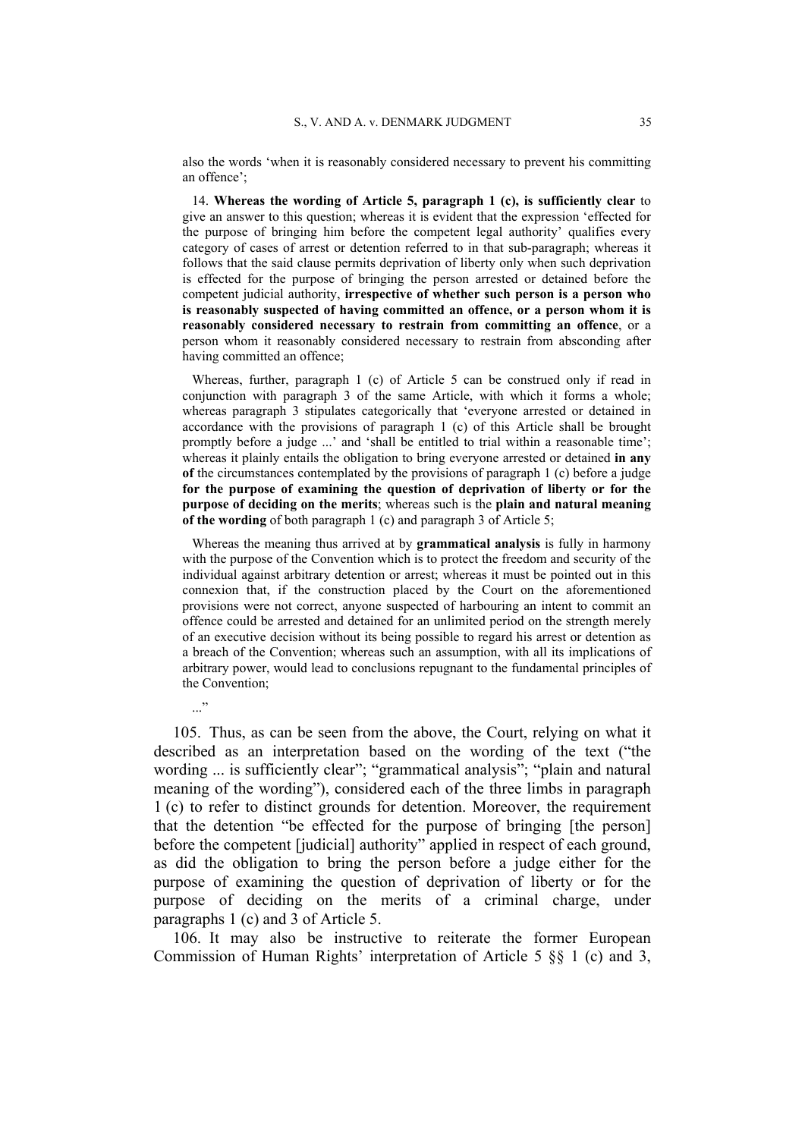also the words 'when it is reasonably considered necessary to prevent his committing an offence';

14. **Whereas the wording of Article 5, paragraph 1 (c), is sufficiently clear** to give an answer to this question; whereas it is evident that the expression 'effected for the purpose of bringing him before the competent legal authority' qualifies every category of cases of arrest or detention referred to in that sub-paragraph; whereas it follows that the said clause permits deprivation of liberty only when such deprivation is effected for the purpose of bringing the person arrested or detained before the competent judicial authority, **irrespective of whether such person is a person who is reasonably suspected of having committed an offence, or a person whom it is reasonably considered necessary to restrain from committing an offence**, or a person whom it reasonably considered necessary to restrain from absconding after having committed an offence;

Whereas, further, paragraph 1 (c) of Article 5 can be construed only if read in conjunction with paragraph 3 of the same Article, with which it forms a whole; whereas paragraph 3 stipulates categorically that 'everyone arrested or detained in accordance with the provisions of paragraph 1 (c) of this Article shall be brought promptly before a judge ...' and 'shall be entitled to trial within a reasonable time'; whereas it plainly entails the obligation to bring everyone arrested or detained **in any of** the circumstances contemplated by the provisions of paragraph 1 (c) before a judge **for the purpose of examining the question of deprivation of liberty or for the purpose of deciding on the merits**; whereas such is the **plain and natural meaning of the wording** of both paragraph 1 (c) and paragraph 3 of Article 5;

Whereas the meaning thus arrived at by **grammatical analysis** is fully in harmony with the purpose of the Convention which is to protect the freedom and security of the individual against arbitrary detention or arrest; whereas it must be pointed out in this connexion that, if the construction placed by the Court on the aforementioned provisions were not correct, anyone suspected of harbouring an intent to commit an offence could be arrested and detained for an unlimited period on the strength merely of an executive decision without its being possible to regard his arrest or detention as a breach of the Convention; whereas such an assumption, with all its implications of arbitrary power, would lead to conclusions repugnant to the fundamental principles of the Convention;

105. Thus, as can be seen from the above, the Court, relying on what it described as an interpretation based on the wording of the text ("the wording ... is sufficiently clear"; "grammatical analysis"; "plain and natural meaning of the wording"), considered each of the three limbs in paragraph 1 (c) to refer to distinct grounds for detention. Moreover, the requirement that the detention "be effected for the purpose of bringing [the person] before the competent [judicial] authority" applied in respect of each ground, as did the obligation to bring the person before a judge either for the purpose of examining the question of deprivation of liberty or for the purpose of deciding on the merits of a criminal charge, under paragraphs 1 (c) and 3 of Article 5.

..."

106. It may also be instructive to reiterate the former European Commission of Human Rights' interpretation of Article 5 §§ 1 (c) and 3,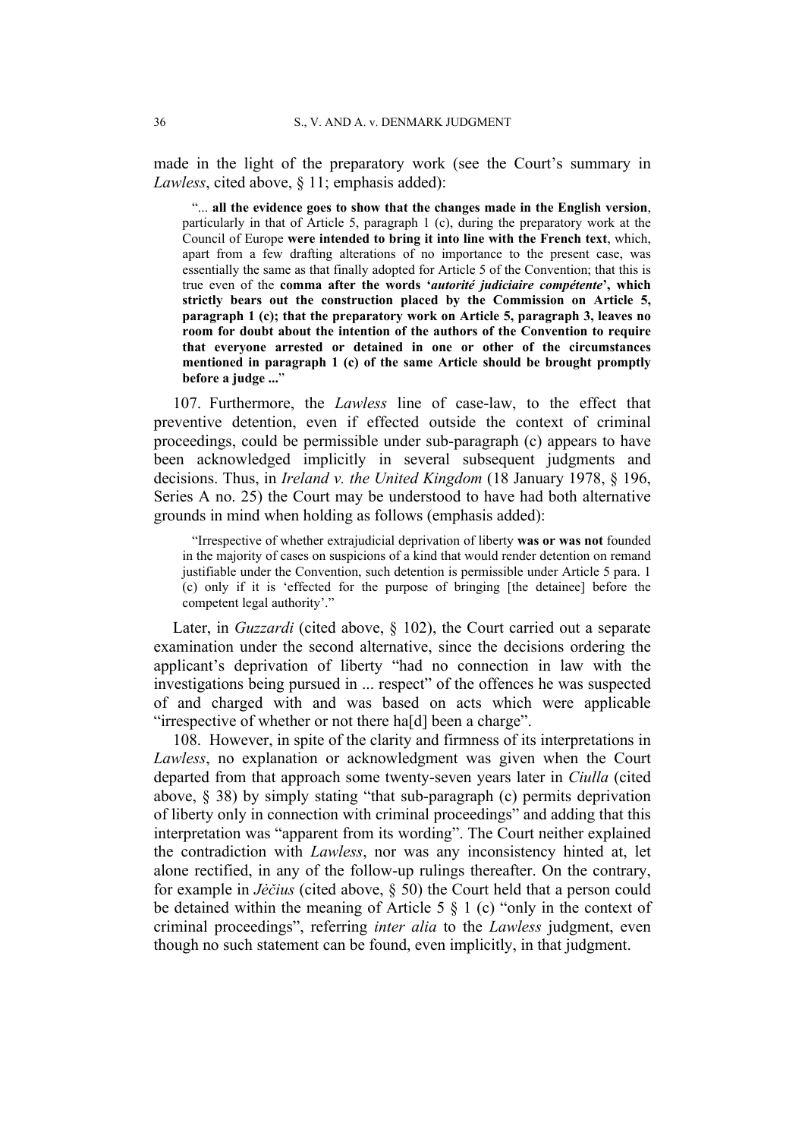made in the light of the preparatory work (see the Court's summary in *Lawless*, cited above, § 11; emphasis added):

"... **all the evidence goes to show that the changes made in the English version**, particularly in that of Article 5, paragraph 1 (c), during the preparatory work at the Council of Europe **were intended to bring it into line with the French text**, which, apart from a few drafting alterations of no importance to the present case, was essentially the same as that finally adopted for Article 5 of the Convention; that this is true even of the **comma after the words '***autorité judiciaire compétente***', which strictly bears out the construction placed by the Commission on Article 5, paragraph 1 (c); that the preparatory work on Article 5, paragraph 3, leaves no room for doubt about the intention of the authors of the Convention to require that everyone arrested or detained in one or other of the circumstances mentioned in paragraph 1 (c) of the same Article should be brought promptly before a judge ...**"

107. Furthermore, the *Lawless* line of case-law, to the effect that preventive detention, even if effected outside the context of criminal proceedings, could be permissible under sub-paragraph (c) appears to have been acknowledged implicitly in several subsequent judgments and decisions. Thus, in *Ireland v. the United Kingdom* (18 January 1978, § 196, Series A no. 25) the Court may be understood to have had both alternative grounds in mind when holding as follows (emphasis added):

"Irrespective of whether extrajudicial deprivation of liberty **was or was not** founded in the majority of cases on suspicions of a kind that would render detention on remand justifiable under the Convention, such detention is permissible under Article 5 para. 1 (c) only if it is 'effected for the purpose of bringing [the detainee] before the competent legal authority'."

Later, in *Guzzardi* (cited above, § 102), the Court carried out a separate examination under the second alternative, since the decisions ordering the applicant's deprivation of liberty "had no connection in law with the investigations being pursued in ... respect" of the offences he was suspected of and charged with and was based on acts which were applicable "irrespective of whether or not there ha[d] been a charge".

108. However, in spite of the clarity and firmness of its interpretations in *Lawless*, no explanation or acknowledgment was given when the Court departed from that approach some twenty-seven years later in *Ciulla* (cited above, § 38) by simply stating "that sub-paragraph (c) permits deprivation of liberty only in connection with criminal proceedings" and adding that this interpretation was "apparent from its wording". The Court neither explained the contradiction with *Lawless*, nor was any inconsistency hinted at, let alone rectified, in any of the follow-up rulings thereafter. On the contrary, for example in *Jėčius* (cited above, § 50) the Court held that a person could be detained within the meaning of Article 5 § 1 (c) "only in the context of criminal proceedings", referring *inter alia* to the *Lawless* judgment, even though no such statement can be found, even implicitly, in that judgment.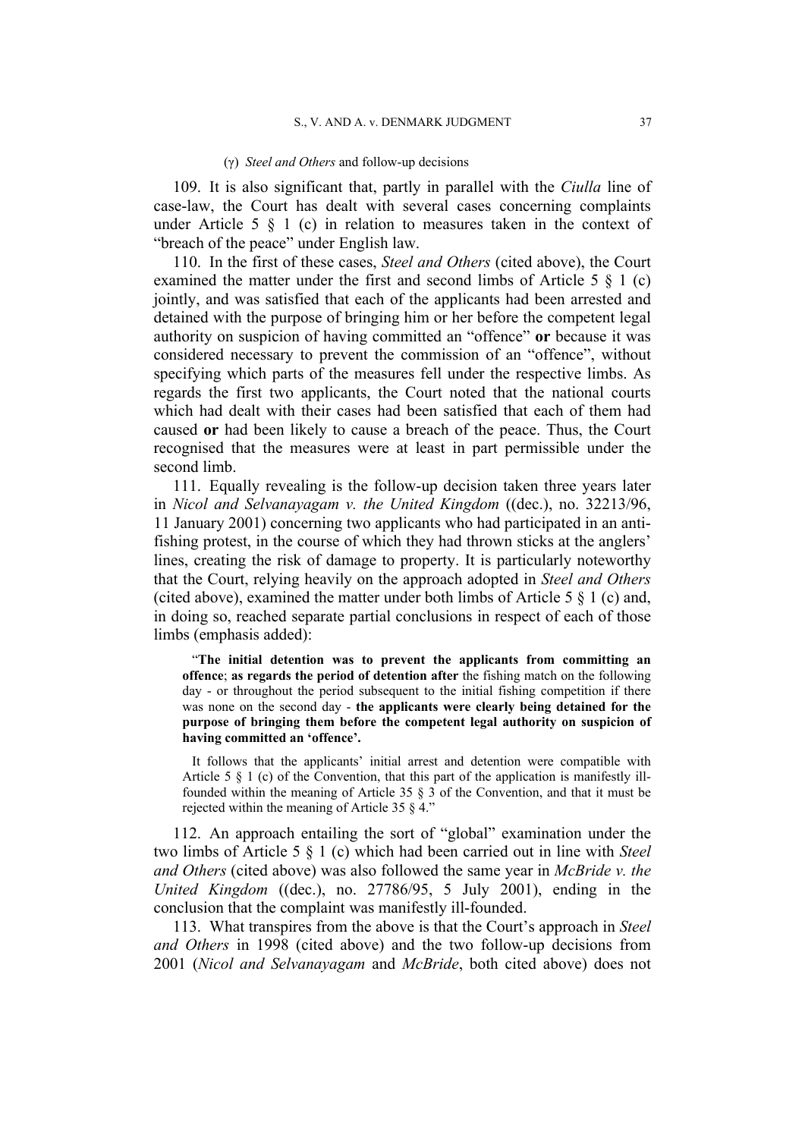#### (γ) *Steel and Others* and follow-up decisions

109. It is also significant that, partly in parallel with the *Ciulla* line of case-law, the Court has dealt with several cases concerning complaints under Article 5 § 1 (c) in relation to measures taken in the context of "breach of the peace" under English law.

110. In the first of these cases, *Steel and Others* (cited above), the Court examined the matter under the first and second limbs of Article 5 § 1 (c) jointly, and was satisfied that each of the applicants had been arrested and detained with the purpose of bringing him or her before the competent legal authority on suspicion of having committed an "offence" **or** because it was considered necessary to prevent the commission of an "offence", without specifying which parts of the measures fell under the respective limbs. As regards the first two applicants, the Court noted that the national courts which had dealt with their cases had been satisfied that each of them had caused **or** had been likely to cause a breach of the peace. Thus, the Court recognised that the measures were at least in part permissible under the second limb.

111. Equally revealing is the follow-up decision taken three years later in *Nicol and Selvanayagam v. the United Kingdom* ((dec.), no. 32213/96, 11 January 2001) concerning two applicants who had participated in an antifishing protest, in the course of which they had thrown sticks at the anglers' lines, creating the risk of damage to property. It is particularly noteworthy that the Court, relying heavily on the approach adopted in *Steel and Others* (cited above), examined the matter under both limbs of Article 5 § 1 (c) and, in doing so, reached separate partial conclusions in respect of each of those limbs (emphasis added):

"**The initial detention was to prevent the applicants from committing an offence**; **as regards the period of detention after** the fishing match on the following day - or throughout the period subsequent to the initial fishing competition if there was none on the second day - **the applicants were clearly being detained for the purpose of bringing them before the competent legal authority on suspicion of having committed an 'offence'.**

It follows that the applicants' initial arrest and detention were compatible with Article 5 § 1 (c) of the Convention, that this part of the application is manifestly illfounded within the meaning of Article 35  $\delta$  3 of the Convention, and that it must be rejected within the meaning of Article 35 § 4."

112. An approach entailing the sort of "global" examination under the two limbs of Article 5 § 1 (c) which had been carried out in line with *Steel and Others* (cited above) was also followed the same year in *McBride v. the United Kingdom* ((dec.), no. 27786/95, 5 July 2001), ending in the conclusion that the complaint was manifestly ill-founded.

113. What transpires from the above is that the Court's approach in *Steel and Others* in 1998 (cited above) and the two follow-up decisions from 2001 (*Nicol and Selvanayagam* and *McBride*, both cited above) does not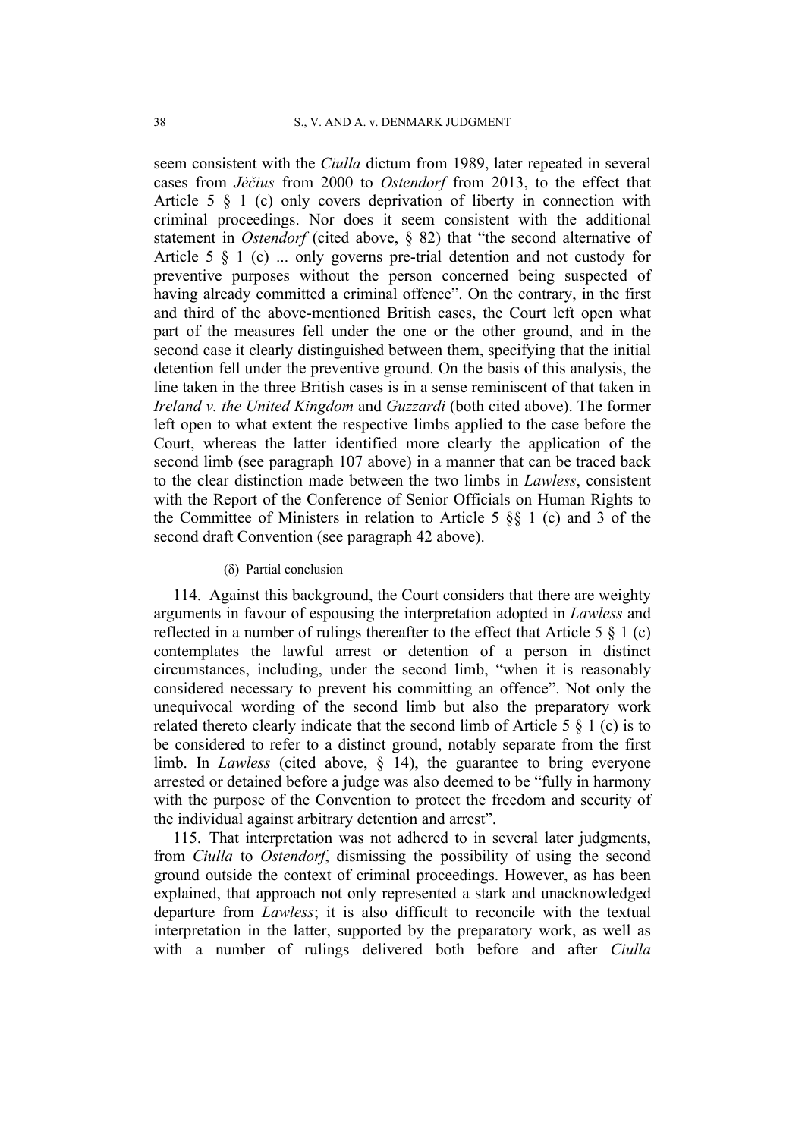seem consistent with the *Ciulla* dictum from 1989, later repeated in several cases from *Jėčius* from 2000 to *Ostendorf* from 2013, to the effect that Article 5 § 1 (c) only covers deprivation of liberty in connection with criminal proceedings. Nor does it seem consistent with the additional statement in *Ostendorf* (cited above, § 82) that "the second alternative of Article 5 § 1 (c) ... only governs pre-trial detention and not custody for preventive purposes without the person concerned being suspected of having already committed a criminal offence". On the contrary, in the first and third of the above-mentioned British cases, the Court left open what part of the measures fell under the one or the other ground, and in the second case it clearly distinguished between them, specifying that the initial detention fell under the preventive ground. On the basis of this analysis, the line taken in the three British cases is in a sense reminiscent of that taken in *Ireland v. the United Kingdom* and *Guzzardi* (both cited above). The former left open to what extent the respective limbs applied to the case before the Court, whereas the latter identified more clearly the application of the second limb (see paragraph 107 above) in a manner that can be traced back to the clear distinction made between the two limbs in *Lawless*, consistent with the Report of the Conference of Senior Officials on Human Rights to the Committee of Ministers in relation to Article 5 §§ 1 (c) and 3 of the second draft Convention (see paragraph 42 above).

# (δ) Partial conclusion

114. Against this background, the Court considers that there are weighty arguments in favour of espousing the interpretation adopted in *Lawless* and reflected in a number of rulings thereafter to the effect that Article 5 § 1 (c) contemplates the lawful arrest or detention of a person in distinct circumstances, including, under the second limb, "when it is reasonably considered necessary to prevent his committing an offence". Not only the unequivocal wording of the second limb but also the preparatory work related thereto clearly indicate that the second limb of Article 5  $\S$  1 (c) is to be considered to refer to a distinct ground, notably separate from the first limb. In *Lawless* (cited above, § 14), the guarantee to bring everyone arrested or detained before a judge was also deemed to be "fully in harmony with the purpose of the Convention to protect the freedom and security of the individual against arbitrary detention and arrest".

115. That interpretation was not adhered to in several later judgments, from *Ciulla* to *Ostendorf*, dismissing the possibility of using the second ground outside the context of criminal proceedings. However, as has been explained, that approach not only represented a stark and unacknowledged departure from *Lawless*; it is also difficult to reconcile with the textual interpretation in the latter, supported by the preparatory work, as well as with a number of rulings delivered both before and after *Ciulla*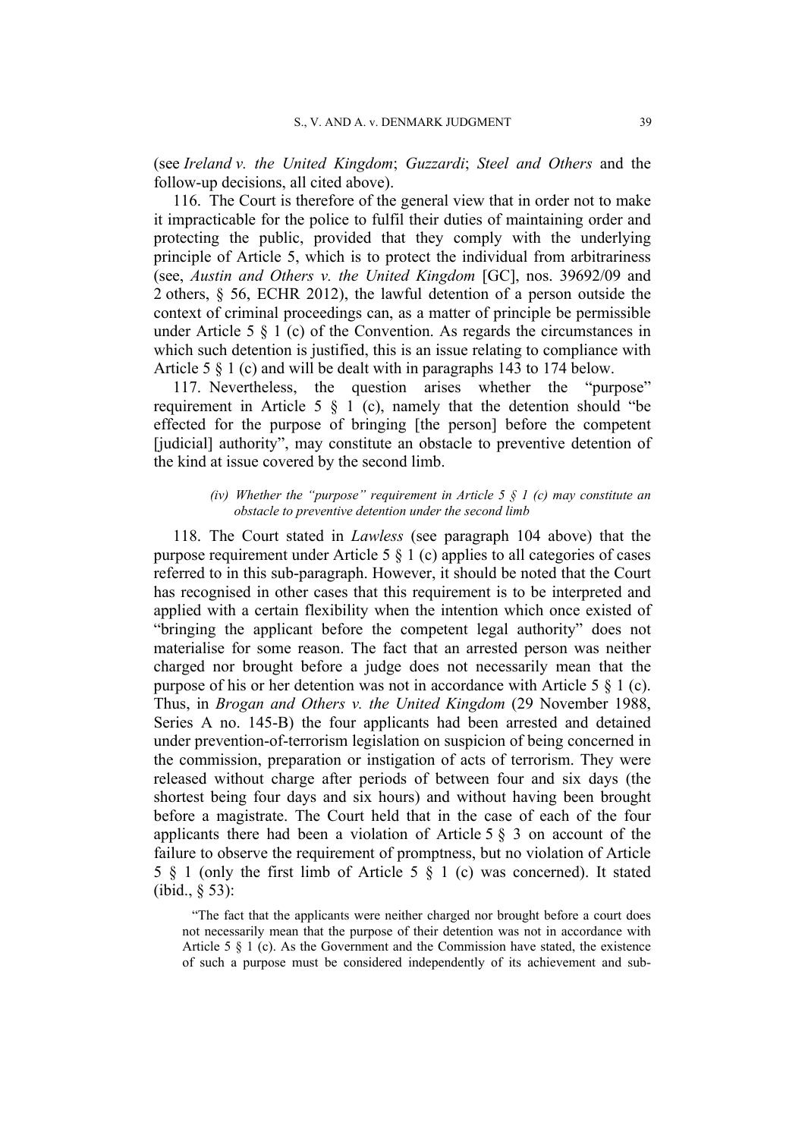(see *Ireland v. the United Kingdom*; *Guzzardi*; *Steel and Others* and the follow-up decisions, all cited above).

116. The Court is therefore of the general view that in order not to make it impracticable for the police to fulfil their duties of maintaining order and protecting the public, provided that they comply with the underlying principle of Article 5, which is to protect the individual from arbitrariness (see, *Austin and Others v. the United Kingdom* [GC], nos. 39692/09 and 2 others, § 56, ECHR 2012), the lawful detention of a person outside the context of criminal proceedings can, as a matter of principle be permissible under Article 5  $\S$  1 (c) of the Convention. As regards the circumstances in which such detention is justified, this is an issue relating to compliance with Article 5 § 1 (c) and will be dealt with in paragraphs 143 to 174 below.

117. Nevertheless, the question arises whether the "purpose" requirement in Article 5  $\S$  1 (c), namely that the detention should "be effected for the purpose of bringing [the person] before the competent [judicial] authority", may constitute an obstacle to preventive detention of the kind at issue covered by the second limb.

### *(iv) Whether the "purpose" requirement in Article* 5  $\frac{6}{5}$  *l (c) may constitute an obstacle to preventive detention under the second limb*

118. The Court stated in *Lawless* (see paragraph 104 above) that the purpose requirement under Article 5  $\S$  1 (c) applies to all categories of cases referred to in this sub-paragraph. However, it should be noted that the Court has recognised in other cases that this requirement is to be interpreted and applied with a certain flexibility when the intention which once existed of "bringing the applicant before the competent legal authority" does not materialise for some reason. The fact that an arrested person was neither charged nor brought before a judge does not necessarily mean that the purpose of his or her detention was not in accordance with Article 5 § 1 (c). Thus, in *Brogan and Others v. the United Kingdom* (29 November 1988, Series A no. 145-B) the four applicants had been arrested and detained under prevention-of-terrorism legislation on suspicion of being concerned in the commission, preparation or instigation of acts of terrorism. They were released without charge after periods of between four and six days (the shortest being four days and six hours) and without having been brought before a magistrate. The Court held that in the case of each of the four applicants there had been a violation of Article 5 § 3 on account of the failure to observe the requirement of promptness, but no violation of Article 5 § 1 (only the first limb of Article 5 § 1 (c) was concerned). It stated (ibid., § 53):

"The fact that the applicants were neither charged nor brought before a court does not necessarily mean that the purpose of their detention was not in accordance with Article 5 § 1 (c). As the Government and the Commission have stated, the existence of such a purpose must be considered independently of its achievement and sub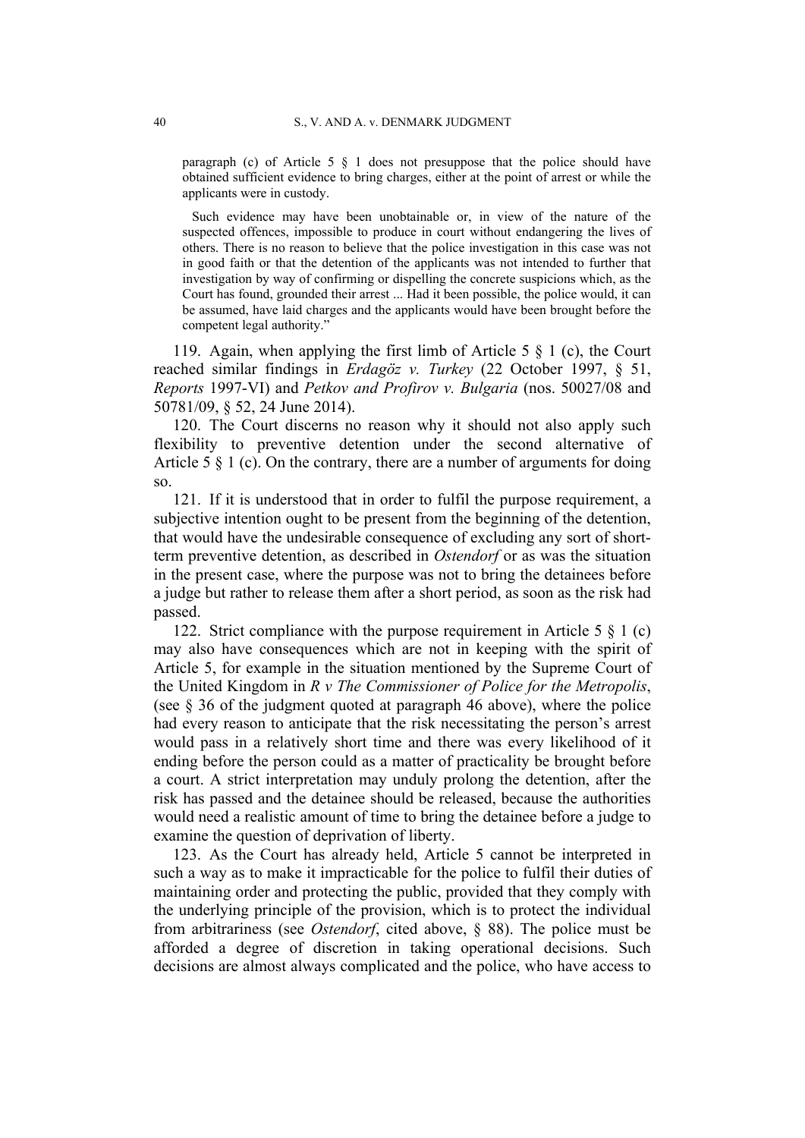paragraph (c) of Article 5  $\S$  1 does not presuppose that the police should have obtained sufficient evidence to bring charges, either at the point of arrest or while the applicants were in custody.

Such evidence may have been unobtainable or, in view of the nature of the suspected offences, impossible to produce in court without endangering the lives of others. There is no reason to believe that the police investigation in this case was not in good faith or that the detention of the applicants was not intended to further that investigation by way of confirming or dispelling the concrete suspicions which, as the Court has found, grounded their arrest ... Had it been possible, the police would, it can be assumed, have laid charges and the applicants would have been brought before the competent legal authority."

119. Again, when applying the first limb of Article 5 § 1 (c), the Court reached similar findings in *Erdagöz v. Turkey* (22 October 1997, § 51, *Reports* 1997-VI) and *Petkov and Profirov v. Bulgaria* (nos. 50027/08 and 50781/09, § 52, 24 June 2014).

120. The Court discerns no reason why it should not also apply such flexibility to preventive detention under the second alternative of Article 5 § 1 (c). On the contrary, there are a number of arguments for doing so.

121. If it is understood that in order to fulfil the purpose requirement, a subjective intention ought to be present from the beginning of the detention, that would have the undesirable consequence of excluding any sort of shortterm preventive detention, as described in *Ostendorf* or as was the situation in the present case, where the purpose was not to bring the detainees before a judge but rather to release them after a short period, as soon as the risk had passed.

122. Strict compliance with the purpose requirement in Article 5  $\S$  1 (c) may also have consequences which are not in keeping with the spirit of Article 5, for example in the situation mentioned by the Supreme Court of the United Kingdom in *R v The Commissioner of Police for the Metropolis*, (see  $§$  36 of the judgment quoted at paragraph 46 above), where the police had every reason to anticipate that the risk necessitating the person's arrest would pass in a relatively short time and there was every likelihood of it ending before the person could as a matter of practicality be brought before a court. A strict interpretation may unduly prolong the detention, after the risk has passed and the detainee should be released, because the authorities would need a realistic amount of time to bring the detainee before a judge to examine the question of deprivation of liberty.

123. As the Court has already held, Article 5 cannot be interpreted in such a way as to make it impracticable for the police to fulfil their duties of maintaining order and protecting the public, provided that they comply with the underlying principle of the provision, which is to protect the individual from arbitrariness (see *Ostendorf*, cited above, § 88). The police must be afforded a degree of discretion in taking operational decisions. Such decisions are almost always complicated and the police, who have access to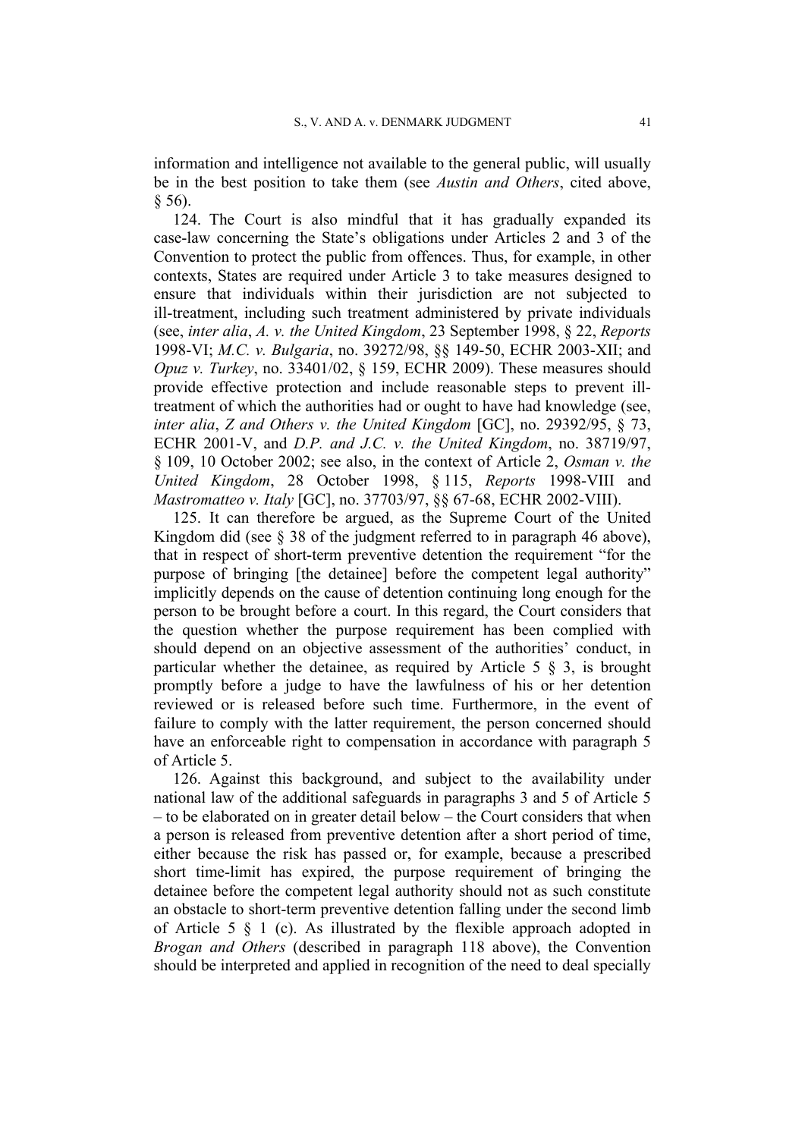information and intelligence not available to the general public, will usually be in the best position to take them (see *Austin and Others*, cited above, § 56).

124. The Court is also mindful that it has gradually expanded its case-law concerning the State's obligations under Articles 2 and 3 of the Convention to protect the public from offences. Thus, for example, in other contexts, States are required under Article 3 to take measures designed to ensure that individuals within their jurisdiction are not subjected to ill-treatment, including such treatment administered by private individuals (see, *inter alia*, *A. v. the United Kingdom*, 23 September 1998, § 22, *Reports* 1998-VI; *M.C. v. Bulgaria*, no. 39272/98, §§ 149-50, ECHR 2003-XII; and *Opuz v. Turkey*, no. 33401/02, § 159, ECHR 2009). These measures should provide effective protection and include reasonable steps to prevent illtreatment of which the authorities had or ought to have had knowledge (see, *inter alia*, *Z and Others v. the United Kingdom* [GC], no. 29392/95, § 73, ECHR 2001-V, and *D.P. and J.C. v. the United Kingdom*, no. 38719/97, § 109, 10 October 2002; see also, in the context of Article 2, *Osman v. the United Kingdom*, 28 October 1998, § 115, *Reports* 1998-VIII and *Mastromatteo v. Italy* [GC], no. 37703/97, §§ 67-68, ECHR 2002-VIII).

125. It can therefore be argued, as the Supreme Court of the United Kingdom did (see § 38 of the judgment referred to in paragraph 46 above), that in respect of short-term preventive detention the requirement "for the purpose of bringing [the detainee] before the competent legal authority" implicitly depends on the cause of detention continuing long enough for the person to be brought before a court. In this regard, the Court considers that the question whether the purpose requirement has been complied with should depend on an objective assessment of the authorities' conduct, in particular whether the detainee, as required by Article 5  $\S$  3, is brought promptly before a judge to have the lawfulness of his or her detention reviewed or is released before such time. Furthermore, in the event of failure to comply with the latter requirement, the person concerned should have an enforceable right to compensation in accordance with paragraph 5 of Article 5.

126. Against this background, and subject to the availability under national law of the additional safeguards in paragraphs 3 and 5 of Article 5 – to be elaborated on in greater detail below – the Court considers that when a person is released from preventive detention after a short period of time, either because the risk has passed or, for example, because a prescribed short time-limit has expired, the purpose requirement of bringing the detainee before the competent legal authority should not as such constitute an obstacle to short-term preventive detention falling under the second limb of Article 5  $\S$  1 (c). As illustrated by the flexible approach adopted in *Brogan and Others* (described in paragraph 118 above), the Convention should be interpreted and applied in recognition of the need to deal specially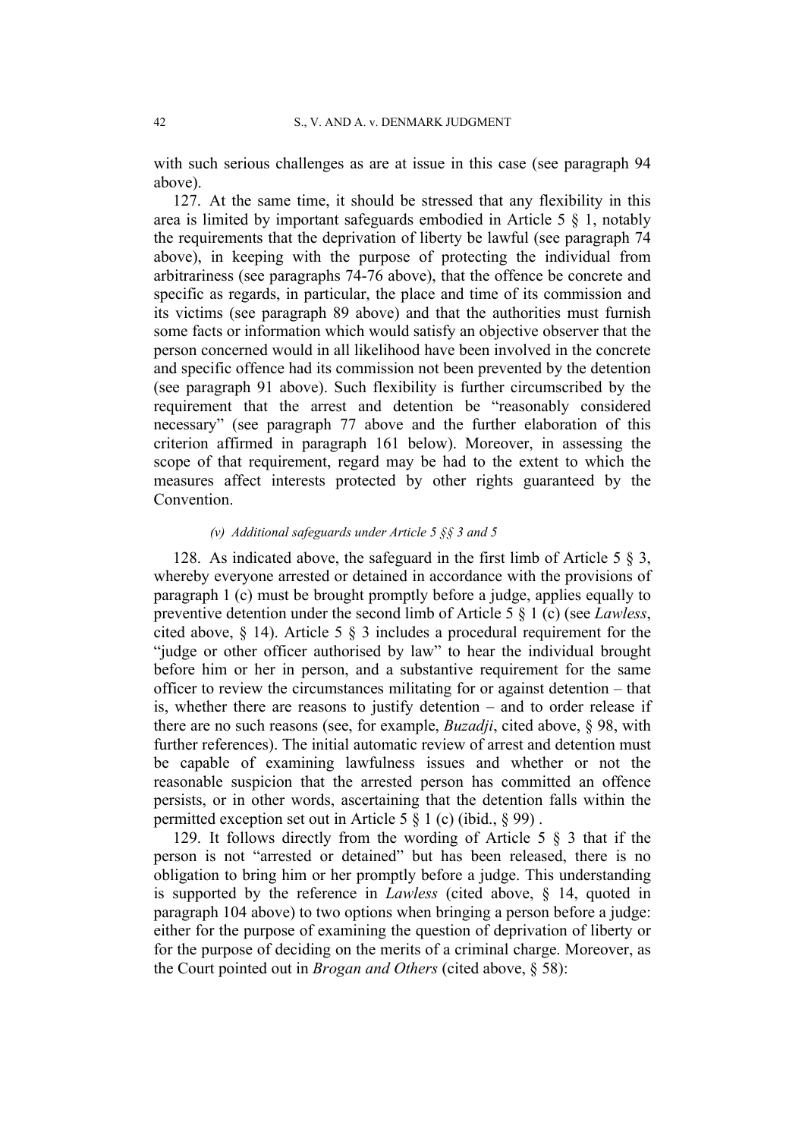with such serious challenges as are at issue in this case (see paragraph 94 above).

127. At the same time, it should be stressed that any flexibility in this area is limited by important safeguards embodied in Article 5 § 1, notably the requirements that the deprivation of liberty be lawful (see paragraph 74 above), in keeping with the purpose of protecting the individual from arbitrariness (see paragraphs 74-76 above), that the offence be concrete and specific as regards, in particular, the place and time of its commission and its victims (see paragraph 89 above) and that the authorities must furnish some facts or information which would satisfy an objective observer that the person concerned would in all likelihood have been involved in the concrete and specific offence had its commission not been prevented by the detention (see paragraph 91 above). Such flexibility is further circumscribed by the requirement that the arrest and detention be "reasonably considered necessary" (see paragraph 77 above and the further elaboration of this criterion affirmed in paragraph 161 below). Moreover, in assessing the scope of that requirement, regard may be had to the extent to which the measures affect interests protected by other rights guaranteed by the Convention.

### *(v) Additional safeguards under Article 5 §§ 3 and 5*

128. As indicated above, the safeguard in the first limb of Article 5 § 3, whereby everyone arrested or detained in accordance with the provisions of paragraph 1 (c) must be brought promptly before a judge, applies equally to preventive detention under the second limb of Article 5 § 1 (c) (see *Lawless*, cited above, § 14). Article 5 § 3 includes a procedural requirement for the "judge or other officer authorised by law" to hear the individual brought before him or her in person, and a substantive requirement for the same officer to review the circumstances militating for or against detention – that is, whether there are reasons to justify detention – and to order release if there are no such reasons (see, for example, *Buzadji*, cited above, § 98, with further references). The initial automatic review of arrest and detention must be capable of examining lawfulness issues and whether or not the reasonable suspicion that the arrested person has committed an offence persists, or in other words, ascertaining that the detention falls within the permitted exception set out in Article 5  $\S$  1 (c) (ibid.,  $\S$  99).

129. It follows directly from the wording of Article 5 § 3 that if the person is not "arrested or detained" but has been released, there is no obligation to bring him or her promptly before a judge. This understanding is supported by the reference in *Lawless* (cited above, § 14, quoted in paragraph 104 above) to two options when bringing a person before a judge: either for the purpose of examining the question of deprivation of liberty or for the purpose of deciding on the merits of a criminal charge. Moreover, as the Court pointed out in *Brogan and Others* (cited above, § 58):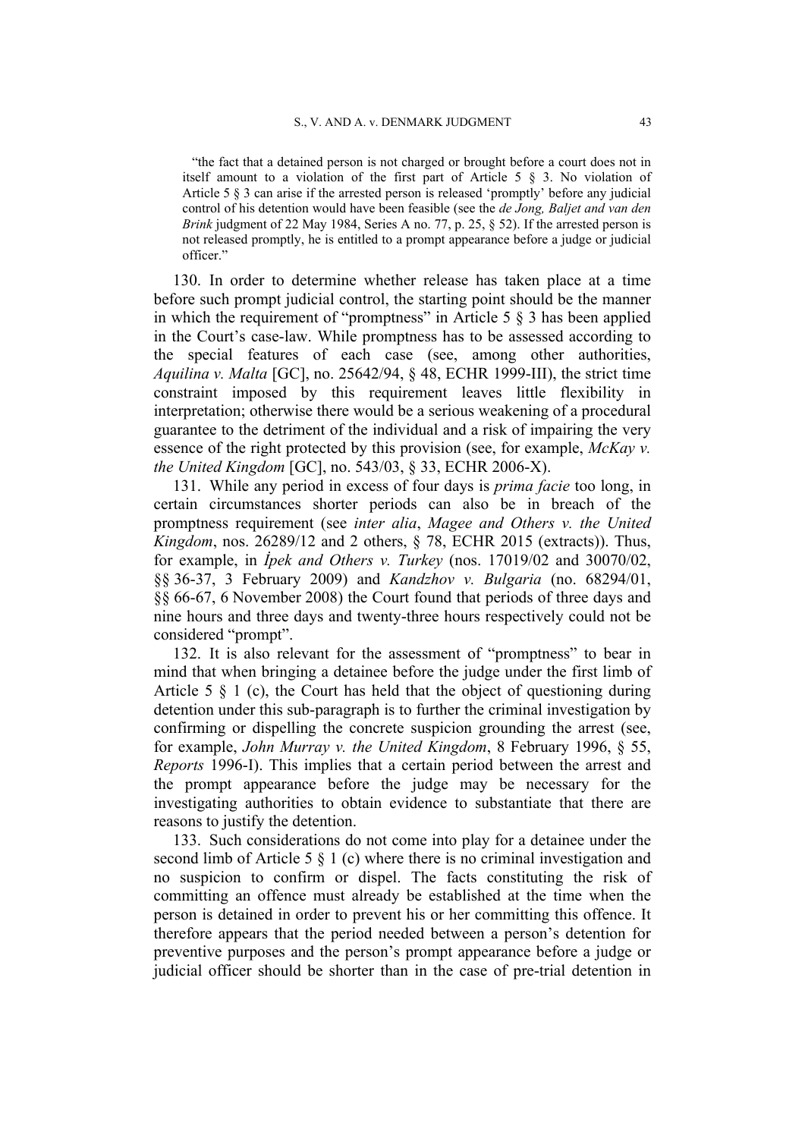"the fact that a detained person is not charged or brought before a court does not in itself amount to a violation of the first part of Article 5 § 3. No violation of Article 5 § 3 can arise if the arrested person is released 'promptly' before any judicial control of his detention would have been feasible (see the *de Jong, Baljet and van den Brink* judgment of 22 May 1984, Series A no. 77, p. 25, § 52). If the arrested person is not released promptly, he is entitled to a prompt appearance before a judge or judicial officer."

130. In order to determine whether release has taken place at a time before such prompt judicial control, the starting point should be the manner in which the requirement of "promptness" in Article 5  $\S$  3 has been applied in the Court's case-law. While promptness has to be assessed according to the special features of each case (see, among other authorities, *Aquilina v. Malta* [GC], no. [25642/94,](https://hudoc.echr.coe.int/eng#%7B) § 48, ECHR 1999-III), the strict time constraint imposed by this requirement leaves little flexibility in interpretation; otherwise there would be a serious weakening of a procedural guarantee to the detriment of the individual and a risk of impairing the very essence of the right protected by this provision (see, for example, *McKay v. the United Kingdom* [GC], no. 543/03, § 33, ECHR 2006-X).

131. While any period in excess of four days is *prima facie* too long, in certain circumstances shorter periods can also be in breach of the promptness requirement (see *inter alia*, *Magee and Others v. the United Kingdom*, nos. 26289/12 and 2 others, § 78, ECHR 2015 (extracts)). Thus, for example, in *İpek and Others v. Turkey* (nos. 17019/02 and 30070/02, §§ 36-37, 3 February 2009) and *Kandzhov v. Bulgaria* (no. 68294/01, §§ 66-67, 6 November 2008) the Court found that periods of three days and nine hours and three days and twenty-three hours respectively could not be considered "prompt".

132. It is also relevant for the assessment of "promptness" to bear in mind that when bringing a detainee before the judge under the first limb of Article 5 § 1 (c), the Court has held that the object of questioning during detention under this sub-paragraph is to further the criminal investigation by confirming or dispelling the concrete suspicion grounding the arrest (see, for example, *John Murray v. the United Kingdom*, 8 February 1996, § 55, *Reports* 1996-I). This implies that a certain period between the arrest and the prompt appearance before the judge may be necessary for the investigating authorities to obtain evidence to substantiate that there are reasons to justify the detention.

133. Such considerations do not come into play for a detainee under the second limb of Article 5  $\S$  1 (c) where there is no criminal investigation and no suspicion to confirm or dispel. The facts constituting the risk of committing an offence must already be established at the time when the person is detained in order to prevent his or her committing this offence. It therefore appears that the period needed between a person's detention for preventive purposes and the person's prompt appearance before a judge or judicial officer should be shorter than in the case of pre-trial detention in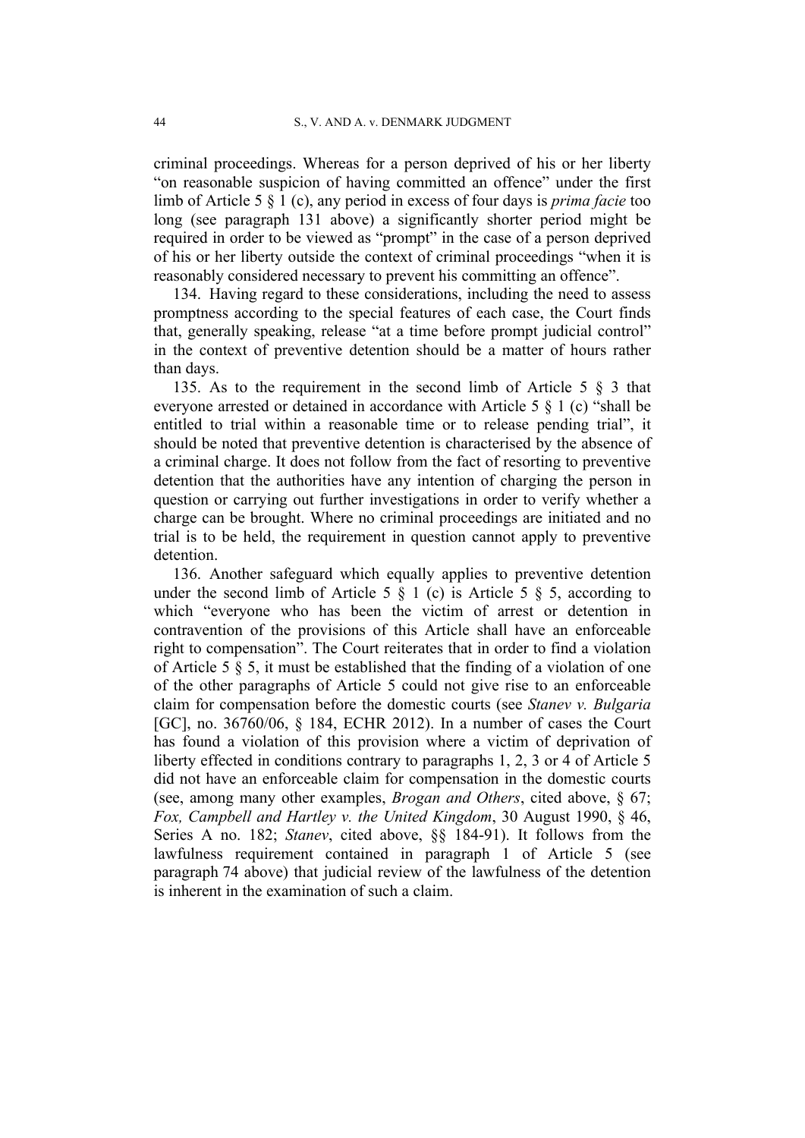criminal proceedings. Whereas for a person deprived of his or her liberty "on reasonable suspicion of having committed an offence" under the first limb of Article 5 § 1 (c), any period in excess of four days is *prima facie* too long (see paragraph 131 above) a significantly shorter period might be required in order to be viewed as "prompt" in the case of a person deprived of his or her liberty outside the context of criminal proceedings "when it is reasonably considered necessary to prevent his committing an offence".

134. Having regard to these considerations, including the need to assess promptness according to the special features of each case, the Court finds that, generally speaking, release "at a time before prompt judicial control" in the context of preventive detention should be a matter of hours rather than days.

135. As to the requirement in the second limb of Article 5 § 3 that everyone arrested or detained in accordance with Article 5 § 1 (c) "shall be entitled to trial within a reasonable time or to release pending trial", it should be noted that preventive detention is characterised by the absence of a criminal charge. It does not follow from the fact of resorting to preventive detention that the authorities have any intention of charging the person in question or carrying out further investigations in order to verify whether a charge can be brought. Where no criminal proceedings are initiated and no trial is to be held, the requirement in question cannot apply to preventive detention.

136. Another safeguard which equally applies to preventive detention under the second limb of Article 5  $\S$  1 (c) is Article 5  $\S$  5, according to which "everyone who has been the victim of arrest or detention in contravention of the provisions of this Article shall have an enforceable right to compensation". The Court reiterates that in order to find a violation of Article 5 § 5, it must be established that the finding of a violation of one of the other paragraphs of Article 5 could not give rise to an enforceable claim for compensation before the domestic courts (see *Stanev v. Bulgaria* [GC], no. 36760/06, § 184, ECHR 2012). In a number of cases the Court has found a violation of this provision where a victim of deprivation of liberty effected in conditions contrary to paragraphs 1, 2, 3 or 4 of Article 5 did not have an enforceable claim for compensation in the domestic courts (see, among many other examples, *Brogan and Others*, cited above, § 67; *Fox, Campbell and Hartley v. the United Kingdom*, 30 August 1990, § 46, Series A no. 182; *Stanev*, cited above, §§ 184-91). It follows from the lawfulness requirement contained in paragraph 1 of Article 5 (see paragraph 74 above) that judicial review of the lawfulness of the detention is inherent in the examination of such a claim.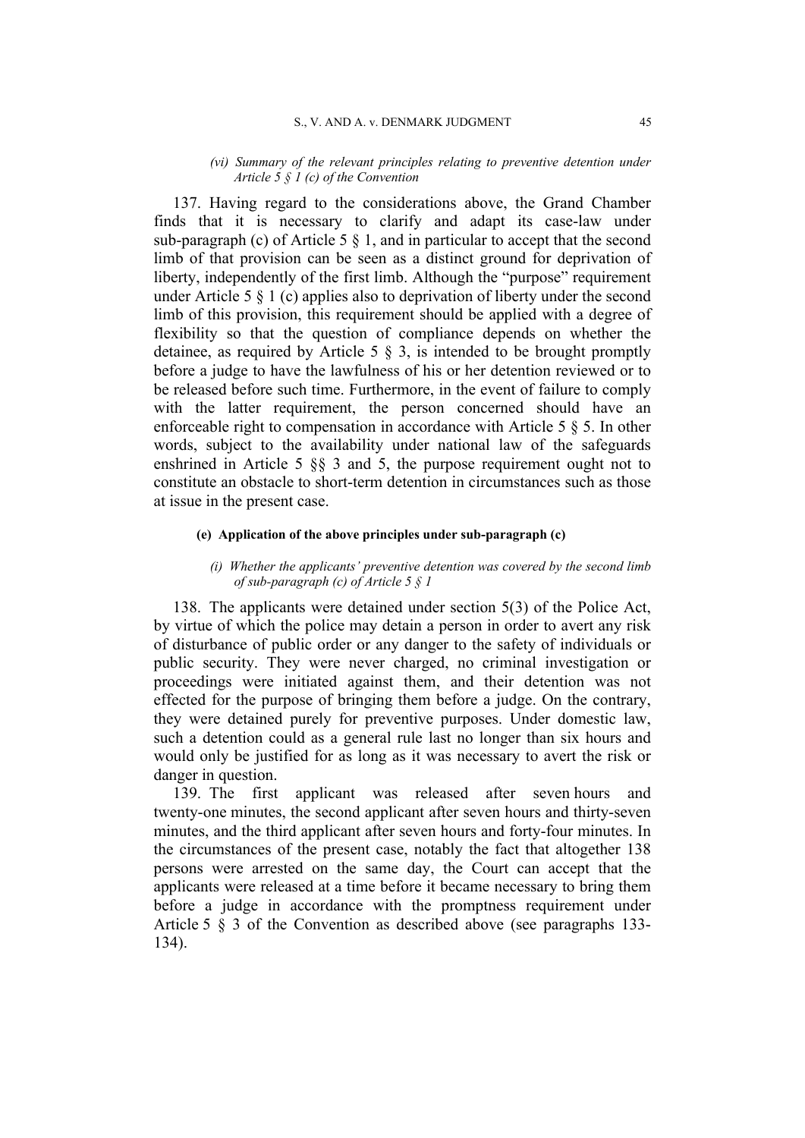#### S., V. AND A. v. DENMARK JUDGMENT 45

#### *(vi) Summary of the relevant principles relating to preventive detention under Article 5 § 1 (c) of the Convention*

137. Having regard to the considerations above, the Grand Chamber finds that it is necessary to clarify and adapt its case-law under sub-paragraph (c) of Article 5  $\S$  1, and in particular to accept that the second limb of that provision can be seen as a distinct ground for deprivation of liberty, independently of the first limb. Although the "purpose" requirement under Article 5 § 1 (c) applies also to deprivation of liberty under the second limb of this provision, this requirement should be applied with a degree of flexibility so that the question of compliance depends on whether the detainee, as required by Article 5 § 3, is intended to be brought promptly before a judge to have the lawfulness of his or her detention reviewed or to be released before such time. Furthermore, in the event of failure to comply with the latter requirement, the person concerned should have an enforceable right to compensation in accordance with Article 5 § 5. In other words, subject to the availability under national law of the safeguards enshrined in Article 5 §§ 3 and 5, the purpose requirement ought not to constitute an obstacle to short-term detention in circumstances such as those at issue in the present case.

### **(e) Application of the above principles under sub-paragraph (c)**

### *(i) Whether the applicants' preventive detention was covered by the second limb of sub-paragraph (c) of Article 5 § 1*

138. The applicants were detained under section 5(3) of the Police Act, by virtue of which the police may detain a person in order to avert any risk of disturbance of public order or any danger to the safety of individuals or public security. They were never charged, no criminal investigation or proceedings were initiated against them, and their detention was not effected for the purpose of bringing them before a judge. On the contrary, they were detained purely for preventive purposes. Under domestic law, such a detention could as a general rule last no longer than six hours and would only be justified for as long as it was necessary to avert the risk or danger in question.

139. The first applicant was released after seven hours and twenty-one minutes, the second applicant after seven hours and thirty-seven minutes, and the third applicant after seven hours and forty-four minutes. In the circumstances of the present case, notably the fact that altogether 138 persons were arrested on the same day, the Court can accept that the applicants were released at a time before it became necessary to bring them before a judge in accordance with the promptness requirement under Article 5 § 3 of the Convention as described above (see paragraphs 133- 134).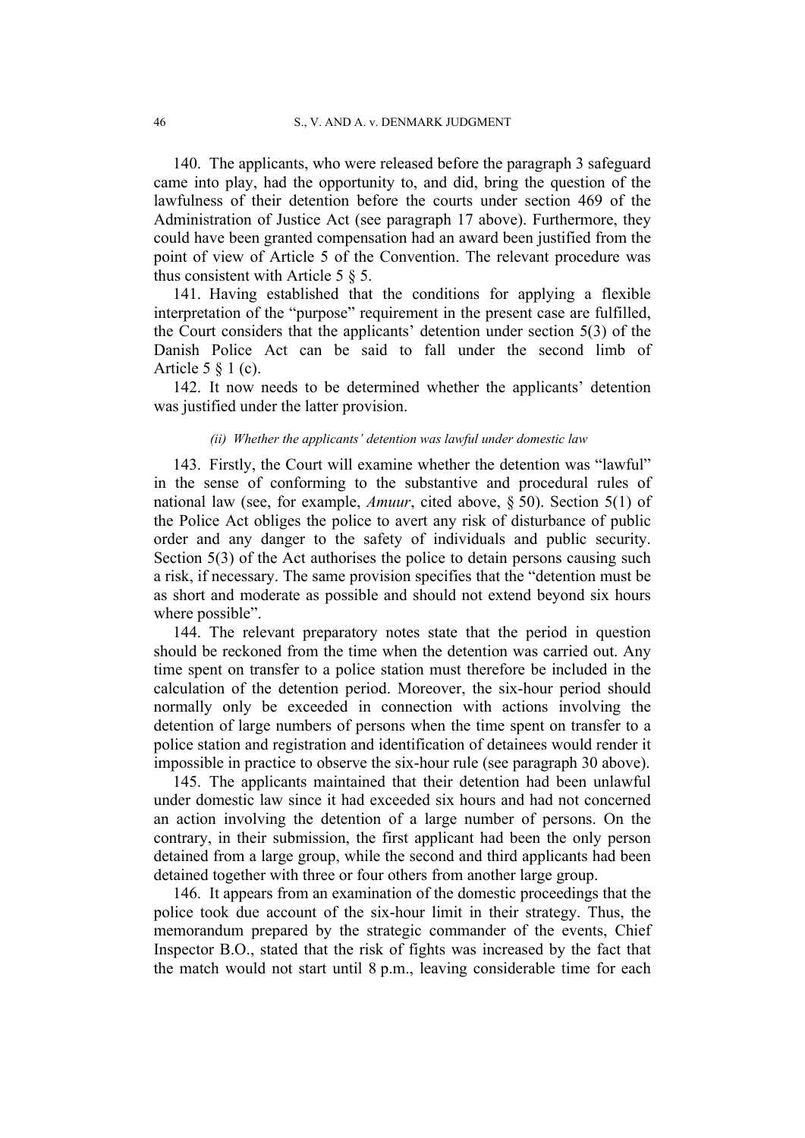140. The applicants, who were released before the paragraph 3 safeguard came into play, had the opportunity to, and did, bring the question of the lawfulness of their detention before the courts under section 469 of the Administration of Justice Act (see paragraph 17 above). Furthermore, they could have been granted compensation had an award been justified from the point of view of Article 5 of the Convention. The relevant procedure was thus consistent with Article 5 § 5.

141. Having established that the conditions for applying a flexible interpretation of the "purpose" requirement in the present case are fulfilled, the Court considers that the applicants' detention under section 5(3) of the Danish Police Act can be said to fall under the second limb of Article  $5 \& 1$  (c).

142. It now needs to be determined whether the applicants' detention was justified under the latter provision.

#### *(ii) Whether the applicants' detention was lawful under domestic law*

143. Firstly, the Court will examine whether the detention was "lawful" in the sense of conforming to the substantive and procedural rules of national law (see, for example, *Amuur*, cited above, § 50). Section 5(1) of the Police Act obliges the police to avert any risk of disturbance of public order and any danger to the safety of individuals and public security. Section 5(3) of the Act authorises the police to detain persons causing such a risk, if necessary. The same provision specifies that the "detention must be as short and moderate as possible and should not extend beyond six hours where possible".

144. The relevant preparatory notes state that the period in question should be reckoned from the time when the detention was carried out. Any time spent on transfer to a police station must therefore be included in the calculation of the detention period. Moreover, the six-hour period should normally only be exceeded in connection with actions involving the detention of large numbers of persons when the time spent on transfer to a police station and registration and identification of detainees would render it impossible in practice to observe the six-hour rule (see paragraph 30 above).

145. The applicants maintained that their detention had been unlawful under domestic law since it had exceeded six hours and had not concerned an action involving the detention of a large number of persons. On the contrary, in their submission, the first applicant had been the only person detained from a large group, while the second and third applicants had been detained together with three or four others from another large group.

146. It appears from an examination of the domestic proceedings that the police took due account of the six-hour limit in their strategy. Thus, the memorandum prepared by the strategic commander of the events, Chief Inspector B.O., stated that the risk of fights was increased by the fact that the match would not start until 8 p.m., leaving considerable time for each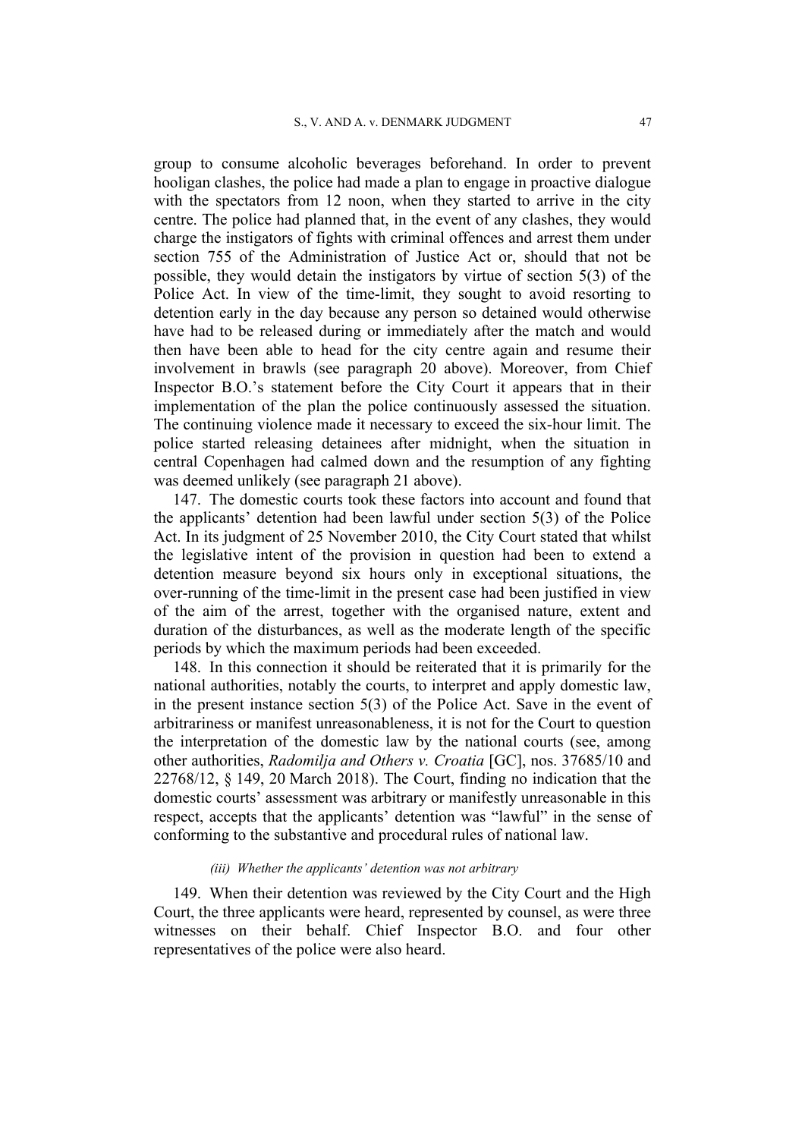group to consume alcoholic beverages beforehand. In order to prevent hooligan clashes, the police had made a plan to engage in proactive dialogue with the spectators from 12 noon, when they started to arrive in the city centre. The police had planned that, in the event of any clashes, they would charge the instigators of fights with criminal offences and arrest them under section 755 of the Administration of Justice Act or, should that not be possible, they would detain the instigators by virtue of section 5(3) of the Police Act. In view of the time-limit, they sought to avoid resorting to detention early in the day because any person so detained would otherwise have had to be released during or immediately after the match and would then have been able to head for the city centre again and resume their involvement in brawls (see paragraph 20 above). Moreover, from Chief Inspector B.O.'s statement before the City Court it appears that in their implementation of the plan the police continuously assessed the situation. The continuing violence made it necessary to exceed the six-hour limit. The police started releasing detainees after midnight, when the situation in central Copenhagen had calmed down and the resumption of any fighting was deemed unlikely (see paragraph 21 above).

147. The domestic courts took these factors into account and found that the applicants' detention had been lawful under section 5(3) of the Police Act. In its judgment of 25 November 2010, the City Court stated that whilst the legislative intent of the provision in question had been to extend a detention measure beyond six hours only in exceptional situations, the over-running of the time-limit in the present case had been justified in view of the aim of the arrest, together with the organised nature, extent and duration of the disturbances, as well as the moderate length of the specific periods by which the maximum periods had been exceeded.

148. In this connection it should be reiterated that it is primarily for the national authorities, notably the courts, to interpret and apply domestic law, in the present instance section 5(3) of the Police Act. Save in the event of arbitrariness or manifest unreasonableness, it is not for the Court to question the interpretation of the domestic law by the national courts (see, among other authorities, *Radomilja and Others v. Croatia* [GC], nos. 37685/10 and 22768/12, § 149, 20 March 2018). The Court, finding no indication that the domestic courts' assessment was arbitrary or manifestly unreasonable in this respect, accepts that the applicants' detention was "lawful" in the sense of conforming to the substantive and procedural rules of national law.

### *(iii) Whether the applicants' detention was not arbitrary*

149. When their detention was reviewed by the City Court and the High Court, the three applicants were heard, represented by counsel, as were three witnesses on their behalf. Chief Inspector B.O. and four other representatives of the police were also heard.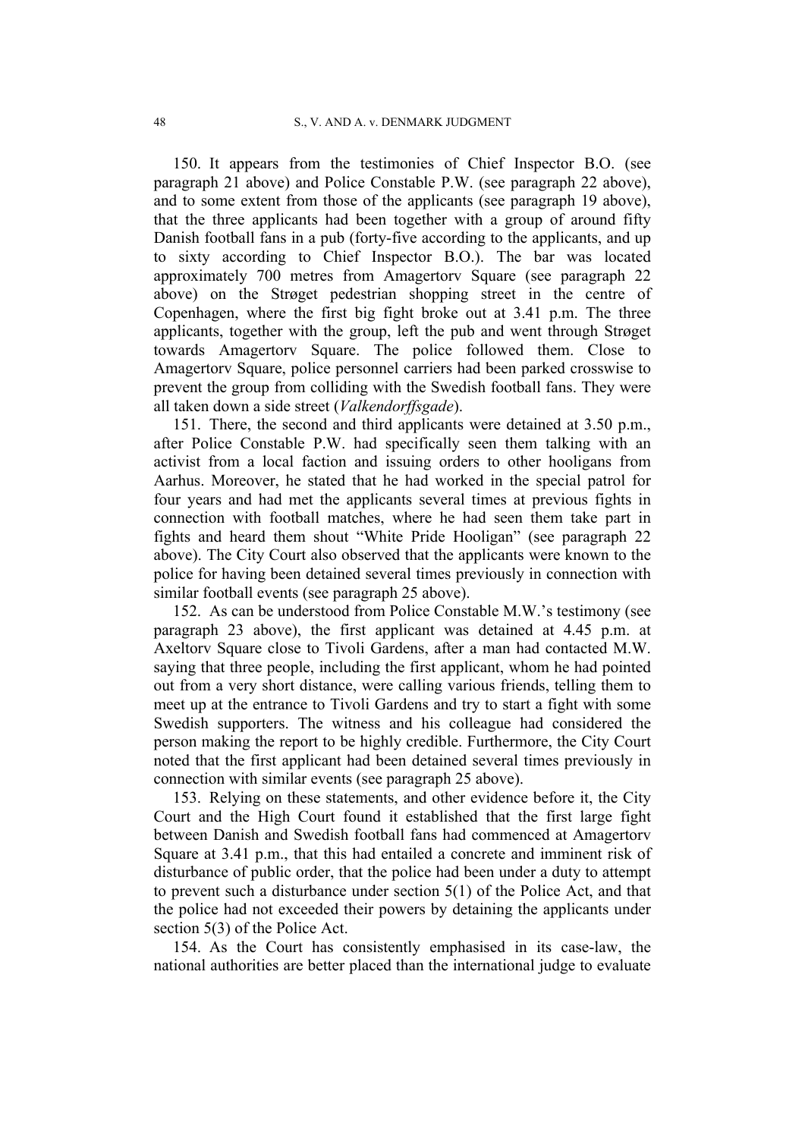150. It appears from the testimonies of Chief Inspector B.O. (see paragraph 21 above) and Police Constable P.W. (see paragraph 22 above), and to some extent from those of the applicants (see paragraph 19 above), that the three applicants had been together with a group of around fifty Danish football fans in a pub (forty-five according to the applicants, and up to sixty according to Chief Inspector B.O.). The bar was located approximately 700 metres from Amagertorv Square (see paragraph 22 above) on the Strøget pedestrian shopping street in the centre of Copenhagen, where the first big fight broke out at 3.41 p.m. The three applicants, together with the group, left the pub and went through Strøget towards Amagertorv Square. The police followed them. Close to Amagertorv Square, police personnel carriers had been parked crosswise to prevent the group from colliding with the Swedish football fans. They were all taken down a side street (*Valkendorffsgade*).

151. There, the second and third applicants were detained at 3.50 p.m., after Police Constable P.W. had specifically seen them talking with an activist from a local faction and issuing orders to other hooligans from Aarhus. Moreover, he stated that he had worked in the special patrol for four years and had met the applicants several times at previous fights in connection with football matches, where he had seen them take part in fights and heard them shout "White Pride Hooligan" (see paragraph 22 above). The City Court also observed that the applicants were known to the police for having been detained several times previously in connection with similar football events (see paragraph 25 above).

152. As can be understood from Police Constable M.W.'s testimony (see paragraph 23 above), the first applicant was detained at 4.45 p.m. at Axeltorv Square close to Tivoli Gardens, after a man had contacted M.W. saying that three people, including the first applicant, whom he had pointed out from a very short distance, were calling various friends, telling them to meet up at the entrance to Tivoli Gardens and try to start a fight with some Swedish supporters. The witness and his colleague had considered the person making the report to be highly credible. Furthermore, the City Court noted that the first applicant had been detained several times previously in connection with similar events (see paragraph 25 above).

153. Relying on these statements, and other evidence before it, the City Court and the High Court found it established that the first large fight between Danish and Swedish football fans had commenced at Amagertorv Square at 3.41 p.m., that this had entailed a concrete and imminent risk of disturbance of public order, that the police had been under a duty to attempt to prevent such a disturbance under section 5(1) of the Police Act, and that the police had not exceeded their powers by detaining the applicants under section 5(3) of the Police Act.

154. As the Court has consistently emphasised in its case-law, the national authorities are better placed than the international judge to evaluate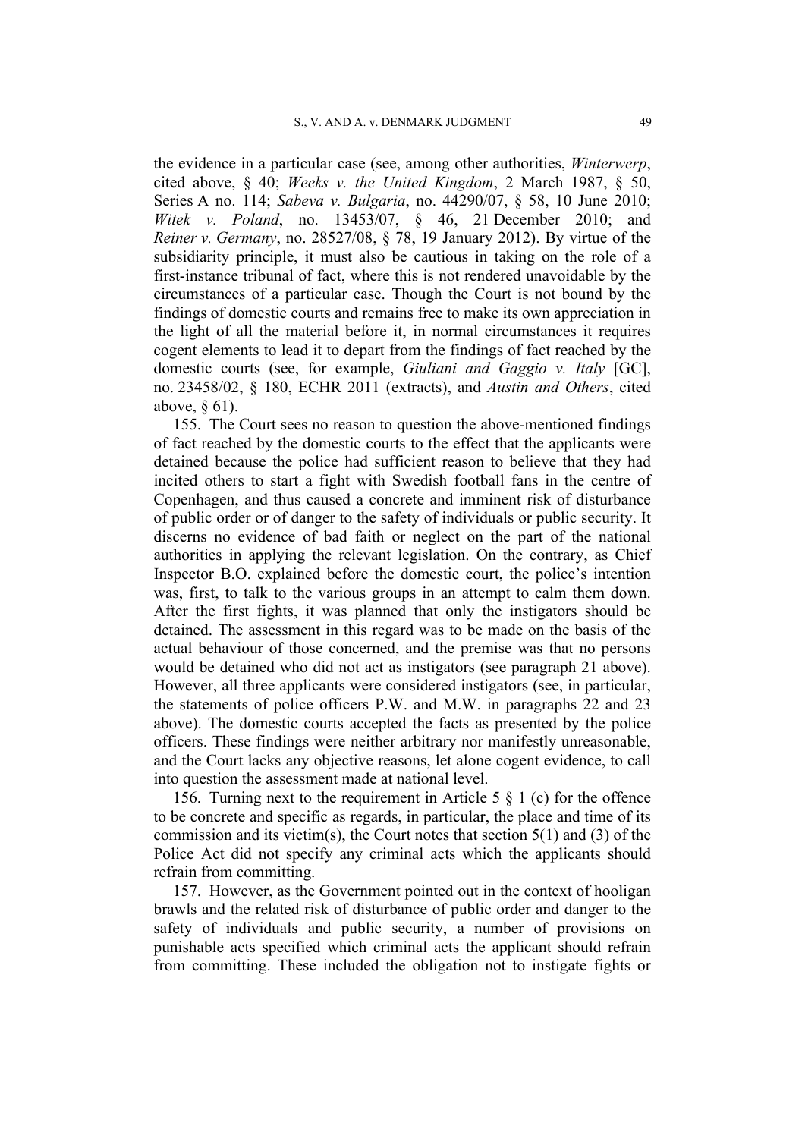the evidence in a particular case (see, among other authorities, *Winterwerp*, cited above, § 40; *Weeks v. the United Kingdom*, 2 March 1987, § 50, Series A no. 114; *Sabeva v. Bulgaria*, no. [44290/07,](https://hudoc.echr.coe.int/eng#%7B) § 58, 10 June 2010; *Witek v. Poland*, no. 13453/07, § 46, 21 December 2010; and *Reiner v. Germany*, no. 28527/08, § 78, 19 January 2012). By virtue of the subsidiarity principle, it must also be cautious in taking on the role of a first-instance tribunal of fact, where this is not rendered unavoidable by the circumstances of a particular case. Though the Court is not bound by the findings of domestic courts and remains free to make its own appreciation in the light of all the material before it, in normal circumstances it requires cogent elements to lead it to depart from the findings of fact reached by the domestic courts (see, for example, *Giuliani and Gaggio v. Italy* [GC], no. 23458/02, § 180, ECHR 2011 (extracts), and *Austin and Others*, cited above, § 61).

155. The Court sees no reason to question the above-mentioned findings of fact reached by the domestic courts to the effect that the applicants were detained because the police had sufficient reason to believe that they had incited others to start a fight with Swedish football fans in the centre of Copenhagen, and thus caused a concrete and imminent risk of disturbance of public order or of danger to the safety of individuals or public security. It discerns no evidence of bad faith or neglect on the part of the national authorities in applying the relevant legislation. On the contrary, as Chief Inspector B.O. explained before the domestic court, the police's intention was, first, to talk to the various groups in an attempt to calm them down. After the first fights, it was planned that only the instigators should be detained. The assessment in this regard was to be made on the basis of the actual behaviour of those concerned, and the premise was that no persons would be detained who did not act as instigators (see paragraph 21 above). However, all three applicants were considered instigators (see, in particular, the statements of police officers P.W. and M.W. in paragraphs 22 and 23 above). The domestic courts accepted the facts as presented by the police officers. These findings were neither arbitrary nor manifestly unreasonable, and the Court lacks any objective reasons, let alone cogent evidence, to call into question the assessment made at national level.

156. Turning next to the requirement in Article 5  $\S$  1 (c) for the offence to be concrete and specific as regards, in particular, the place and time of its commission and its victim(s), the Court notes that section  $5(1)$  and  $(3)$  of the Police Act did not specify any criminal acts which the applicants should refrain from committing.

157. However, as the Government pointed out in the context of hooligan brawls and the related risk of disturbance of public order and danger to the safety of individuals and public security, a number of provisions on punishable acts specified which criminal acts the applicant should refrain from committing. These included the obligation not to instigate fights or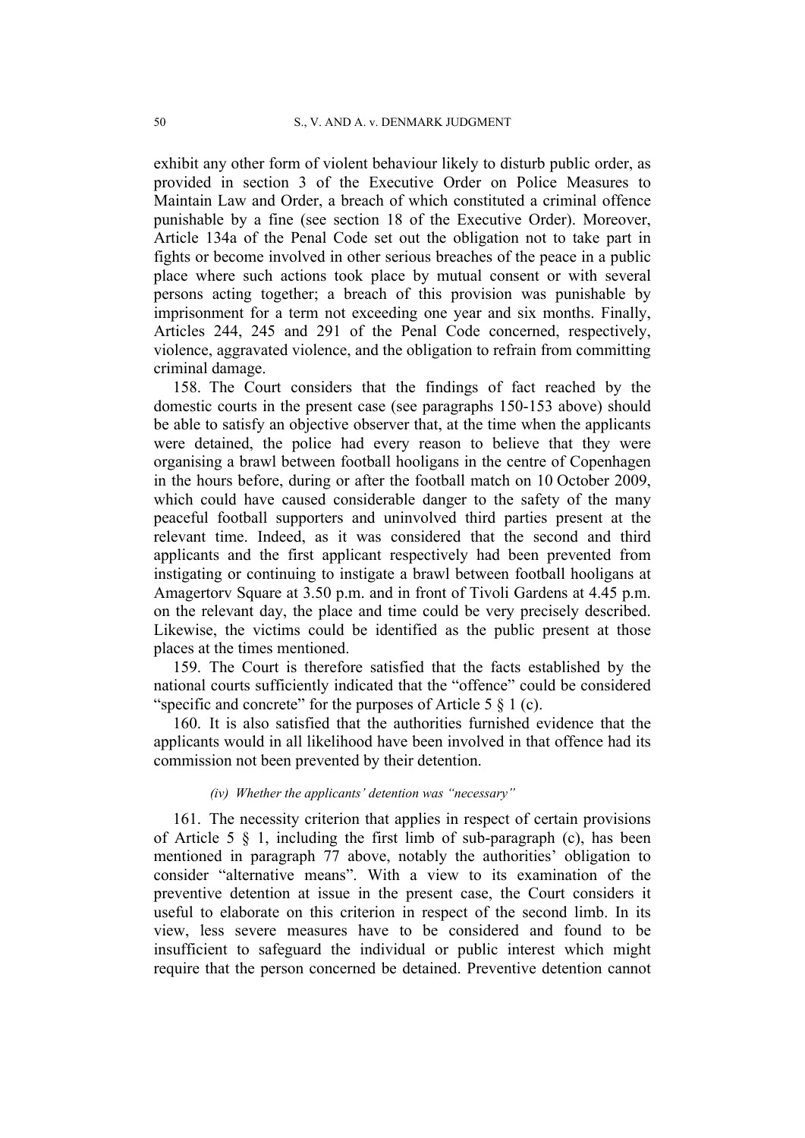exhibit any other form of violent behaviour likely to disturb public order, as provided in section 3 of the Executive Order on Police Measures to Maintain Law and Order, a breach of which constituted a criminal offence punishable by a fine (see section 18 of the Executive Order). Moreover, Article 134a of the Penal Code set out the obligation not to take part in fights or become involved in other serious breaches of the peace in a public place where such actions took place by mutual consent or with several persons acting together; a breach of this provision was punishable by imprisonment for a term not exceeding one year and six months. Finally, Articles 244, 245 and 291 of the Penal Code concerned, respectively, violence, aggravated violence, and the obligation to refrain from committing criminal damage.

158. The Court considers that the findings of fact reached by the domestic courts in the present case (see paragraphs 150-153 above) should be able to satisfy an objective observer that, at the time when the applicants were detained, the police had every reason to believe that they were organising a brawl between football hooligans in the centre of Copenhagen in the hours before, during or after the football match on 10 October 2009, which could have caused considerable danger to the safety of the many peaceful football supporters and uninvolved third parties present at the relevant time. Indeed, as it was considered that the second and third applicants and the first applicant respectively had been prevented from instigating or continuing to instigate a brawl between football hooligans at Amagertorv Square at 3.50 p.m. and in front of Tivoli Gardens at 4.45 p.m. on the relevant day, the place and time could be very precisely described. Likewise, the victims could be identified as the public present at those places at the times mentioned.

159. The Court is therefore satisfied that the facts established by the national courts sufficiently indicated that the "offence" could be considered "specific and concrete" for the purposes of Article  $5 \& 1$  (c).

160. It is also satisfied that the authorities furnished evidence that the applicants would in all likelihood have been involved in that offence had its commission not been prevented by their detention.

# *(iv) Whether the applicants' detention was "necessary"*

161. The necessity criterion that applies in respect of certain provisions of Article 5  $\&$  1, including the first limb of sub-paragraph (c), has been mentioned in paragraph 77 above, notably the authorities' obligation to consider "alternative means". With a view to its examination of the preventive detention at issue in the present case, the Court considers it useful to elaborate on this criterion in respect of the second limb. In its view, less severe measures have to be considered and found to be insufficient to safeguard the individual or public interest which might require that the person concerned be detained. Preventive detention cannot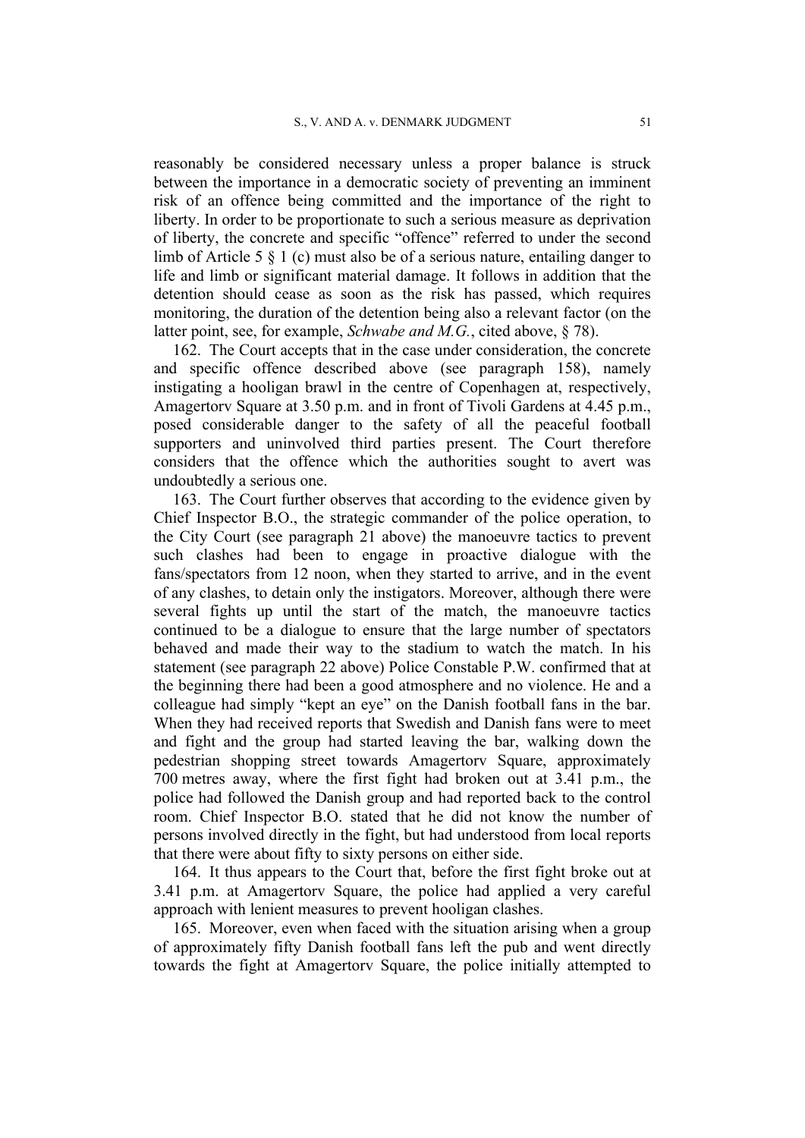reasonably be considered necessary unless a proper balance is struck between the importance in a democratic society of preventing an imminent risk of an offence being committed and the importance of the right to liberty. In order to be proportionate to such a serious measure as deprivation of liberty, the concrete and specific "offence" referred to under the second limb of Article 5 § 1 (c) must also be of a serious nature, entailing danger to life and limb or significant material damage. It follows in addition that the detention should cease as soon as the risk has passed, which requires monitoring, the duration of the detention being also a relevant factor (on the latter point, see, for example, *Schwabe and M.G.*, cited above, § 78).

162. The Court accepts that in the case under consideration, the concrete and specific offence described above (see paragraph 158), namely instigating a hooligan brawl in the centre of Copenhagen at, respectively, Amagertorv Square at 3.50 p.m. and in front of Tivoli Gardens at 4.45 p.m., posed considerable danger to the safety of all the peaceful football supporters and uninvolved third parties present. The Court therefore considers that the offence which the authorities sought to avert was undoubtedly a serious one.

163. The Court further observes that according to the evidence given by Chief Inspector B.O., the strategic commander of the police operation, to the City Court (see paragraph 21 above) the manoeuvre tactics to prevent such clashes had been to engage in proactive dialogue with the fans/spectators from 12 noon, when they started to arrive, and in the event of any clashes, to detain only the instigators. Moreover, although there were several fights up until the start of the match, the manoeuvre tactics continued to be a dialogue to ensure that the large number of spectators behaved and made their way to the stadium to watch the match. In his statement (see paragraph 22 above) Police Constable P.W. confirmed that at the beginning there had been a good atmosphere and no violence. He and a colleague had simply "kept an eye" on the Danish football fans in the bar. When they had received reports that Swedish and Danish fans were to meet and fight and the group had started leaving the bar, walking down the pedestrian shopping street towards Amagertorv Square, approximately 700 metres away, where the first fight had broken out at 3.41 p.m., the police had followed the Danish group and had reported back to the control room. Chief Inspector B.O. stated that he did not know the number of persons involved directly in the fight, but had understood from local reports that there were about fifty to sixty persons on either side.

164. It thus appears to the Court that, before the first fight broke out at 3.41 p.m. at Amagertorv Square, the police had applied a very careful approach with lenient measures to prevent hooligan clashes.

165. Moreover, even when faced with the situation arising when a group of approximately fifty Danish football fans left the pub and went directly towards the fight at Amagertorv Square, the police initially attempted to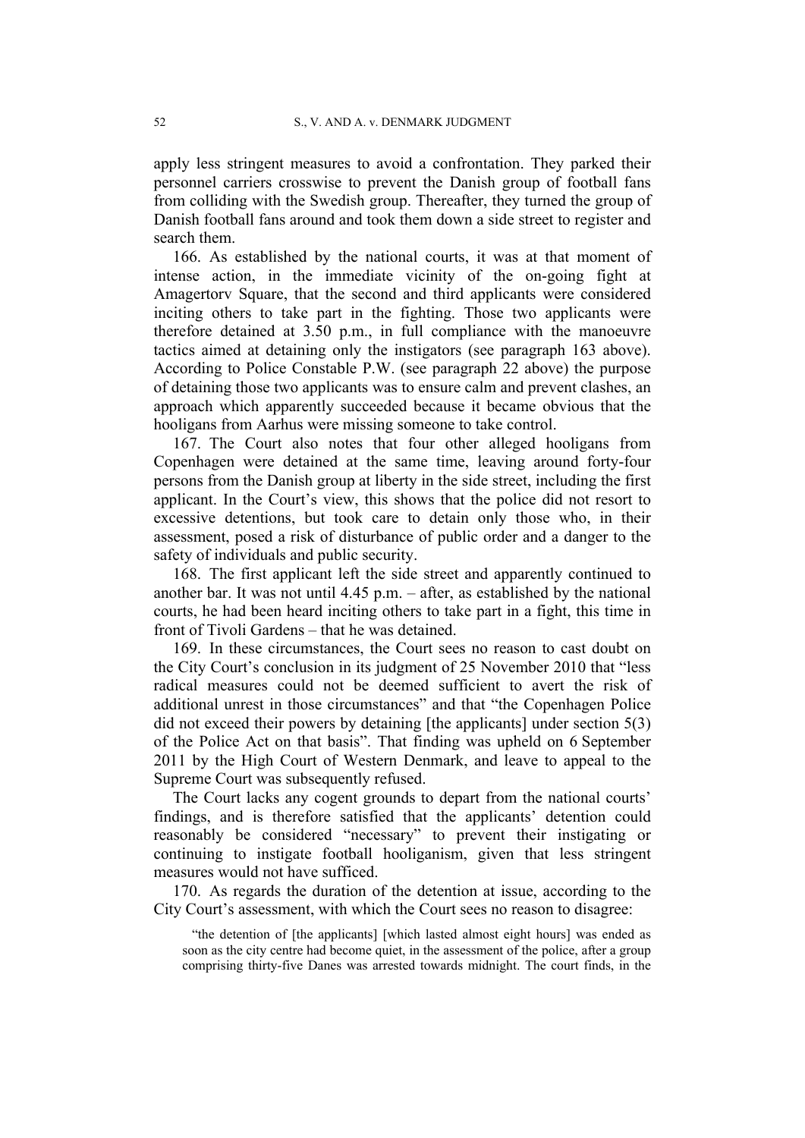apply less stringent measures to avoid a confrontation. They parked their personnel carriers crosswise to prevent the Danish group of football fans from colliding with the Swedish group. Thereafter, they turned the group of Danish football fans around and took them down a side street to register and search them.

166. As established by the national courts, it was at that moment of intense action, in the immediate vicinity of the on-going fight at Amagertorv Square, that the second and third applicants were considered inciting others to take part in the fighting. Those two applicants were therefore detained at 3.50 p.m., in full compliance with the manoeuvre tactics aimed at detaining only the instigators (see paragraph 163 above). According to Police Constable P.W. (see paragraph 22 above) the purpose of detaining those two applicants was to ensure calm and prevent clashes, an approach which apparently succeeded because it became obvious that the hooligans from Aarhus were missing someone to take control.

167. The Court also notes that four other alleged hooligans from Copenhagen were detained at the same time, leaving around forty-four persons from the Danish group at liberty in the side street, including the first applicant. In the Court's view, this shows that the police did not resort to excessive detentions, but took care to detain only those who, in their assessment, posed a risk of disturbance of public order and a danger to the safety of individuals and public security.

168. The first applicant left the side street and apparently continued to another bar. It was not until 4.45 p.m. – after, as established by the national courts, he had been heard inciting others to take part in a fight, this time in front of Tivoli Gardens – that he was detained.

169. In these circumstances, the Court sees no reason to cast doubt on the City Court's conclusion in its judgment of 25 November 2010 that "less radical measures could not be deemed sufficient to avert the risk of additional unrest in those circumstances" and that "the Copenhagen Police did not exceed their powers by detaining [the applicants] under section 5(3) of the Police Act on that basis". That finding was upheld on 6 September 2011 by the High Court of Western Denmark, and leave to appeal to the Supreme Court was subsequently refused.

The Court lacks any cogent grounds to depart from the national courts' findings, and is therefore satisfied that the applicants' detention could reasonably be considered "necessary" to prevent their instigating or continuing to instigate football hooliganism, given that less stringent measures would not have sufficed.

170. As regards the duration of the detention at issue, according to the City Court's assessment, with which the Court sees no reason to disagree:

"the detention of [the applicants] [which lasted almost eight hours] was ended as soon as the city centre had become quiet, in the assessment of the police, after a group comprising thirty-five Danes was arrested towards midnight. The court finds, in the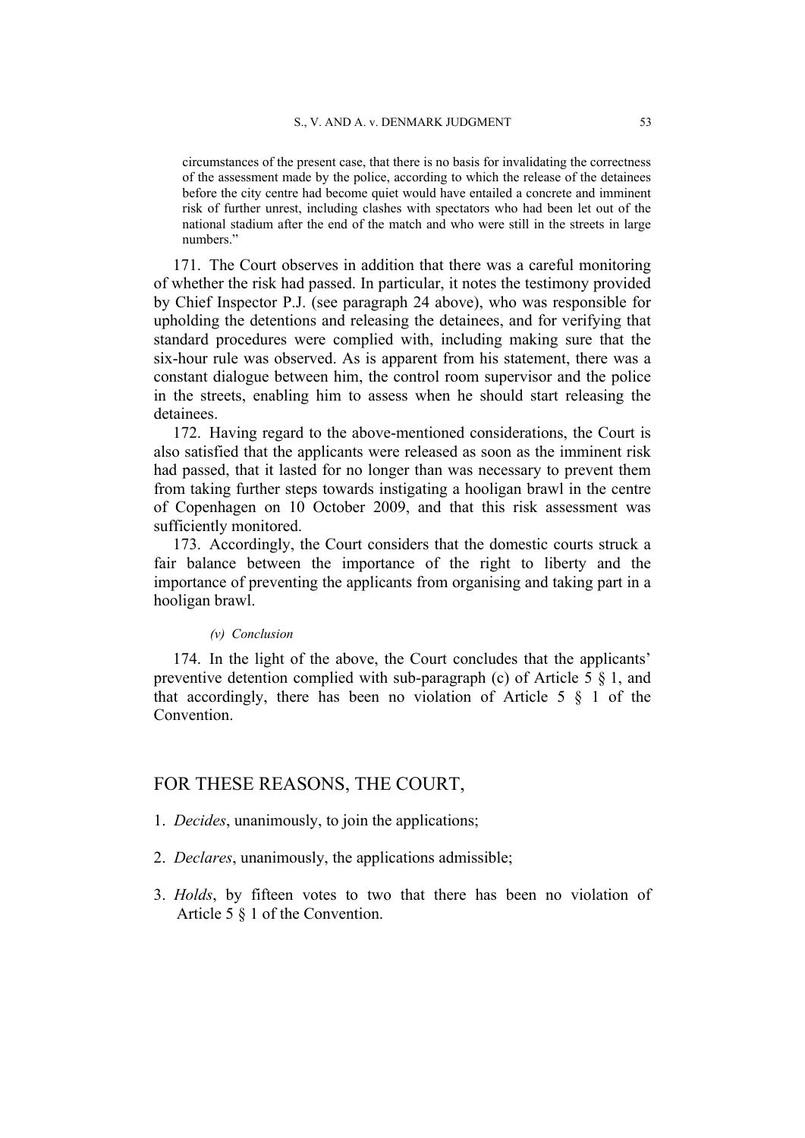circumstances of the present case, that there is no basis for invalidating the correctness of the assessment made by the police, according to which the release of the detainees before the city centre had become quiet would have entailed a concrete and imminent risk of further unrest, including clashes with spectators who had been let out of the national stadium after the end of the match and who were still in the streets in large numbers."

171. The Court observes in addition that there was a careful monitoring of whether the risk had passed. In particular, it notes the testimony provided by Chief Inspector P.J. (see paragraph 24 above), who was responsible for upholding the detentions and releasing the detainees, and for verifying that standard procedures were complied with, including making sure that the six-hour rule was observed. As is apparent from his statement, there was a constant dialogue between him, the control room supervisor and the police in the streets, enabling him to assess when he should start releasing the detainees.

172. Having regard to the above-mentioned considerations, the Court is also satisfied that the applicants were released as soon as the imminent risk had passed, that it lasted for no longer than was necessary to prevent them from taking further steps towards instigating a hooligan brawl in the centre of Copenhagen on 10 October 2009, and that this risk assessment was sufficiently monitored.

173. Accordingly, the Court considers that the domestic courts struck a fair balance between the importance of the right to liberty and the importance of preventing the applicants from organising and taking part in a hooligan brawl.

### *(v) Conclusion*

174. In the light of the above, the Court concludes that the applicants' preventive detention complied with sub-paragraph (c) of Article 5 § 1, and that accordingly, there has been no violation of Article 5 § 1 of the Convention.

# FOR THESE REASONS, THE COURT,

- 1. *Decides*, unanimously, to join the applications;
- 2. *Declares*, unanimously, the applications admissible;
- 3. *Holds*, by fifteen votes to two that there has been no violation of Article 5 § 1 of the Convention.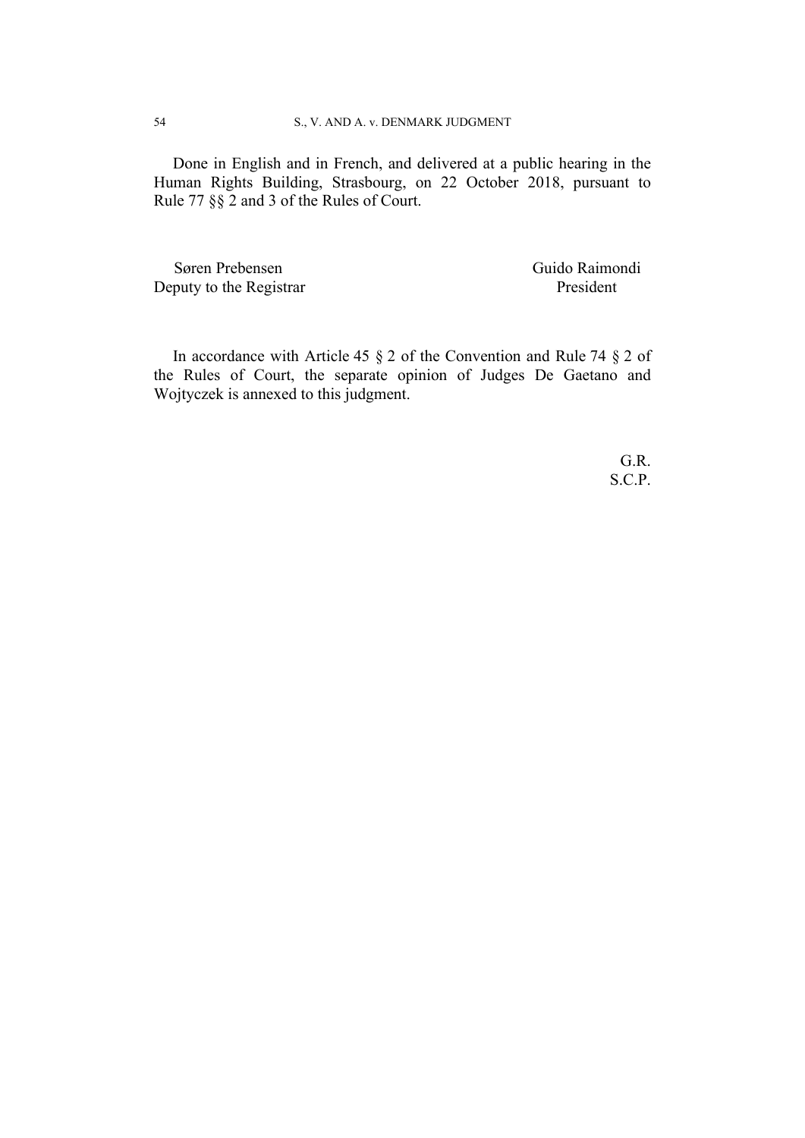Done in English and in French, and delivered at a public hearing in the Human Rights Building, Strasbourg, on 22 October 2018, pursuant to Rule 77 §§ 2 and 3 of the Rules of Court.

Søren Prebensen Guido Raimondi Deputy to the Registrar President

In accordance with Article 45 § 2 of the Convention and Rule 74 § 2 of the Rules of Court, the separate opinion of Judges De Gaetano and Wojtyczek is annexed to this judgment.

> G.R. S.C.P.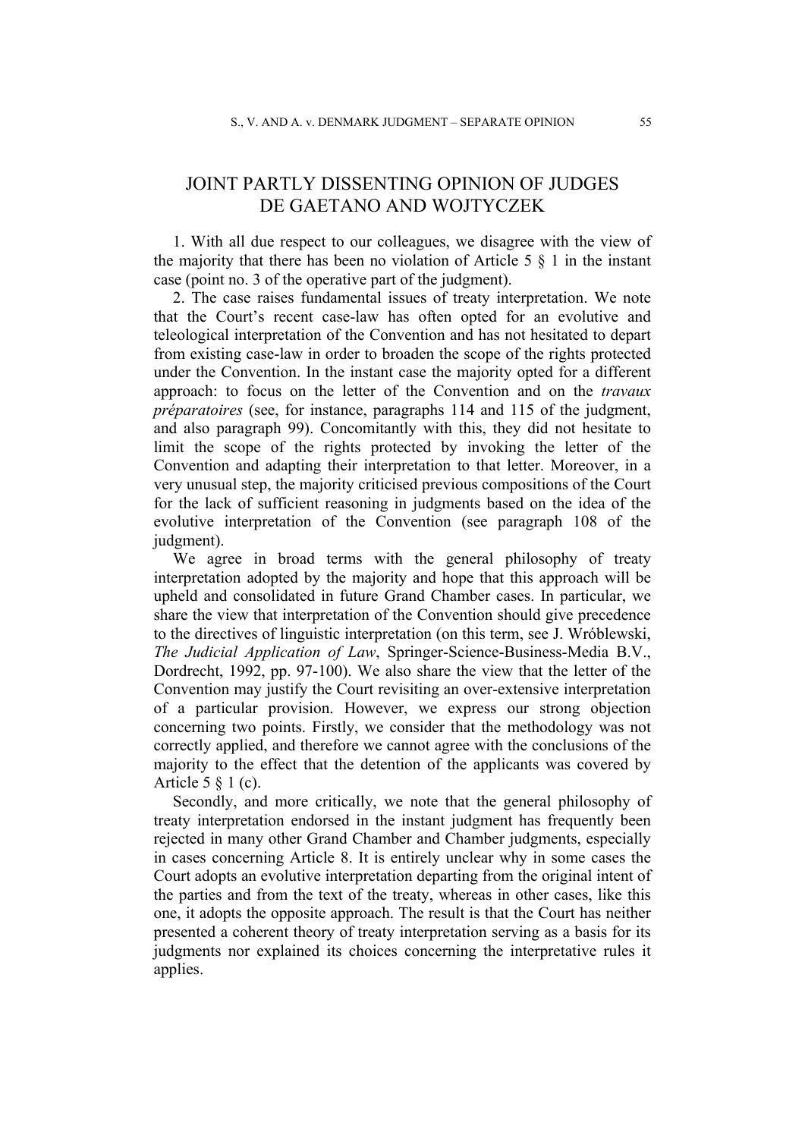# JOINT PARTLY DISSENTING OPINION OF JUDGES DE GAETANO AND WOJTYCZEK

1. With all due respect to our colleagues, we disagree with the view of the majority that there has been no violation of Article  $5 \& 1$  in the instant case (point no. 3 of the operative part of the judgment).

2. The case raises fundamental issues of treaty interpretation. We note that the Court's recent case-law has often opted for an evolutive and teleological interpretation of the Convention and has not hesitated to depart from existing case-law in order to broaden the scope of the rights protected under the Convention. In the instant case the majority opted for a different approach: to focus on the letter of the Convention and on the *travaux préparatoires* (see, for instance, paragraphs 114 and 115 of the judgment, and also paragraph 99). Concomitantly with this, they did not hesitate to limit the scope of the rights protected by invoking the letter of the Convention and adapting their interpretation to that letter. Moreover, in a very unusual step, the majority criticised previous compositions of the Court for the lack of sufficient reasoning in judgments based on the idea of the evolutive interpretation of the Convention (see paragraph 108 of the judgment).

We agree in broad terms with the general philosophy of treaty interpretation adopted by the majority and hope that this approach will be upheld and consolidated in future Grand Chamber cases. In particular, we share the view that interpretation of the Convention should give precedence to the directives of linguistic interpretation (on this term, see J. Wróblewski, *The Judicial Application of Law*, Springer-Science-Business-Media B.V., Dordrecht, 1992, pp. 97-100). We also share the view that the letter of the Convention may justify the Court revisiting an over-extensive interpretation of a particular provision. However, we express our strong objection concerning two points. Firstly, we consider that the methodology was not correctly applied, and therefore we cannot agree with the conclusions of the majority to the effect that the detention of the applicants was covered by Article 5 § 1 (c).

Secondly, and more critically, we note that the general philosophy of treaty interpretation endorsed in the instant judgment has frequently been rejected in many other Grand Chamber and Chamber judgments, especially in cases concerning Article 8. It is entirely unclear why in some cases the Court adopts an evolutive interpretation departing from the original intent of the parties and from the text of the treaty, whereas in other cases, like this one, it adopts the opposite approach. The result is that the Court has neither presented a coherent theory of treaty interpretation serving as a basis for its judgments nor explained its choices concerning the interpretative rules it applies.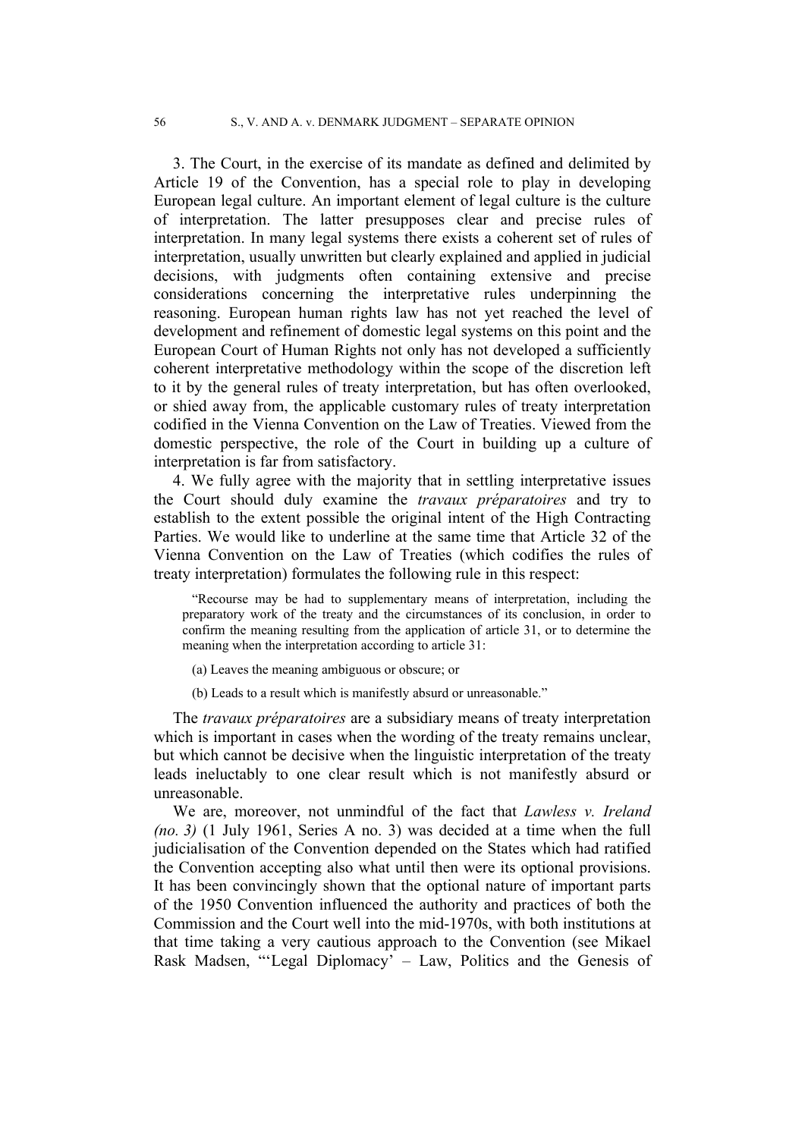3. The Court, in the exercise of its mandate as defined and delimited by Article 19 of the Convention, has a special role to play in developing European legal culture. An important element of legal culture is the culture of interpretation. The latter presupposes clear and precise rules of interpretation. In many legal systems there exists a coherent set of rules of interpretation, usually unwritten but clearly explained and applied in judicial decisions, with judgments often containing extensive and precise considerations concerning the interpretative rules underpinning the reasoning. European human rights law has not yet reached the level of development and refinement of domestic legal systems on this point and the European Court of Human Rights not only has not developed a sufficiently coherent interpretative methodology within the scope of the discretion left to it by the general rules of treaty interpretation, but has often overlooked, or shied away from, the applicable customary rules of treaty interpretation codified in the Vienna Convention on the Law of Treaties. Viewed from the domestic perspective, the role of the Court in building up a culture of interpretation is far from satisfactory.

4. We fully agree with the majority that in settling interpretative issues the Court should duly examine the *travaux préparatoires* and try to establish to the extent possible the original intent of the High Contracting Parties. We would like to underline at the same time that Article 32 of the Vienna Convention on the Law of Treaties (which codifies the rules of treaty interpretation) formulates the following rule in this respect:

"Recourse may be had to supplementary means of interpretation, including the preparatory work of the treaty and the circumstances of its conclusion, in order to confirm the meaning resulting from the application of article 31, or to determine the meaning when the interpretation according to article 31:

(a) Leaves the meaning ambiguous or obscure; or

(b) Leads to a result which is manifestly absurd or unreasonable."

The *travaux préparatoires* are a subsidiary means of treaty interpretation which is important in cases when the wording of the treaty remains unclear, but which cannot be decisive when the linguistic interpretation of the treaty leads ineluctably to one clear result which is not manifestly absurd or unreasonable.

We are, moreover, not unmindful of the fact that *Lawless v. Ireland (no. 3)* (1 July 1961, Series A no. 3) was decided at a time when the full judicialisation of the Convention depended on the States which had ratified the Convention accepting also what until then were its optional provisions. It has been convincingly shown that the optional nature of important parts of the 1950 Convention influenced the authority and practices of both the Commission and the Court well into the mid-1970s, with both institutions at that time taking a very cautious approach to the Convention (see Mikael Rask Madsen, "'Legal Diplomacy' – Law, Politics and the Genesis of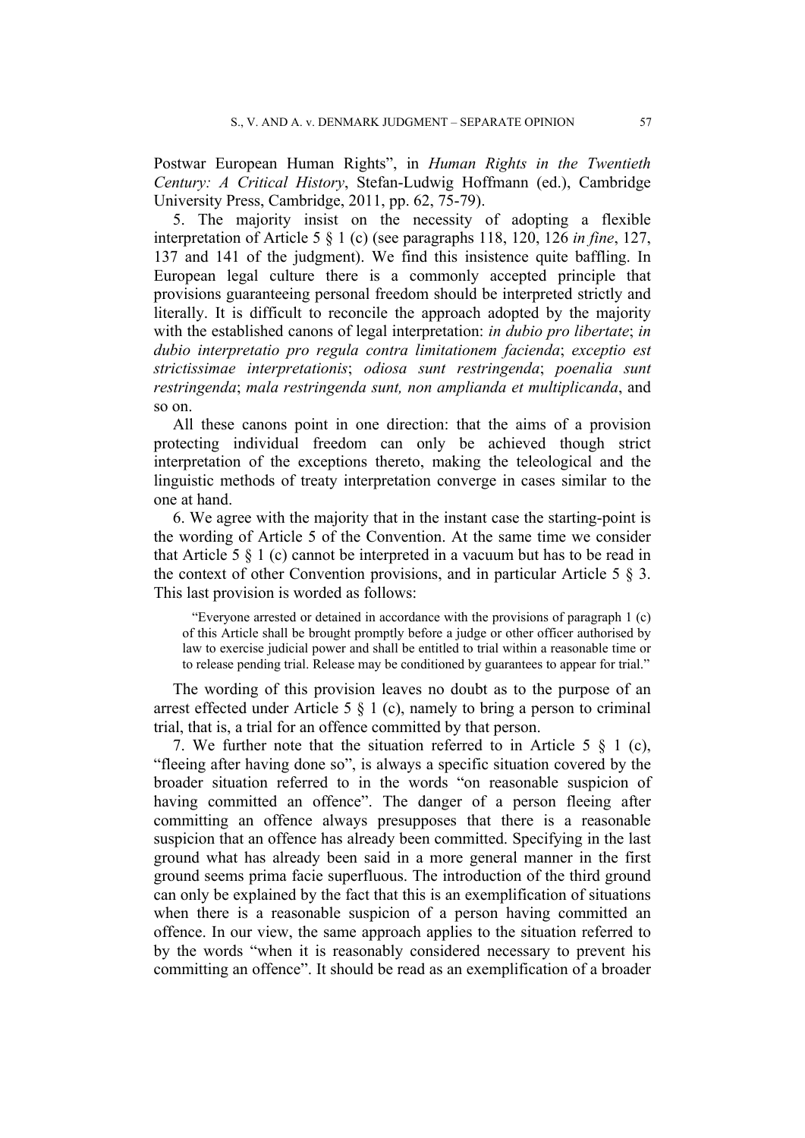Postwar European Human Rights", in *Human Rights in the Twentieth Century: A Critical History*, Stefan-Ludwig Hoffmann (ed.), Cambridge University Press, Cambridge, 2011, pp. 62, 75-79).

5. The majority insist on the necessity of adopting a flexible interpretation of Article 5 § 1 (c) (see paragraphs 118, 120, 126 *in fine*, 127, 137 and 141 of the judgment). We find this insistence quite baffling. In European legal culture there is a commonly accepted principle that provisions guaranteeing personal freedom should be interpreted strictly and literally. It is difficult to reconcile the approach adopted by the majority with the established canons of legal interpretation: *in dubio pro libertate*; *in dubio interpretatio pro regula contra limitationem facienda*; *exceptio est strictissimae interpretationis*; *odiosa sunt restringenda*; *poenalia sunt restringenda*; *mala restringenda sunt, non amplianda et multiplicanda*, and so on.

All these canons point in one direction: that the aims of a provision protecting individual freedom can only be achieved though strict interpretation of the exceptions thereto, making the teleological and the linguistic methods of treaty interpretation converge in cases similar to the one at hand.

6. We agree with the majority that in the instant case the starting-point is the wording of Article 5 of the Convention. At the same time we consider that Article 5 § 1 (c) cannot be interpreted in a vacuum but has to be read in the context of other Convention provisions, and in particular Article 5  $\S$  3. This last provision is worded as follows:

"Everyone arrested or detained in accordance with the provisions of paragraph 1 (c) of this Article shall be brought promptly before a judge or other officer authorised by law to exercise judicial power and shall be entitled to trial within a reasonable time or to release pending trial. Release may be conditioned by guarantees to appear for trial."

The wording of this provision leaves no doubt as to the purpose of an arrest effected under Article 5  $\S$  1 (c), namely to bring a person to criminal trial, that is, a trial for an offence committed by that person.

7. We further note that the situation referred to in Article 5  $\S$  1 (c), "fleeing after having done so", is always a specific situation covered by the broader situation referred to in the words "on reasonable suspicion of having committed an offence". The danger of a person fleeing after committing an offence always presupposes that there is a reasonable suspicion that an offence has already been committed. Specifying in the last ground what has already been said in a more general manner in the first ground seems prima facie superfluous. The introduction of the third ground can only be explained by the fact that this is an exemplification of situations when there is a reasonable suspicion of a person having committed an offence. In our view, the same approach applies to the situation referred to by the words "when it is reasonably considered necessary to prevent his committing an offence". It should be read as an exemplification of a broader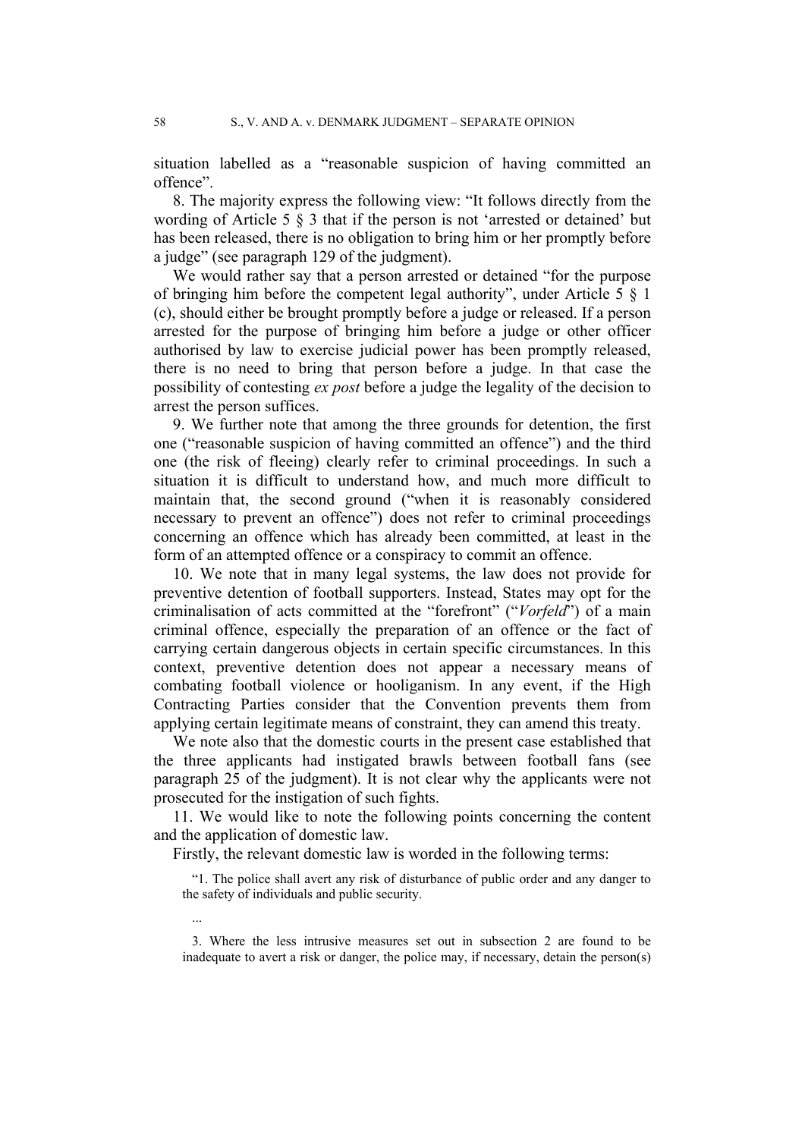situation labelled as a "reasonable suspicion of having committed an offence".

8. The majority express the following view: "It follows directly from the wording of Article 5 § 3 that if the person is not 'arrested or detained' but has been released, there is no obligation to bring him or her promptly before a judge" (see paragraph 129 of the judgment).

We would rather say that a person arrested or detained "for the purpose of bringing him before the competent legal authority", under Article 5 § 1 (c), should either be brought promptly before a judge or released. If a person arrested for the purpose of bringing him before a judge or other officer authorised by law to exercise judicial power has been promptly released, there is no need to bring that person before a judge. In that case the possibility of contesting *ex post* before a judge the legality of the decision to arrest the person suffices.

9. We further note that among the three grounds for detention, the first one ("reasonable suspicion of having committed an offence") and the third one (the risk of fleeing) clearly refer to criminal proceedings. In such a situation it is difficult to understand how, and much more difficult to maintain that, the second ground ("when it is reasonably considered necessary to prevent an offence") does not refer to criminal proceedings concerning an offence which has already been committed, at least in the form of an attempted offence or a conspiracy to commit an offence.

10. We note that in many legal systems, the law does not provide for preventive detention of football supporters. Instead, States may opt for the criminalisation of acts committed at the "forefront" ("*Vorfeld*") of a main criminal offence, especially the preparation of an offence or the fact of carrying certain dangerous objects in certain specific circumstances. In this context, preventive detention does not appear a necessary means of combating football violence or hooliganism. In any event, if the High Contracting Parties consider that the Convention prevents them from applying certain legitimate means of constraint, they can amend this treaty.

We note also that the domestic courts in the present case established that the three applicants had instigated brawls between football fans (see paragraph 25 of the judgment). It is not clear why the applicants were not prosecuted for the instigation of such fights.

11. We would like to note the following points concerning the content and the application of domestic law.

Firstly, the relevant domestic law is worded in the following terms:

"1. The police shall avert any risk of disturbance of public order and any danger to the safety of individuals and public security.

3. Where the less intrusive measures set out in subsection 2 are found to be inadequate to avert a risk or danger, the police may, if necessary, detain the person(s)

...